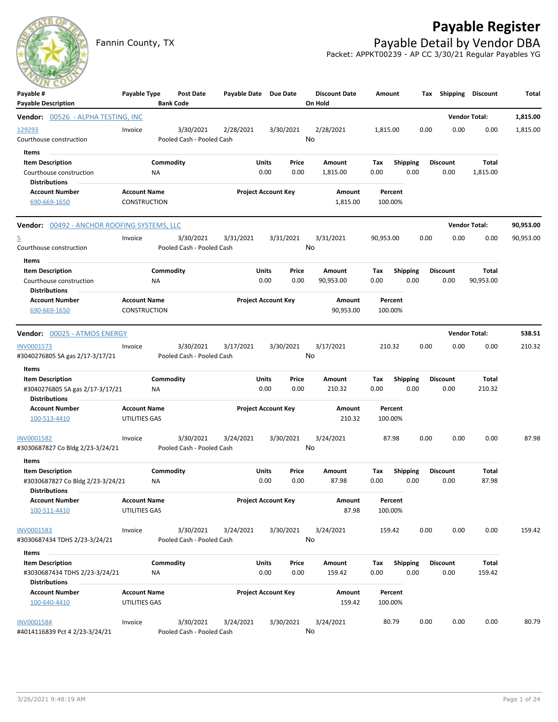## **Payable Register**



Fannin County, TX **Payable Detail by Vendor DBA** Packet: APPKT00239 - AP CC 3/30/21 Regular Payables YG

| ---<br>Payable #                                                                        | Payable Type                               |                 | <b>Post Date</b>                       | Payable Date Due Date |                            |               | <b>Discount Date</b> | Amount             |                         |      | Tax Shipping Discount   |                              | Total                |
|-----------------------------------------------------------------------------------------|--------------------------------------------|-----------------|----------------------------------------|-----------------------|----------------------------|---------------|----------------------|--------------------|-------------------------|------|-------------------------|------------------------------|----------------------|
| <b>Payable Description</b>                                                              |                                            |                 | <b>Bank Code</b>                       |                       |                            |               | On Hold              |                    |                         |      |                         |                              |                      |
| <b>Vendor:</b> 00526 - ALPHA TESTING, INC<br>129293<br>Courthouse construction<br>Items | Invoice                                    |                 | 3/30/2021<br>Pooled Cash - Pooled Cash | 2/28/2021             |                            | 3/30/2021     | 2/28/2021<br>No      | 1,815.00           |                         | 0.00 | 0.00                    | <b>Vendor Total:</b><br>0.00 | 1,815.00<br>1,815.00 |
| <b>Item Description</b><br>Courthouse construction<br><b>Distributions</b>              |                                            | Commodity<br>ΝA |                                        |                       | Units<br>0.00              | Price<br>0.00 | Amount<br>1,815.00   | Tax<br>0.00        | <b>Shipping</b><br>0.00 |      | <b>Discount</b><br>0.00 | Total<br>1,815.00            |                      |
| <b>Account Number</b><br>690-669-1650                                                   | <b>Account Name</b><br><b>CONSTRUCTION</b> |                 |                                        |                       | <b>Project Account Key</b> |               | Amount<br>1,815.00   | Percent<br>100.00% |                         |      |                         |                              |                      |
| <b>Vendor:</b> 00492 - ANCHOR ROOFING SYSTEMS, LLC                                      |                                            |                 |                                        |                       |                            |               |                      |                    |                         |      |                         | <b>Vendor Total:</b>         | 90,953.00            |
| 5<br>Courthouse construction                                                            | Invoice                                    |                 | 3/30/2021<br>Pooled Cash - Pooled Cash | 3/31/2021             |                            | 3/31/2021     | 3/31/2021<br>No      | 90,953.00          |                         | 0.00 | 0.00                    | 0.00                         | 90,953.00            |
| Items<br><b>Item Description</b><br>Courthouse construction<br><b>Distributions</b>     |                                            | Commodity<br>ΝA |                                        |                       | Units<br>0.00              | Price<br>0.00 | Amount<br>90,953.00  | Тах<br>0.00        | <b>Shipping</b><br>0.00 |      | <b>Discount</b><br>0.00 | Total<br>90,953.00           |                      |
| <b>Account Number</b><br>690-669-1650                                                   | <b>Account Name</b><br><b>CONSTRUCTION</b> |                 |                                        |                       | <b>Project Account Key</b> |               | Amount<br>90,953.00  | Percent<br>100.00% |                         |      |                         |                              |                      |
| <b>Vendor:</b> 00025 - ATMOS ENERGY                                                     |                                            |                 |                                        |                       |                            |               |                      |                    |                         |      |                         | <b>Vendor Total:</b>         | 538.51               |
| <b>INV0001573</b><br>#3040276805 SA gas 2/17-3/17/21                                    | Invoice                                    |                 | 3/30/2021<br>Pooled Cash - Pooled Cash | 3/17/2021             |                            | 3/30/2021     | 3/17/2021<br>No      | 210.32             |                         | 0.00 | 0.00                    | 0.00                         | 210.32               |
| Items<br>$\sim$<br><b>Item Description</b>                                              |                                            | Commodity       |                                        |                       | Units                      | Price         | Amount               | Tax                | <b>Shipping</b>         |      | <b>Discount</b>         | Total                        |                      |
| #3040276805 SA gas 2/17-3/17/21<br><b>Distributions</b>                                 |                                            | ΝA              |                                        |                       | 0.00                       | 0.00          | 210.32               | 0.00               | 0.00                    |      | 0.00                    | 210.32                       |                      |
| <b>Account Number</b><br>100-513-4410                                                   | <b>Account Name</b><br>UTILITIES GAS       |                 |                                        |                       | <b>Project Account Key</b> |               | Amount<br>210.32     | Percent<br>100.00% |                         |      |                         |                              |                      |
| INV0001582<br>#3030687827 Co Bldg 2/23-3/24/21                                          | Invoice                                    |                 | 3/30/2021<br>Pooled Cash - Pooled Cash | 3/24/2021             |                            | 3/30/2021     | 3/24/2021<br>No      | 87.98              |                         | 0.00 | 0.00                    | 0.00                         | 87.98                |
| Items                                                                                   |                                            |                 |                                        |                       |                            |               |                      |                    |                         |      |                         |                              |                      |
| <b>Item Description</b><br>#3030687827 Co Bldg 2/23-3/24/21<br><b>Distributions</b>     |                                            | Commodity<br>ΝA |                                        |                       | Units<br>0.00              | Price<br>0.00 | Amount<br>87.98      | Tax<br>0.00        | <b>Shipping</b><br>0.00 |      | <b>Discount</b><br>0.00 | Total<br>87.98               |                      |
| <b>Account Number</b><br>100-511-4410                                                   | <b>Account Name</b><br>UTILITIES GAS       |                 |                                        |                       | <b>Project Account Key</b> |               | Amount<br>87.98      | Percent<br>100.00% |                         |      |                         |                              |                      |
| <b>INV0001583</b><br>#3030687434 TDHS 2/23-3/24/21                                      | Invoice                                    |                 | 3/30/2021<br>Pooled Cash - Pooled Cash | 3/24/2021             |                            | 3/30/2021     | 3/24/2021<br>No      | 159.42             |                         | 0.00 | 0.00                    | 0.00                         | 159.42               |
| Items                                                                                   |                                            |                 |                                        |                       |                            |               |                      |                    |                         |      |                         |                              |                      |
| <b>Item Description</b><br>#3030687434 TDHS 2/23-3/24/21<br><b>Distributions</b>        |                                            | Commodity<br>NA |                                        |                       | <b>Units</b><br>0.00       | Price<br>0.00 | Amount<br>159.42     | Tax<br>0.00        | Shipping<br>0.00        |      | <b>Discount</b><br>0.00 | Total<br>159.42              |                      |
| <b>Account Number</b><br>100-640-4410                                                   | <b>Account Name</b><br>UTILITIES GAS       |                 |                                        |                       | <b>Project Account Key</b> |               | Amount<br>159.42     | Percent<br>100.00% |                         |      |                         |                              |                      |
| <b>INV0001584</b><br>#4014116839 Pct 4 2/23-3/24/21                                     | Invoice                                    |                 | 3/30/2021<br>Pooled Cash - Pooled Cash | 3/24/2021             |                            | 3/30/2021     | 3/24/2021<br>No      | 80.79              |                         | 0.00 | 0.00                    | 0.00                         | 80.79                |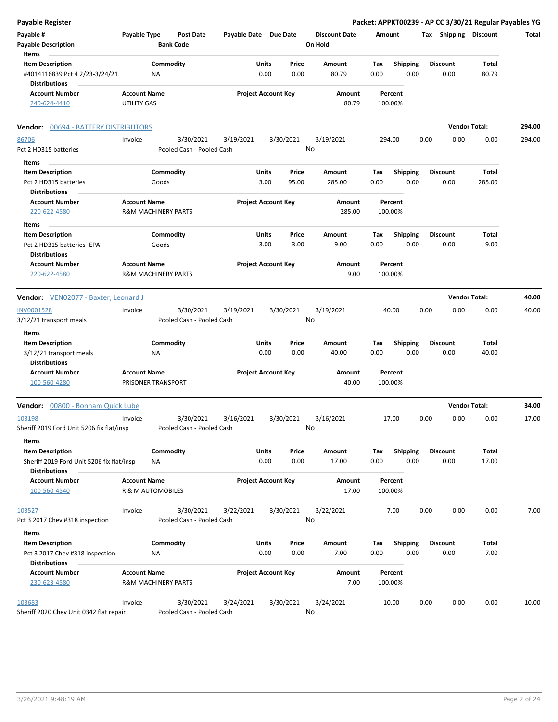| <b>Payable Register</b>                                |                     |                                      |                       |              |                            |                                 |        |                 |      |                       | Packet: APPKT00239 - AP CC 3/30/21 Regular Payables YG |        |
|--------------------------------------------------------|---------------------|--------------------------------------|-----------------------|--------------|----------------------------|---------------------------------|--------|-----------------|------|-----------------------|--------------------------------------------------------|--------|
| Payable #<br><b>Payable Description</b>                | Payable Type        | <b>Post Date</b><br><b>Bank Code</b> | Payable Date Due Date |              |                            | <b>Discount Date</b><br>On Hold | Amount |                 |      | Tax Shipping Discount |                                                        | Total  |
| Items                                                  |                     |                                      |                       |              |                            |                                 |        |                 |      |                       |                                                        |        |
| <b>Item Description</b>                                |                     | Commodity                            |                       | Units        | Price                      | Amount                          | Tax    | Shipping        |      | <b>Discount</b>       | Total                                                  |        |
| #4014116839 Pct 4 2/23-3/24/21<br><b>Distributions</b> |                     | <b>NA</b>                            |                       | 0.00         | 0.00                       | 80.79                           | 0.00   | 0.00            |      | 0.00                  | 80.79                                                  |        |
| <b>Account Number</b>                                  | <b>Account Name</b> |                                      |                       |              | <b>Project Account Key</b> | Amount                          |        | Percent         |      |                       |                                                        |        |
| 240-624-4410                                           | UTILITY GAS         |                                      |                       |              |                            | 80.79                           |        | 100.00%         |      |                       |                                                        |        |
| Vendor: 00694 - BATTERY DISTRIBUTORS                   |                     |                                      |                       |              |                            |                                 |        |                 |      |                       | <b>Vendor Total:</b>                                   | 294.00 |
| 86706                                                  | Invoice             | 3/30/2021                            | 3/19/2021             |              | 3/30/2021                  | 3/19/2021                       |        | 294.00          | 0.00 | 0.00                  | 0.00                                                   | 294.00 |
| Pct 2 HD315 batteries                                  |                     | Pooled Cash - Pooled Cash            |                       |              |                            | No                              |        |                 |      |                       |                                                        |        |
| Items                                                  |                     |                                      |                       |              |                            |                                 |        |                 |      |                       |                                                        |        |
| <b>Item Description</b>                                |                     | Commodity                            |                       | Units        | Price                      | Amount                          | Tax    | <b>Shipping</b> |      | <b>Discount</b>       | Total                                                  |        |
| Pct 2 HD315 batteries                                  |                     | Goods                                |                       | 3.00         | 95.00                      | 285.00                          | 0.00   | 0.00            |      | 0.00                  | 285.00                                                 |        |
| <b>Distributions</b>                                   |                     |                                      |                       |              |                            |                                 |        |                 |      |                       |                                                        |        |
| <b>Account Number</b>                                  | <b>Account Name</b> |                                      |                       |              | <b>Project Account Key</b> | Amount                          |        | Percent         |      |                       |                                                        |        |
| 220-622-4580                                           |                     | <b>R&amp;M MACHINERY PARTS</b>       |                       |              |                            | 285.00                          |        | 100.00%         |      |                       |                                                        |        |
| Items                                                  |                     |                                      |                       |              |                            |                                 |        |                 |      |                       |                                                        |        |
| <b>Item Description</b>                                |                     | Commodity                            |                       | Units        | Price                      | Amount                          | Tax    | <b>Shipping</b> |      | Discount              | Total                                                  |        |
| Pct 2 HD315 batteries - EPA                            |                     | Goods                                |                       | 3.00         | 3.00                       | 9.00                            | 0.00   | 0.00            |      | 0.00                  | 9.00                                                   |        |
| <b>Distributions</b>                                   |                     |                                      |                       |              |                            |                                 |        |                 |      |                       |                                                        |        |
| <b>Account Number</b>                                  | <b>Account Name</b> |                                      |                       |              | <b>Project Account Key</b> | Amount                          |        | Percent         |      |                       |                                                        |        |
| 220-622-4580                                           |                     | <b>R&amp;M MACHINERY PARTS</b>       |                       |              |                            | 9.00                            |        | 100.00%         |      |                       |                                                        |        |
| Vendor: VEN02077 - Baxter, Leonard J                   |                     |                                      |                       |              |                            |                                 |        |                 |      |                       | <b>Vendor Total:</b>                                   | 40.00  |
| <b>INV0001528</b>                                      | Invoice             | 3/30/2021                            | 3/19/2021             |              | 3/30/2021                  | 3/19/2021                       |        | 40.00           | 0.00 | 0.00                  | 0.00                                                   | 40.00  |
| 3/12/21 transport meals                                |                     | Pooled Cash - Pooled Cash            |                       |              |                            | No                              |        |                 |      |                       |                                                        |        |
| Items                                                  |                     |                                      |                       |              |                            |                                 |        |                 |      |                       |                                                        |        |
| <b>Item Description</b>                                |                     | Commodity                            |                       | Units        | Price                      | Amount                          | Tax    | <b>Shipping</b> |      | <b>Discount</b>       | Total                                                  |        |
| 3/12/21 transport meals                                |                     | ΝA                                   |                       | 0.00         | 0.00                       | 40.00                           | 0.00   | 0.00            |      | 0.00                  | 40.00                                                  |        |
| <b>Distributions</b>                                   |                     |                                      |                       |              |                            |                                 |        |                 |      |                       |                                                        |        |
| <b>Account Number</b>                                  | <b>Account Name</b> |                                      |                       |              | <b>Project Account Key</b> | Amount                          |        | Percent         |      |                       |                                                        |        |
| 100-560-4280                                           | PRISONER TRANSPORT  |                                      |                       |              |                            | 40.00                           |        | 100.00%         |      |                       |                                                        |        |
| 00800 - Bonham Quick Lube<br>Vendor:                   |                     |                                      |                       |              |                            |                                 |        |                 |      |                       | <b>Vendor Total:</b>                                   | 34.00  |
| 103198                                                 | Invoice             | 3/30/2021                            | 3/16/2021             |              | 3/30/2021                  | 3/16/2021                       |        | 17.00           | 0.00 | 0.00                  | 0.00                                                   | 17.00  |
| Sheriff 2019 Ford Unit 5206 fix flat/insp<br>Items     |                     | Pooled Cash - Pooled Cash            |                       |              |                            | No                              |        |                 |      |                       |                                                        |        |
| <b>Item Description</b>                                |                     | Commodity                            |                       | Units        | Price                      | Amount                          | Tax    | <b>Shipping</b> |      | <b>Discount</b>       | Total                                                  |        |
| Sheriff 2019 Ford Unit 5206 fix flat/insp              |                     | ΝA                                   |                       | 0.00         | 0.00                       | 17.00                           | 0.00   | 0.00            |      | 0.00                  | 17.00                                                  |        |
| <b>Distributions</b>                                   |                     |                                      |                       |              |                            |                                 |        |                 |      |                       |                                                        |        |
| <b>Account Number</b>                                  | <b>Account Name</b> |                                      |                       |              | <b>Project Account Key</b> | Amount                          |        | Percent         |      |                       |                                                        |        |
| 100-560-4540                                           | R & M AUTOMOBILES   |                                      |                       |              |                            | 17.00                           |        | 100.00%         |      |                       |                                                        |        |
| 103527                                                 | Invoice             | 3/30/2021                            | 3/22/2021             |              | 3/30/2021                  | 3/22/2021                       |        | 7.00            | 0.00 | 0.00                  | 0.00                                                   | 7.00   |
| Pct 3 2017 Chev #318 inspection                        |                     | Pooled Cash - Pooled Cash            |                       |              |                            | No                              |        |                 |      |                       |                                                        |        |
|                                                        |                     |                                      |                       |              |                            |                                 |        |                 |      |                       |                                                        |        |
| Items<br><b>Item Description</b>                       |                     | Commodity                            |                       | <b>Units</b> | Price                      | Amount                          | Tax    | <b>Shipping</b> |      | <b>Discount</b>       | Total                                                  |        |
| Pct 3 2017 Chev #318 inspection                        |                     | ΝA                                   |                       | 0.00         | 0.00                       | 7.00                            | 0.00   | 0.00            |      | 0.00                  | 7.00                                                   |        |
| <b>Distributions</b>                                   |                     |                                      |                       |              |                            |                                 |        |                 |      |                       |                                                        |        |
| <b>Account Number</b>                                  | <b>Account Name</b> |                                      |                       |              | <b>Project Account Key</b> | Amount                          |        | Percent         |      |                       |                                                        |        |
| 230-623-4580                                           |                     | <b>R&amp;M MACHINERY PARTS</b>       |                       |              |                            | 7.00                            |        | 100.00%         |      |                       |                                                        |        |
|                                                        |                     |                                      |                       |              |                            |                                 |        |                 |      |                       |                                                        |        |
| 103683                                                 | Invoice             | 3/30/2021                            | 3/24/2021             |              | 3/30/2021                  | 3/24/2021<br>No                 |        | 10.00           | 0.00 | 0.00                  | 0.00                                                   | 10.00  |
| Sheriff 2020 Chev Unit 0342 flat repair                |                     | Pooled Cash - Pooled Cash            |                       |              |                            |                                 |        |                 |      |                       |                                                        |        |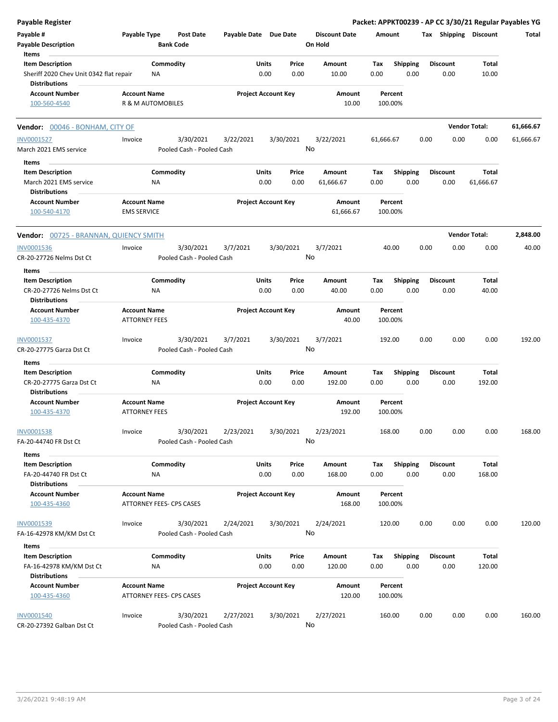| <b>Payable Register</b>                                                     |                                                 |                  |                                        |                       |               |                            |                                 |                    |                         |      |                         |                       | Packet: APPKT00239 - AP CC 3/30/21 Regular Payables YG |
|-----------------------------------------------------------------------------|-------------------------------------------------|------------------|----------------------------------------|-----------------------|---------------|----------------------------|---------------------------------|--------------------|-------------------------|------|-------------------------|-----------------------|--------------------------------------------------------|
| Payable #<br><b>Payable Description</b>                                     | Payable Type                                    | <b>Bank Code</b> | <b>Post Date</b>                       | Payable Date Due Date |               |                            | <b>Discount Date</b><br>On Hold | Amount             |                         |      |                         | Tax Shipping Discount | Total                                                  |
| Items<br><b>Item Description</b>                                            |                                                 | Commodity        |                                        |                       | Units         | Price                      | Amount                          | Tax                | <b>Shipping</b>         |      | <b>Discount</b>         | <b>Total</b>          |                                                        |
| Sheriff 2020 Chev Unit 0342 flat repair<br><b>Distributions</b>             |                                                 | ΝA               |                                        |                       | 0.00          | 0.00                       | 10.00                           | 0.00               | 0.00                    |      | 0.00                    | 10.00                 |                                                        |
| <b>Account Number</b><br>100-560-4540                                       | <b>Account Name</b><br>R & M AUTOMOBILES        |                  |                                        |                       |               | <b>Project Account Key</b> | Amount<br>10.00                 | Percent<br>100.00% |                         |      |                         |                       |                                                        |
| Vendor: 00046 - BONHAM, CITY OF                                             |                                                 |                  |                                        |                       |               |                            |                                 |                    |                         |      |                         | <b>Vendor Total:</b>  | 61,666.67                                              |
| <b>INV0001527</b>                                                           | Invoice                                         |                  | 3/30/2021                              | 3/22/2021             |               | 3/30/2021                  | 3/22/2021                       | 61,666.67          |                         | 0.00 | 0.00                    | 0.00                  | 61,666.67                                              |
| March 2021 EMS service                                                      |                                                 |                  | Pooled Cash - Pooled Cash              |                       |               | No                         |                                 |                    |                         |      |                         |                       |                                                        |
| Items                                                                       |                                                 |                  |                                        |                       |               |                            |                                 |                    |                         |      |                         |                       |                                                        |
| <b>Item Description</b><br>March 2021 EMS service<br><b>Distributions</b>   |                                                 | Commodity<br>ΝA  |                                        |                       | Units<br>0.00 | Price<br>0.00              | Amount<br>61,666.67             | Tax<br>0.00        | Shipping<br>0.00        |      | <b>Discount</b><br>0.00 | Total<br>61,666.67    |                                                        |
| <b>Account Number</b><br>100-540-4170                                       | <b>Account Name</b><br><b>EMS SERVICE</b>       |                  |                                        |                       |               | <b>Project Account Key</b> | Amount<br>61,666.67             | Percent<br>100.00% |                         |      |                         |                       |                                                        |
| Vendor: 00725 - BRANNAN, QUIENCY SMITH                                      |                                                 |                  |                                        |                       |               |                            |                                 |                    |                         |      |                         | <b>Vendor Total:</b>  | 2,848.00                                               |
| <b>INV0001536</b>                                                           | Invoice                                         |                  | 3/30/2021                              | 3/7/2021              |               | 3/30/2021                  | 3/7/2021                        | 40.00              |                         | 0.00 | 0.00                    | 0.00                  | 40.00                                                  |
| CR-20-27726 Nelms Dst Ct<br>Items                                           |                                                 |                  | Pooled Cash - Pooled Cash              |                       |               | No                         |                                 |                    |                         |      |                         |                       |                                                        |
| <b>Item Description</b>                                                     |                                                 | Commodity        |                                        |                       | Units         | Price                      | Amount                          | Tax                | <b>Shipping</b>         |      | <b>Discount</b>         | Total                 |                                                        |
| CR-20-27726 Nelms Dst Ct<br><b>Distributions</b>                            |                                                 | ΝA               |                                        |                       | 0.00          | 0.00                       | 40.00                           | 0.00               | 0.00                    |      | 0.00                    | 40.00                 |                                                        |
| <b>Account Number</b><br>100-435-4370                                       | <b>Account Name</b><br><b>ATTORNEY FEES</b>     |                  |                                        |                       |               | <b>Project Account Key</b> | Amount<br>40.00                 | Percent<br>100.00% |                         |      |                         |                       |                                                        |
| INV0001537<br>CR-20-27775 Garza Dst Ct                                      | Invoice                                         |                  | 3/30/2021<br>Pooled Cash - Pooled Cash | 3/7/2021              |               | 3/30/2021<br>No            | 3/7/2021                        | 192.00             |                         | 0.00 | 0.00                    | 0.00                  | 192.00                                                 |
| Items                                                                       |                                                 |                  |                                        |                       |               |                            |                                 |                    |                         |      |                         |                       |                                                        |
| <b>Item Description</b>                                                     |                                                 | Commodity        |                                        |                       | Units         | Price                      | Amount                          | Tax                | <b>Shipping</b>         |      | <b>Discount</b>         | Total                 |                                                        |
| CR-20-27775 Garza Dst Ct<br><b>Distributions</b>                            |                                                 | ΝA               |                                        |                       | 0.00          | 0.00                       | 192.00                          | 0.00               | 0.00                    |      | 0.00                    | 192.00                |                                                        |
| <b>Account Number</b><br>100-435-4370                                       | <b>Account Name</b><br><b>ATTORNEY FEES</b>     |                  |                                        |                       |               | <b>Project Account Key</b> | Amount<br>192.00                | Percent<br>100.00% |                         |      |                         |                       |                                                        |
| <b>INV0001538</b><br>FA-20-44740 FR Dst Ct                                  | Invoice                                         |                  | 3/30/2021<br>Pooled Cash - Pooled Cash | 2/23/2021             |               | 3/30/2021<br>No            | 2/23/2021                       | 168.00             |                         | 0.00 | 0.00                    | 0.00                  | 168.00                                                 |
|                                                                             |                                                 |                  |                                        |                       |               |                            |                                 |                    |                         |      |                         |                       |                                                        |
| Items<br><b>Item Description</b>                                            |                                                 | Commodity        |                                        |                       | <b>Units</b>  | Price                      | Amount                          | Tax                | Shipping                |      | <b>Discount</b>         | Total                 |                                                        |
| FA-20-44740 FR Dst Ct<br><b>Distributions</b>                               |                                                 | ΝA               |                                        |                       | 0.00          | 0.00                       | 168.00                          | 0.00               | 0.00                    |      | 0.00                    | 168.00                |                                                        |
| <b>Account Number</b><br>100-435-4360                                       | <b>Account Name</b><br>ATTORNEY FEES- CPS CASES |                  |                                        |                       |               | <b>Project Account Key</b> | Amount<br>168.00                | Percent<br>100.00% |                         |      |                         |                       |                                                        |
| INV0001539                                                                  | Invoice                                         |                  | 3/30/2021                              | 2/24/2021             |               | 3/30/2021                  | 2/24/2021                       | 120.00             |                         | 0.00 | 0.00                    | 0.00                  | 120.00                                                 |
| FA-16-42978 KM/KM Dst Ct                                                    |                                                 |                  | Pooled Cash - Pooled Cash              |                       |               | No                         |                                 |                    |                         |      |                         |                       |                                                        |
| Items                                                                       |                                                 |                  |                                        |                       |               |                            |                                 |                    |                         |      |                         |                       |                                                        |
| <b>Item Description</b><br>FA-16-42978 KM/KM Dst Ct<br><b>Distributions</b> |                                                 | Commodity<br>ΝA  |                                        |                       | Units<br>0.00 | Price<br>0.00              | Amount<br>120.00                | Тах<br>0.00        | <b>Shipping</b><br>0.00 |      | <b>Discount</b><br>0.00 | Total<br>120.00       |                                                        |
| <b>Account Number</b><br>100-435-4360                                       | <b>Account Name</b><br>ATTORNEY FEES- CPS CASES |                  |                                        |                       |               | <b>Project Account Key</b> | Amount<br>120.00                | Percent<br>100.00% |                         |      |                         |                       |                                                        |
| <b>INV0001540</b>                                                           | Invoice                                         |                  | 3/30/2021                              | 2/27/2021             |               | 3/30/2021                  | 2/27/2021                       | 160.00             |                         | 0.00 | 0.00                    | 0.00                  | 160.00                                                 |
| CR-20-27392 Galban Dst Ct                                                   |                                                 |                  | Pooled Cash - Pooled Cash              |                       |               | No                         |                                 |                    |                         |      |                         |                       |                                                        |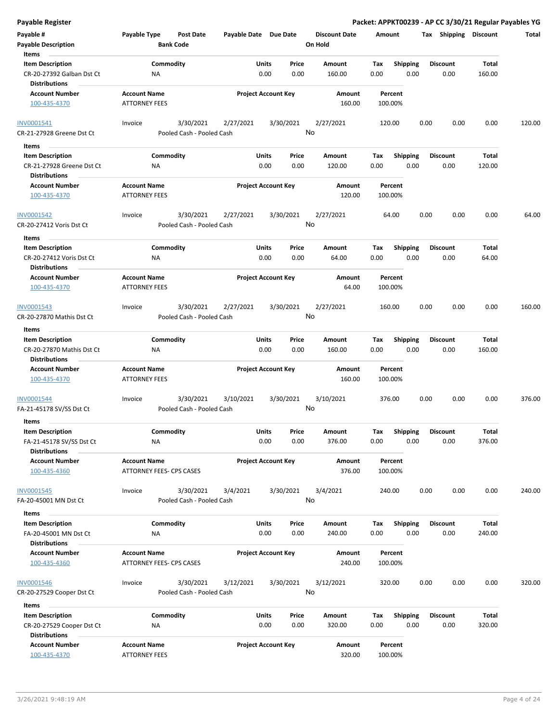|  | Payable Register |  |
|--|------------------|--|
|  |                  |  |

**Payable Register Packet: APPKT00239 - AP CC 3/30/21 Regular Payables YG**

| Payable #                                         | Payable Type         | <b>Post Date</b>                       | Payable Date Due Date |                            | <b>Discount Date</b> | Amount             |                 |      | Tax Shipping    | <b>Discount</b> | Total  |
|---------------------------------------------------|----------------------|----------------------------------------|-----------------------|----------------------------|----------------------|--------------------|-----------------|------|-----------------|-----------------|--------|
| <b>Payable Description</b><br>Items               |                      | <b>Bank Code</b>                       |                       |                            | On Hold              |                    |                 |      |                 |                 |        |
| <b>Item Description</b>                           |                      | Commodity                              |                       | Units<br>Price             | Amount               | Tax                | <b>Shipping</b> |      | <b>Discount</b> | Total           |        |
| CR-20-27392 Galban Dst Ct<br><b>Distributions</b> | ΝA                   |                                        |                       | 0.00<br>0.00               | 160.00               | 0.00               | 0.00            |      | 0.00            | 160.00          |        |
| <b>Account Number</b>                             | <b>Account Name</b>  |                                        |                       | <b>Project Account Key</b> | Amount               | Percent            |                 |      |                 |                 |        |
| 100-435-4370                                      | <b>ATTORNEY FEES</b> |                                        |                       |                            | 160.00               | 100.00%            |                 |      |                 |                 |        |
| INV0001541<br>CR-21-27928 Greene Dst Ct           | Invoice              | 3/30/2021<br>Pooled Cash - Pooled Cash | 2/27/2021             | 3/30/2021                  | 2/27/2021<br>No      | 120.00             |                 | 0.00 | 0.00            | 0.00            | 120.00 |
| Items                                             |                      |                                        |                       |                            |                      |                    |                 |      |                 |                 |        |
| <b>Item Description</b>                           |                      | Commodity                              |                       | Units<br>Price             | Amount               | Tax                | <b>Shipping</b> |      | <b>Discount</b> | Total           |        |
| CR-21-27928 Greene Dst Ct                         | ΝA                   |                                        |                       | 0.00<br>0.00               | 120.00               | 0.00               | 0.00            |      | 0.00            | 120.00          |        |
| <b>Distributions</b>                              |                      |                                        |                       |                            |                      |                    |                 |      |                 |                 |        |
| <b>Account Number</b>                             | <b>Account Name</b>  |                                        |                       | <b>Project Account Key</b> | Amount               | Percent            |                 |      |                 |                 |        |
| 100-435-4370                                      | <b>ATTORNEY FEES</b> |                                        |                       |                            | 120.00               | 100.00%            |                 |      |                 |                 |        |
| INV0001542                                        | Invoice              | 3/30/2021                              | 2/27/2021             | 3/30/2021                  | 2/27/2021            | 64.00              |                 | 0.00 | 0.00            | 0.00            | 64.00  |
| CR-20-27412 Voris Dst Ct                          |                      | Pooled Cash - Pooled Cash              |                       |                            | No                   |                    |                 |      |                 |                 |        |
| Items                                             |                      |                                        |                       |                            |                      |                    |                 |      |                 |                 |        |
| <b>Item Description</b>                           |                      | Commodity                              |                       | Units<br>Price             | Amount               | Tax                | <b>Shipping</b> |      | <b>Discount</b> | Total           |        |
| CR-20-27412 Voris Dst Ct                          | ΝA                   |                                        |                       | 0.00<br>0.00               | 64.00                | 0.00               | 0.00            |      | 0.00            | 64.00           |        |
| <b>Distributions</b>                              |                      |                                        |                       |                            |                      |                    |                 |      |                 |                 |        |
| <b>Account Number</b>                             | <b>Account Name</b>  |                                        |                       | <b>Project Account Key</b> | Amount               | Percent            |                 |      |                 |                 |        |
| 100-435-4370                                      | <b>ATTORNEY FEES</b> |                                        |                       |                            | 64.00                | 100.00%            |                 |      |                 |                 |        |
| INV0001543                                        | Invoice              | 3/30/2021                              | 2/27/2021             | 3/30/2021                  | 2/27/2021            | 160.00             |                 | 0.00 | 0.00            | 0.00            | 160.00 |
| CR-20-27870 Mathis Dst Ct                         |                      | Pooled Cash - Pooled Cash              |                       |                            | No                   |                    |                 |      |                 |                 |        |
| Items                                             |                      |                                        |                       |                            |                      |                    |                 |      |                 |                 |        |
| <b>Item Description</b>                           |                      | Commodity                              |                       | Units<br>Price             | Amount               | Tax                | <b>Shipping</b> |      | <b>Discount</b> | Total           |        |
| CR-20-27870 Mathis Dst Ct<br><b>Distributions</b> | ΝA                   |                                        |                       | 0.00<br>0.00               | 160.00               | 0.00               | 0.00            |      | 0.00            | 160.00          |        |
| <b>Account Number</b>                             | <b>Account Name</b>  |                                        |                       | <b>Project Account Key</b> | Amount               | Percent            |                 |      |                 |                 |        |
| 100-435-4370                                      | <b>ATTORNEY FEES</b> |                                        |                       |                            | 160.00               | 100.00%            |                 |      |                 |                 |        |
| INV0001544                                        | Invoice              | 3/30/2021                              | 3/10/2021             | 3/30/2021                  | 3/10/2021            | 376.00             |                 | 0.00 | 0.00            | 0.00            | 376.00 |
| FA-21-45178 SV/SS Dst Ct                          |                      | Pooled Cash - Pooled Cash              |                       |                            | No                   |                    |                 |      |                 |                 |        |
| <b>Items</b>                                      |                      |                                        |                       |                            |                      |                    |                 |      |                 |                 |        |
| <b>Item Description</b>                           |                      | Commodity                              |                       | <b>Units</b><br>Price      | Amount               | Тах                | <b>Shipping</b> |      | <b>Discount</b> | Total           |        |
| FA-21-45178 SV/SS Dst Ct                          | NA                   |                                        |                       | 0.00<br>0.00               | 376.00               | 0.00               | 0.00            |      | 0.00            | 376.00          |        |
| <b>Distributions</b>                              |                      |                                        |                       |                            |                      |                    |                 |      |                 |                 |        |
| <b>Account Number</b><br>100-435-4360             | <b>Account Name</b>  | ATTORNEY FEES- CPS CASES               |                       | <b>Project Account Key</b> | Amount<br>376.00     | Percent<br>100.00% |                 |      |                 |                 |        |
| <b>INV0001545</b>                                 | Invoice              | 3/30/2021                              | 3/4/2021              | 3/30/2021                  | 3/4/2021             | 240.00             |                 | 0.00 | 0.00            | 0.00            | 240.00 |
| FA-20-45001 MN Dst Ct                             |                      | Pooled Cash - Pooled Cash              |                       |                            | No                   |                    |                 |      |                 |                 |        |
| Items                                             |                      |                                        |                       |                            |                      |                    |                 |      |                 |                 |        |
| <b>Item Description</b>                           |                      | Commodity                              |                       | Units<br>Price             | Amount               | Tax                | <b>Shipping</b> |      | <b>Discount</b> | Total           |        |
| FA-20-45001 MN Dst Ct                             | ΝA                   |                                        |                       | 0.00<br>0.00               | 240.00               | 0.00               | 0.00            |      | 0.00            | 240.00          |        |
| <b>Distributions</b>                              |                      |                                        |                       |                            |                      |                    |                 |      |                 |                 |        |
| <b>Account Number</b>                             | <b>Account Name</b>  |                                        |                       | <b>Project Account Key</b> | Amount               | Percent            |                 |      |                 |                 |        |
| 100-435-4360                                      |                      | ATTORNEY FEES- CPS CASES               |                       |                            | 240.00               | 100.00%            |                 |      |                 |                 |        |
| <b>INV0001546</b>                                 | Invoice              | 3/30/2021                              | 3/12/2021             | 3/30/2021                  | 3/12/2021            | 320.00             |                 | 0.00 | 0.00            | 0.00            | 320.00 |
| CR-20-27529 Cooper Dst Ct                         |                      | Pooled Cash - Pooled Cash              |                       |                            | No                   |                    |                 |      |                 |                 |        |
| Items                                             |                      |                                        |                       |                            |                      |                    |                 |      |                 |                 |        |
| <b>Item Description</b>                           |                      | Commodity                              |                       | Units<br>Price             | Amount               | Tax                | <b>Shipping</b> |      | Discount        | Total           |        |
| CR-20-27529 Cooper Dst Ct                         | ΝA                   |                                        |                       | 0.00<br>0.00               | 320.00               | 0.00               | 0.00            |      | 0.00            | 320.00          |        |
| <b>Distributions</b>                              |                      |                                        |                       |                            |                      |                    |                 |      |                 |                 |        |
| <b>Account Number</b>                             | <b>Account Name</b>  |                                        |                       | <b>Project Account Key</b> | Amount               | Percent            |                 |      |                 |                 |        |
| 100-435-4370                                      | <b>ATTORNEY FEES</b> |                                        |                       |                            | 320.00               | 100.00%            |                 |      |                 |                 |        |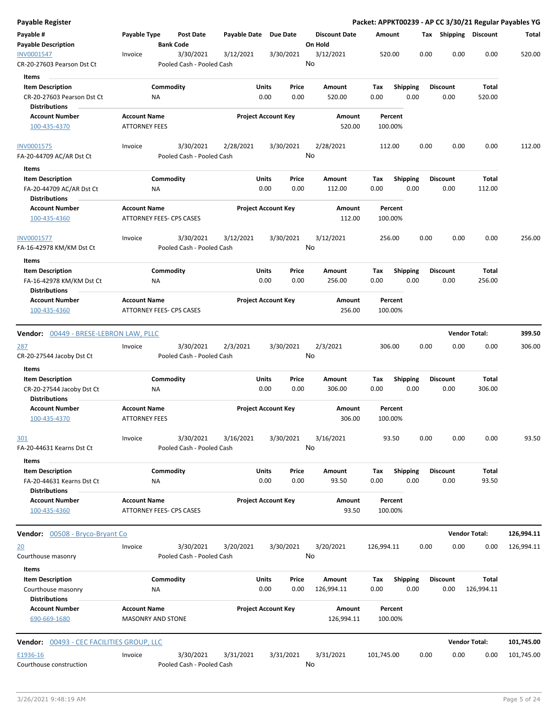| Payable Register                                                             |                                                 |                                        |                       |                                |                                 | Packet: APPKT00239 - AP CC 3/30/21 Regular Payables YG |      |                         |                      |            |
|------------------------------------------------------------------------------|-------------------------------------------------|----------------------------------------|-----------------------|--------------------------------|---------------------------------|--------------------------------------------------------|------|-------------------------|----------------------|------------|
| Payable #<br><b>Payable Description</b>                                      | Payable Type                                    | Post Date<br><b>Bank Code</b>          | Payable Date Due Date |                                | <b>Discount Date</b><br>On Hold | Amount                                                 |      | Tax Shipping Discount   |                      | Total      |
| <b>INV0001547</b><br>CR-20-27603 Pearson Dst Ct                              | Invoice                                         | 3/30/2021<br>Pooled Cash - Pooled Cash | 3/12/2021             | 3/30/2021                      | 3/12/2021<br>No                 | 520.00                                                 | 0.00 | 0.00                    | 0.00                 | 520.00     |
| <b>Items</b>                                                                 |                                                 |                                        |                       |                                |                                 |                                                        |      |                         |                      |            |
| <b>Item Description</b><br>CR-20-27603 Pearson Dst Ct                        | Commodity<br>ΝA                                 |                                        |                       | Units<br>Price<br>0.00<br>0.00 | Amount<br>520.00                | <b>Shipping</b><br>Tax<br>0.00                         | 0.00 | <b>Discount</b><br>0.00 | Total<br>520.00      |            |
| <b>Distributions</b><br><b>Account Number</b><br>100-435-4370                | <b>Account Name</b><br><b>ATTORNEY FEES</b>     |                                        |                       | <b>Project Account Key</b>     | Amount<br>520.00                | Percent<br>100.00%                                     |      |                         |                      |            |
| INV0001575                                                                   | Invoice                                         | 3/30/2021                              | 2/28/2021             | 3/30/2021                      | 2/28/2021                       | 112.00                                                 | 0.00 | 0.00                    | 0.00                 | 112.00     |
| FA-20-44709 AC/AR Dst Ct                                                     |                                                 | Pooled Cash - Pooled Cash              |                       |                                | No                              |                                                        |      |                         |                      |            |
| Items                                                                        |                                                 |                                        |                       |                                |                                 |                                                        |      |                         |                      |            |
| <b>Item Description</b>                                                      | Commodity                                       |                                        |                       | Units<br>Price                 | Amount                          | Tax<br><b>Shipping</b>                                 |      | <b>Discount</b>         | Total                |            |
| FA-20-44709 AC/AR Dst Ct<br><b>Distributions</b>                             | NA                                              |                                        |                       | 0.00<br>0.00                   | 112.00                          | 0.00                                                   | 0.00 | 0.00                    | 112.00               |            |
| <b>Account Number</b><br>100-435-4360                                        | <b>Account Name</b><br>ATTORNEY FEES- CPS CASES |                                        |                       | <b>Project Account Key</b>     | Amount<br>112.00                | Percent<br>100.00%                                     |      |                         |                      |            |
| INV0001577<br>FA-16-42978 KM/KM Dst Ct                                       | Invoice                                         | 3/30/2021<br>Pooled Cash - Pooled Cash | 3/12/2021             | 3/30/2021                      | 3/12/2021<br>No                 | 256.00                                                 | 0.00 | 0.00                    | 0.00                 | 256.00     |
| Items                                                                        |                                                 |                                        |                       |                                |                                 |                                                        |      |                         |                      |            |
| <b>Item Description</b><br>FA-16-42978 KM/KM Dst Ct<br><b>Distributions</b>  | Commodity<br>ΝA                                 |                                        |                       | Units<br>Price<br>0.00<br>0.00 | Amount<br>256.00                | <b>Shipping</b><br>Tax<br>0.00                         | 0.00 | <b>Discount</b><br>0.00 | Total<br>256.00      |            |
| <b>Account Number</b><br>100-435-4360                                        | <b>Account Name</b><br>ATTORNEY FEES- CPS CASES |                                        |                       | <b>Project Account Key</b>     | Amount<br>256.00                | Percent<br>100.00%                                     |      |                         |                      |            |
|                                                                              |                                                 |                                        |                       |                                |                                 |                                                        |      |                         |                      |            |
| <b>Vendor:</b> 00449 - BRESE-LEBRON LAW, PLLC                                |                                                 |                                        |                       |                                |                                 |                                                        |      |                         | <b>Vendor Total:</b> | 399.50     |
| <u> 287</u><br>CR-20-27544 Jacoby Dst Ct                                     | Invoice                                         | 3/30/2021<br>Pooled Cash - Pooled Cash | 2/3/2021              | 3/30/2021                      | 2/3/2021<br>No                  | 306.00                                                 | 0.00 | 0.00                    | 0.00                 | 306.00     |
| Items                                                                        |                                                 |                                        |                       |                                |                                 |                                                        |      | <b>Discount</b>         |                      |            |
| <b>Item Description</b><br>CR-20-27544 Jacoby Dst Ct<br><b>Distributions</b> | Commodity<br>ΝA                                 |                                        |                       | Units<br>Price<br>0.00<br>0.00 | Amount<br>306.00                | <b>Shipping</b><br>Tax<br>0.00                         | 0.00 | 0.00                    | Total<br>306.00      |            |
| <b>Account Number</b><br>100-435-4370                                        | <b>Account Name</b><br><b>ATTORNEY FEES</b>     |                                        |                       | <b>Project Account Key</b>     | Amount<br>306.00                | Percent<br>100.00%                                     |      |                         |                      |            |
| <u>301</u><br>FA-20-44631 Kearns Dst Ct                                      | Invoice                                         | 3/30/2021                              | 3/16/2021             | 3/30/2021                      | 3/16/2021<br>No                 | 93.50                                                  | 0.00 | 0.00                    | 0.00                 | 93.50      |
|                                                                              |                                                 | Pooled Cash - Pooled Cash              |                       |                                |                                 |                                                        |      |                         |                      |            |
| Items<br><b>Item Description</b>                                             | Commodity                                       |                                        |                       | Units<br>Price                 | Amount                          | <b>Shipping</b><br>Тах                                 |      | <b>Discount</b>         | Total                |            |
| FA-20-44631 Kearns Dst Ct<br>Distributions                                   | ΝA                                              |                                        |                       | 0.00<br>0.00                   | 93.50                           | 0.00                                                   | 0.00 | 0.00                    | 93.50                |            |
| <b>Account Number</b><br>100-435-4360                                        | <b>Account Name</b><br>ATTORNEY FEES- CPS CASES |                                        |                       | <b>Project Account Key</b>     | Amount<br>93.50                 | Percent<br>100.00%                                     |      |                         |                      |            |
| Vendor: 00508 - Bryco-Bryant Co                                              |                                                 |                                        |                       |                                |                                 |                                                        |      |                         | <b>Vendor Total:</b> | 126,994.11 |
| <u> 20</u>                                                                   | Invoice                                         | 3/30/2021                              | 3/20/2021             | 3/30/2021                      | 3/20/2021                       | 126,994.11                                             | 0.00 | 0.00                    | 0.00                 | 126,994.11 |
| Courthouse masonry<br>Items                                                  |                                                 | Pooled Cash - Pooled Cash              |                       |                                | No                              |                                                        |      |                         |                      |            |
| <b>Item Description</b><br>Courthouse masonry                                | Commodity<br>ΝA                                 |                                        |                       | Units<br>Price<br>0.00<br>0.00 | Amount<br>126,994.11            | <b>Shipping</b><br>Tax<br>0.00                         | 0.00 | <b>Discount</b><br>0.00 | Total<br>126,994.11  |            |
| <b>Distributions</b>                                                         |                                                 |                                        |                       |                                |                                 |                                                        |      |                         |                      |            |
| <b>Account Number</b><br>690-669-1680                                        | <b>Account Name</b><br><b>MASONRY AND STONE</b> |                                        |                       | <b>Project Account Key</b>     | Amount<br>126,994.11            | Percent<br>100.00%                                     |      |                         |                      |            |
| Vendor: 00493 - CEC FACILITIES GROUP, LLC                                    |                                                 |                                        |                       |                                |                                 |                                                        |      |                         | <b>Vendor Total:</b> | 101,745.00 |
| E1936-16                                                                     | Invoice                                         | 3/30/2021                              | 3/31/2021             | 3/31/2021                      | 3/31/2021                       | 101,745.00                                             | 0.00 | 0.00                    | 0.00                 | 101,745.00 |
| Courthouse construction                                                      |                                                 | Pooled Cash - Pooled Cash              |                       |                                | No                              |                                                        |      |                         |                      |            |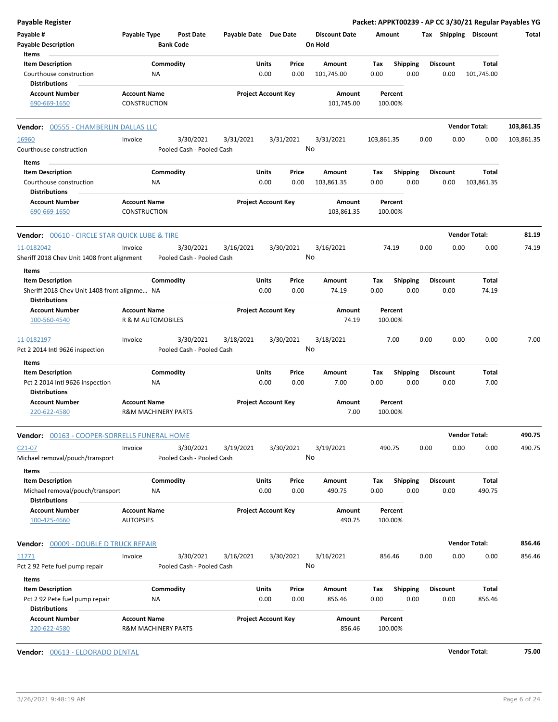| <b>Payable Register</b>                                                                         |                                                       |                                        |                       |                                |         |                      |                    |                         |      |                         | Packet: APPKT00239 - AP CC 3/30/21 Regular Payables YG |            |
|-------------------------------------------------------------------------------------------------|-------------------------------------------------------|----------------------------------------|-----------------------|--------------------------------|---------|----------------------|--------------------|-------------------------|------|-------------------------|--------------------------------------------------------|------------|
| Payable #                                                                                       | Payable Type                                          | <b>Post Date</b>                       | Payable Date Due Date |                                |         | <b>Discount Date</b> | Amount             |                         |      |                         | Tax Shipping Discount                                  | Total      |
| <b>Payable Description</b>                                                                      |                                                       | <b>Bank Code</b>                       |                       |                                | On Hold |                      |                    |                         |      |                         |                                                        |            |
| Items                                                                                           |                                                       |                                        |                       |                                |         |                      |                    |                         |      |                         |                                                        |            |
| <b>Item Description</b><br>Courthouse construction                                              | <b>NA</b>                                             | Commodity                              |                       | Units<br>Price<br>0.00<br>0.00 |         | Amount<br>101,745.00 | Tax<br>0.00        | <b>Shipping</b><br>0.00 |      | <b>Discount</b><br>0.00 | Total<br>101,745.00                                    |            |
| <b>Distributions</b>                                                                            |                                                       |                                        |                       |                                |         |                      |                    |                         |      |                         |                                                        |            |
| <b>Account Number</b><br>690-669-1650                                                           | <b>Account Name</b><br>CONSTRUCTION                   |                                        |                       | <b>Project Account Key</b>     |         | Amount<br>101,745.00 | Percent<br>100.00% |                         |      |                         |                                                        |            |
| <b>Vendor: 00555 - CHAMBERLIN DALLAS LLC</b>                                                    |                                                       |                                        |                       |                                |         |                      |                    |                         |      |                         | <b>Vendor Total:</b>                                   | 103,861.35 |
| 16960                                                                                           | Invoice                                               | 3/30/2021                              | 3/31/2021             | 3/31/2021                      |         | 3/31/2021            | 103,861.35         |                         | 0.00 | 0.00                    | 0.00                                                   | 103,861.35 |
| Courthouse construction                                                                         |                                                       | Pooled Cash - Pooled Cash              |                       |                                | No      |                      |                    |                         |      |                         |                                                        |            |
| Items                                                                                           |                                                       |                                        |                       |                                |         |                      |                    |                         |      |                         |                                                        |            |
| <b>Item Description</b>                                                                         |                                                       | Commodity                              |                       | Units<br>Price                 |         | Amount               | Tax                | <b>Shipping</b>         |      | <b>Discount</b>         | Total                                                  |            |
| Courthouse construction<br><b>Distributions</b>                                                 | ΝA                                                    |                                        |                       | 0.00<br>0.00                   |         | 103,861.35           | 0.00               | 0.00                    |      | 0.00                    | 103,861.35                                             |            |
| <b>Account Number</b><br>690-669-1650                                                           | <b>Account Name</b><br><b>CONSTRUCTION</b>            |                                        |                       | <b>Project Account Key</b>     |         | Amount<br>103,861.35 | Percent<br>100.00% |                         |      |                         |                                                        |            |
| <b>Vendor: 00610 - CIRCLE STAR QUICK LUBE &amp; TIRE</b>                                        |                                                       |                                        |                       |                                |         |                      |                    |                         |      |                         | <b>Vendor Total:</b>                                   | 81.19      |
| 11-0182042                                                                                      | Invoice                                               | 3/30/2021                              | 3/16/2021             | 3/30/2021                      |         | 3/16/2021            | 74.19              |                         | 0.00 | 0.00                    | 0.00                                                   | 74.19      |
| Sheriff 2018 Chev Unit 1408 front alignment                                                     |                                                       | Pooled Cash - Pooled Cash              |                       |                                | No      |                      |                    |                         |      |                         |                                                        |            |
| Items                                                                                           |                                                       |                                        |                       |                                |         |                      |                    |                         |      |                         |                                                        |            |
| <b>Item Description</b><br>Sheriff 2018 Chev Unit 1408 front alignme NA<br><b>Distributions</b> |                                                       | Commodity                              |                       | Units<br>Price<br>0.00<br>0.00 |         | Amount<br>74.19      | Tax<br>0.00        | <b>Shipping</b><br>0.00 |      | <b>Discount</b><br>0.00 | Total<br>74.19                                         |            |
| <b>Account Number</b>                                                                           | <b>Account Name</b>                                   |                                        |                       | <b>Project Account Key</b>     |         | Amount               | Percent            |                         |      |                         |                                                        |            |
| 100-560-4540                                                                                    | R & M AUTOMOBILES                                     |                                        |                       |                                |         | 74.19                | 100.00%            |                         |      |                         |                                                        |            |
| 11-0182197<br>Pct 2 2014 Intl 9626 inspection                                                   | Invoice                                               | 3/30/2021<br>Pooled Cash - Pooled Cash | 3/18/2021             | 3/30/2021                      | No      | 3/18/2021            |                    | 7.00                    | 0.00 | 0.00                    | 0.00                                                   | 7.00       |
| Items                                                                                           |                                                       |                                        |                       |                                |         |                      |                    |                         |      |                         |                                                        |            |
| <b>Item Description</b>                                                                         |                                                       | Commodity                              |                       | Units<br>Price                 |         | Amount               | Tax                | Shipping                |      | <b>Discount</b>         | Total                                                  |            |
| Pct 2 2014 Intl 9626 inspection                                                                 | <b>NA</b>                                             |                                        |                       | 0.00<br>0.00                   |         | 7.00                 | 0.00               | 0.00                    |      | 0.00                    | 7.00                                                   |            |
| <b>Distributions</b>                                                                            |                                                       |                                        |                       |                                |         |                      |                    |                         |      |                         |                                                        |            |
| <b>Account Number</b><br>220-622-4580                                                           | <b>Account Name</b><br><b>R&amp;M MACHINERY PARTS</b> |                                        |                       | <b>Project Account Key</b>     |         | Amount<br>7.00       | Percent<br>100.00% |                         |      |                         |                                                        |            |
| Vendor: 00163 - COOPER-SORRELLS FUNERAL HOME                                                    |                                                       |                                        |                       |                                |         |                      |                    |                         |      |                         | <b>Vendor Total:</b>                                   | 490.75     |
| $C21-07$<br>Michael removal/pouch/transport                                                     | Invoice                                               | 3/30/2021<br>Pooled Cash - Pooled Cash | 3/19/2021             | 3/30/2021                      | No      | 3/19/2021            | 490.75             |                         | 0.00 | 0.00                    | 0.00                                                   | 490.75     |
| Items                                                                                           |                                                       |                                        |                       |                                |         |                      |                    |                         |      |                         |                                                        |            |
| <b>Item Description</b><br>Michael removal/pouch/transport<br><b>Distributions</b>              | ΝA                                                    | Commodity                              |                       | Units<br>Price<br>0.00<br>0.00 |         | Amount<br>490.75     | Tax<br>0.00        | <b>Shipping</b><br>0.00 |      | <b>Discount</b><br>0.00 | Total<br>490.75                                        |            |
| <b>Account Number</b>                                                                           | <b>Account Name</b>                                   |                                        |                       | <b>Project Account Key</b>     |         | Amount               | Percent            |                         |      |                         |                                                        |            |
| 100-425-4660                                                                                    | <b>AUTOPSIES</b>                                      |                                        |                       |                                |         | 490.75               | 100.00%            |                         |      |                         |                                                        |            |
| <b>Vendor: 00009 - DOUBLE D TRUCK REPAIR</b>                                                    |                                                       |                                        |                       |                                |         |                      |                    |                         |      |                         | <b>Vendor Total:</b>                                   | 856.46     |
| 11771                                                                                           | Invoice                                               | 3/30/2021                              | 3/16/2021             | 3/30/2021                      |         | 3/16/2021            | 856.46             |                         | 0.00 | 0.00                    | 0.00                                                   | 856.46     |
| Pct 2 92 Pete fuel pump repair                                                                  |                                                       | Pooled Cash - Pooled Cash              |                       |                                | No      |                      |                    |                         |      |                         |                                                        |            |
| Items                                                                                           |                                                       |                                        |                       |                                |         |                      |                    |                         |      |                         |                                                        |            |
| <b>Item Description</b>                                                                         |                                                       | Commodity                              |                       | Units<br>Price                 |         | Amount               | Tax                | <b>Shipping</b>         |      | <b>Discount</b>         | Total                                                  |            |
| Pct 2 92 Pete fuel pump repair<br><b>Distributions</b>                                          | <b>NA</b>                                             |                                        |                       | 0.00<br>0.00                   |         | 856.46               | 0.00               | 0.00                    |      | 0.00                    | 856.46                                                 |            |
| <b>Account Number</b><br>220-622-4580                                                           | <b>Account Name</b><br>R&M MACHINERY PARTS            |                                        |                       | <b>Project Account Key</b>     |         | Amount<br>856.46     | Percent<br>100.00% |                         |      |                         |                                                        |            |

**Vendor:** 00613 - ELDORADO DENTAL **Vendor Total: 75.00**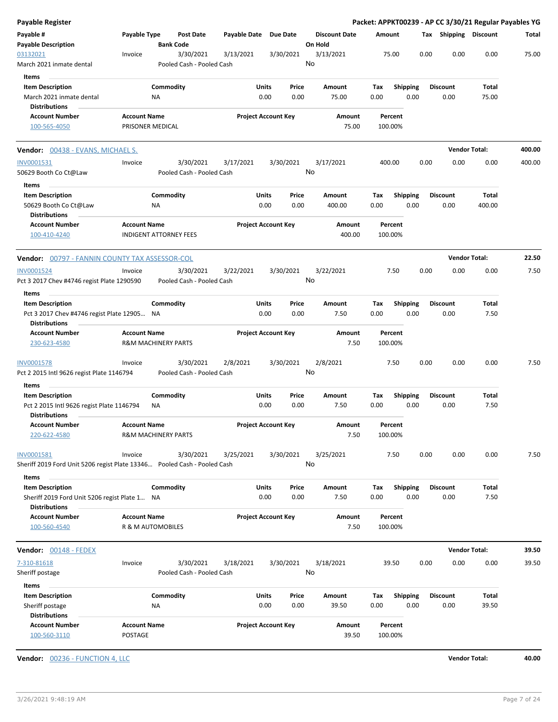| Payable Type                                          | Post Date                                                                           | Payable Date                                                                                                                                                                                                                                                                                                       | Due Date                                                                                                                                                                                                                               | <b>Discount Date</b>                                                                                                                                                                                                                                                                                                                  |                                                                                                         |                            |                                                                                                                                                                          |                                                                                                                                                                                                         |                                                                                                                                        | Total                                                                                                                                                                                                       |
|-------------------------------------------------------|-------------------------------------------------------------------------------------|--------------------------------------------------------------------------------------------------------------------------------------------------------------------------------------------------------------------------------------------------------------------------------------------------------------------|----------------------------------------------------------------------------------------------------------------------------------------------------------------------------------------------------------------------------------------|---------------------------------------------------------------------------------------------------------------------------------------------------------------------------------------------------------------------------------------------------------------------------------------------------------------------------------------|---------------------------------------------------------------------------------------------------------|----------------------------|--------------------------------------------------------------------------------------------------------------------------------------------------------------------------|---------------------------------------------------------------------------------------------------------------------------------------------------------------------------------------------------------|----------------------------------------------------------------------------------------------------------------------------------------|-------------------------------------------------------------------------------------------------------------------------------------------------------------------------------------------------------------|
| Invoice                                               | 3/30/2021                                                                           | 3/13/2021                                                                                                                                                                                                                                                                                                          | 3/30/2021                                                                                                                                                                                                                              | 3/13/2021                                                                                                                                                                                                                                                                                                                             |                                                                                                         |                            |                                                                                                                                                                          | 0.00                                                                                                                                                                                                    | 0.00                                                                                                                                   | 75.00                                                                                                                                                                                                       |
|                                                       |                                                                                     |                                                                                                                                                                                                                                                                                                                    |                                                                                                                                                                                                                                        |                                                                                                                                                                                                                                                                                                                                       |                                                                                                         |                            |                                                                                                                                                                          |                                                                                                                                                                                                         |                                                                                                                                        |                                                                                                                                                                                                             |
| ΝA                                                    |                                                                                     |                                                                                                                                                                                                                                                                                                                    | Price<br>0.00                                                                                                                                                                                                                          | Amount<br>75.00                                                                                                                                                                                                                                                                                                                       | Tax<br>0.00                                                                                             |                            |                                                                                                                                                                          | 0.00                                                                                                                                                                                                    | Total<br>75.00                                                                                                                         |                                                                                                                                                                                                             |
| <b>Account Name</b>                                   |                                                                                     |                                                                                                                                                                                                                                                                                                                    |                                                                                                                                                                                                                                        | Amount<br>75.00                                                                                                                                                                                                                                                                                                                       |                                                                                                         |                            |                                                                                                                                                                          |                                                                                                                                                                                                         |                                                                                                                                        |                                                                                                                                                                                                             |
| Vendor: 00438 - EVANS, MICHAEL S.                     |                                                                                     |                                                                                                                                                                                                                                                                                                                    |                                                                                                                                                                                                                                        |                                                                                                                                                                                                                                                                                                                                       |                                                                                                         |                            |                                                                                                                                                                          |                                                                                                                                                                                                         |                                                                                                                                        | 400.00                                                                                                                                                                                                      |
|                                                       |                                                                                     |                                                                                                                                                                                                                                                                                                                    |                                                                                                                                                                                                                                        |                                                                                                                                                                                                                                                                                                                                       |                                                                                                         |                            |                                                                                                                                                                          |                                                                                                                                                                                                         |                                                                                                                                        | 400.00                                                                                                                                                                                                      |
|                                                       |                                                                                     |                                                                                                                                                                                                                                                                                                                    |                                                                                                                                                                                                                                        |                                                                                                                                                                                                                                                                                                                                       |                                                                                                         |                            |                                                                                                                                                                          |                                                                                                                                                                                                         |                                                                                                                                        |                                                                                                                                                                                                             |
|                                                       |                                                                                     |                                                                                                                                                                                                                                                                                                                    |                                                                                                                                                                                                                                        |                                                                                                                                                                                                                                                                                                                                       |                                                                                                         |                            |                                                                                                                                                                          |                                                                                                                                                                                                         |                                                                                                                                        |                                                                                                                                                                                                             |
| ΝA                                                    |                                                                                     |                                                                                                                                                                                                                                                                                                                    | 0.00                                                                                                                                                                                                                                   | 400.00                                                                                                                                                                                                                                                                                                                                | 0.00                                                                                                    |                            |                                                                                                                                                                          | 0.00                                                                                                                                                                                                    | 400.00                                                                                                                                 |                                                                                                                                                                                                             |
| <b>Account Name</b>                                   |                                                                                     |                                                                                                                                                                                                                                                                                                                    |                                                                                                                                                                                                                                        | Amount<br>400.00                                                                                                                                                                                                                                                                                                                      |                                                                                                         |                            |                                                                                                                                                                          |                                                                                                                                                                                                         |                                                                                                                                        |                                                                                                                                                                                                             |
|                                                       |                                                                                     |                                                                                                                                                                                                                                                                                                                    |                                                                                                                                                                                                                                        |                                                                                                                                                                                                                                                                                                                                       |                                                                                                         |                            |                                                                                                                                                                          |                                                                                                                                                                                                         |                                                                                                                                        | 22.50                                                                                                                                                                                                       |
| Invoice<br>Pct 3 2017 Chev #4746 regist Plate 1290590 | 3/30/2021                                                                           | 3/22/2021                                                                                                                                                                                                                                                                                                          | 3/30/2021                                                                                                                                                                                                                              | 3/22/2021                                                                                                                                                                                                                                                                                                                             |                                                                                                         |                            |                                                                                                                                                                          | 0.00                                                                                                                                                                                                    | 0.00                                                                                                                                   | 7.50                                                                                                                                                                                                        |
|                                                       |                                                                                     |                                                                                                                                                                                                                                                                                                                    |                                                                                                                                                                                                                                        |                                                                                                                                                                                                                                                                                                                                       |                                                                                                         |                            |                                                                                                                                                                          |                                                                                                                                                                                                         |                                                                                                                                        |                                                                                                                                                                                                             |
|                                                       |                                                                                     |                                                                                                                                                                                                                                                                                                                    | Price                                                                                                                                                                                                                                  | Amount                                                                                                                                                                                                                                                                                                                                | Тах                                                                                                     |                            |                                                                                                                                                                          |                                                                                                                                                                                                         | Total                                                                                                                                  |                                                                                                                                                                                                             |
|                                                       |                                                                                     |                                                                                                                                                                                                                                                                                                                    |                                                                                                                                                                                                                                        |                                                                                                                                                                                                                                                                                                                                       |                                                                                                         |                            |                                                                                                                                                                          |                                                                                                                                                                                                         |                                                                                                                                        |                                                                                                                                                                                                             |
|                                                       |                                                                                     |                                                                                                                                                                                                                                                                                                                    |                                                                                                                                                                                                                                        |                                                                                                                                                                                                                                                                                                                                       |                                                                                                         |                            |                                                                                                                                                                          |                                                                                                                                                                                                         |                                                                                                                                        |                                                                                                                                                                                                             |
|                                                       |                                                                                     |                                                                                                                                                                                                                                                                                                                    |                                                                                                                                                                                                                                        | 7.50                                                                                                                                                                                                                                                                                                                                  |                                                                                                         |                            |                                                                                                                                                                          |                                                                                                                                                                                                         |                                                                                                                                        |                                                                                                                                                                                                             |
| Invoice<br>Pct 2 2015 Intl 9626 regist Plate 1146794  | 3/30/2021                                                                           | 2/8/2021                                                                                                                                                                                                                                                                                                           | 3/30/2021                                                                                                                                                                                                                              | 2/8/2021                                                                                                                                                                                                                                                                                                                              |                                                                                                         |                            |                                                                                                                                                                          | 0.00                                                                                                                                                                                                    | 0.00                                                                                                                                   | 7.50                                                                                                                                                                                                        |
|                                                       |                                                                                     |                                                                                                                                                                                                                                                                                                                    |                                                                                                                                                                                                                                        |                                                                                                                                                                                                                                                                                                                                       |                                                                                                         |                            |                                                                                                                                                                          |                                                                                                                                                                                                         |                                                                                                                                        |                                                                                                                                                                                                             |
|                                                       |                                                                                     |                                                                                                                                                                                                                                                                                                                    | Price                                                                                                                                                                                                                                  | Amount                                                                                                                                                                                                                                                                                                                                | Тах                                                                                                     |                            |                                                                                                                                                                          |                                                                                                                                                                                                         | Total                                                                                                                                  |                                                                                                                                                                                                             |
| Pct 2 2015 Intl 9626 regist Plate 1146794<br>ΝA       |                                                                                     |                                                                                                                                                                                                                                                                                                                    | 0.00                                                                                                                                                                                                                                   | 7.50                                                                                                                                                                                                                                                                                                                                  | 0.00                                                                                                    |                            |                                                                                                                                                                          | 0.00                                                                                                                                                                                                    | 7.50                                                                                                                                   |                                                                                                                                                                                                             |
| <b>Account Name</b>                                   |                                                                                     |                                                                                                                                                                                                                                                                                                                    |                                                                                                                                                                                                                                        | Amount<br>7.50                                                                                                                                                                                                                                                                                                                        |                                                                                                         |                            |                                                                                                                                                                          |                                                                                                                                                                                                         |                                                                                                                                        |                                                                                                                                                                                                             |
| Invoice                                               | 3/30/2021                                                                           | 3/25/2021                                                                                                                                                                                                                                                                                                          | 3/30/2021                                                                                                                                                                                                                              | 3/25/2021                                                                                                                                                                                                                                                                                                                             |                                                                                                         |                            |                                                                                                                                                                          | 0.00                                                                                                                                                                                                    | 0.00                                                                                                                                   | 7.50                                                                                                                                                                                                        |
|                                                       |                                                                                     |                                                                                                                                                                                                                                                                                                                    |                                                                                                                                                                                                                                        |                                                                                                                                                                                                                                                                                                                                       |                                                                                                         |                            |                                                                                                                                                                          |                                                                                                                                                                                                         |                                                                                                                                        |                                                                                                                                                                                                             |
| Sheriff 2019 Ford Unit 5206 regist Plate 1 NA         |                                                                                     |                                                                                                                                                                                                                                                                                                                    | 0.00                                                                                                                                                                                                                                   | 7.50                                                                                                                                                                                                                                                                                                                                  | 0.00                                                                                                    |                            |                                                                                                                                                                          | 0.00                                                                                                                                                                                                    | 7.50                                                                                                                                   |                                                                                                                                                                                                             |
| <b>Account Name</b>                                   |                                                                                     |                                                                                                                                                                                                                                                                                                                    |                                                                                                                                                                                                                                        | Amount                                                                                                                                                                                                                                                                                                                                |                                                                                                         |                            |                                                                                                                                                                          |                                                                                                                                                                                                         |                                                                                                                                        |                                                                                                                                                                                                             |
|                                                       |                                                                                     |                                                                                                                                                                                                                                                                                                                    |                                                                                                                                                                                                                                        | 7.50                                                                                                                                                                                                                                                                                                                                  |                                                                                                         |                            |                                                                                                                                                                          |                                                                                                                                                                                                         |                                                                                                                                        |                                                                                                                                                                                                             |
|                                                       |                                                                                     |                                                                                                                                                                                                                                                                                                                    |                                                                                                                                                                                                                                        |                                                                                                                                                                                                                                                                                                                                       |                                                                                                         |                            |                                                                                                                                                                          |                                                                                                                                                                                                         |                                                                                                                                        | 39.50                                                                                                                                                                                                       |
| Invoice                                               | 3/30/2021                                                                           | 3/18/2021                                                                                                                                                                                                                                                                                                          | 3/30/2021                                                                                                                                                                                                                              | 3/18/2021                                                                                                                                                                                                                                                                                                                             |                                                                                                         |                            |                                                                                                                                                                          | 0.00                                                                                                                                                                                                    | 0.00                                                                                                                                   | 39.50                                                                                                                                                                                                       |
|                                                       |                                                                                     |                                                                                                                                                                                                                                                                                                                    |                                                                                                                                                                                                                                        |                                                                                                                                                                                                                                                                                                                                       |                                                                                                         |                            |                                                                                                                                                                          |                                                                                                                                                                                                         |                                                                                                                                        |                                                                                                                                                                                                             |
|                                                       |                                                                                     |                                                                                                                                                                                                                                                                                                                    |                                                                                                                                                                                                                                        | Amount                                                                                                                                                                                                                                                                                                                                | Tax                                                                                                     |                            |                                                                                                                                                                          |                                                                                                                                                                                                         |                                                                                                                                        |                                                                                                                                                                                                             |
|                                                       |                                                                                     |                                                                                                                                                                                                                                                                                                                    |                                                                                                                                                                                                                                        |                                                                                                                                                                                                                                                                                                                                       |                                                                                                         |                            |                                                                                                                                                                          |                                                                                                                                                                                                         |                                                                                                                                        |                                                                                                                                                                                                             |
|                                                       |                                                                                     |                                                                                                                                                                                                                                                                                                                    |                                                                                                                                                                                                                                        |                                                                                                                                                                                                                                                                                                                                       |                                                                                                         |                            |                                                                                                                                                                          |                                                                                                                                                                                                         |                                                                                                                                        |                                                                                                                                                                                                             |
|                                                       | Invoice<br>Pct 3 2017 Chev #4746 regist Plate 12905 NA<br><b>Account Name</b><br>NA | <b>Bank Code</b><br>Commodity<br>PRISONER MEDICAL<br>3/30/2021<br>Commodity<br><b>INDIGENT ATTORNEY FEES</b><br><b>Vendor:</b> 00797 - FANNIN COUNTY TAX ASSESSOR-COL<br>Commodity<br><b>R&amp;M MACHINERY PARTS</b><br>Commodity<br><b>R&amp;M MACHINERY PARTS</b><br>Commodity<br>R & M AUTOMOBILES<br>Commodity | Pooled Cash - Pooled Cash<br>3/17/2021<br>Pooled Cash - Pooled Cash<br>Pooled Cash - Pooled Cash<br>Pooled Cash - Pooled Cash<br>Sheriff 2019 Ford Unit 5206 regist Plate 13346 Pooled Cash - Pooled Cash<br>Pooled Cash - Pooled Cash | Units<br>0.00<br><b>Project Account Key</b><br>3/30/2021<br><b>Units</b><br>Price<br>0.00<br><b>Project Account Key</b><br>Units<br>0.00<br>0.00<br><b>Project Account Key</b><br>Units<br>0.00<br><b>Project Account Key</b><br><b>Units</b><br>Price<br>0.00<br><b>Project Account Key</b><br><b>Units</b><br>Price<br>0.00<br>0.00 | On Hold<br>No<br>3/17/2021<br>No<br>Amount<br>No<br>7.50<br>Amount<br>No<br>No<br>Amount<br>No<br>39.50 | Tax<br>0.00<br>Tax<br>0.00 | Amount<br>75.00<br>Percent<br>100.00%<br>400.00<br>Percent<br>100.00%<br>7.50<br>Percent<br>100.00%<br>7.50<br>Percent<br>100.00%<br>7.50<br>Percent<br>100.00%<br>39.50 | 0.00<br><b>Shipping</b><br>0.00<br>0.00<br><b>Shipping</b><br>0.00<br>0.00<br><b>Shipping</b><br>0.00<br>0.00<br><b>Shipping</b><br>0.00<br>0.00<br>Shipping<br>0.00<br>0.00<br><b>Shipping</b><br>0.00 | <b>Discount</b><br>0.00<br><b>Discount</b><br><b>Discount</b><br>0.00<br><b>Discount</b><br><b>Discount</b><br><b>Discount</b><br>0.00 | Packet: APPKT00239 - AP CC 3/30/21 Regular Payables YG<br>Tax Shipping Discount<br><b>Vendor Total:</b><br>0.00<br>Total<br><b>Vendor Total:</b><br>7.50<br>Total<br><b>Vendor Total:</b><br>Total<br>39.50 |

**Vendor:** 00236 - FUNCTION 4, LLC **Vendor Total: 40.00**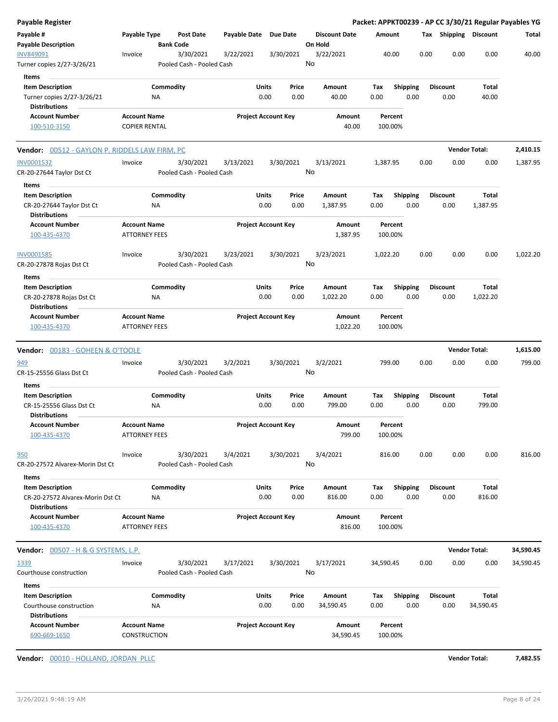| Payable Register                                                                       |                                             |                                        |                       |                            |                                 |                    |                         | Packet: APPKT00239 - AP CC 3/30/21 Regular Payables YG |                      |           |
|----------------------------------------------------------------------------------------|---------------------------------------------|----------------------------------------|-----------------------|----------------------------|---------------------------------|--------------------|-------------------------|--------------------------------------------------------|----------------------|-----------|
| Payable #<br><b>Payable Description</b>                                                | Payable Type                                | <b>Post Date</b><br><b>Bank Code</b>   | Payable Date Due Date |                            | <b>Discount Date</b><br>On Hold | Amount             |                         | Tax Shipping Discount                                  |                      | Total     |
| INV849091<br>Turner copies 2/27-3/26/21                                                | Invoice                                     | 3/30/2021<br>Pooled Cash - Pooled Cash | 3/22/2021             | 3/30/2021                  | 3/22/2021<br>No                 | 40.00              |                         | 0.00<br>0.00                                           | 0.00                 | 40.00     |
| Items<br><b>Item Description</b><br>Turner copies 2/27-3/26/21<br><b>Distributions</b> | ΝA                                          | Commodity                              | Units                 | Price<br>0.00<br>0.00      | Amount<br>40.00                 | Tax<br>0.00        | <b>Shipping</b><br>0.00 | <b>Discount</b><br>0.00                                | Total<br>40.00       |           |
| <b>Account Number</b><br>100-510-3150                                                  | <b>Account Name</b><br><b>COPIER RENTAL</b> |                                        |                       | <b>Project Account Key</b> | Amount<br>40.00                 | Percent<br>100.00% |                         |                                                        |                      |           |
| Vendor: 00512 - GAYLON P. RIDDELS LAW FIRM, PC                                         |                                             |                                        |                       |                            |                                 |                    |                         |                                                        | <b>Vendor Total:</b> | 2,410.15  |
| INV0001532<br>CR-20-27644 Taylor Dst Ct<br>Items                                       | Invoice                                     | 3/30/2021<br>Pooled Cash - Pooled Cash | 3/13/2021             | 3/30/2021                  | 3/13/2021<br>No                 | 1,387.95           |                         | 0.00<br>0.00                                           | 0.00                 | 1,387.95  |
| <b>Item Description</b><br>CR-20-27644 Taylor Dst Ct<br><b>Distributions</b>           | ΝA                                          | Commodity                              | Units                 | Price<br>0.00<br>0.00      | Amount<br>1,387.95              | Tax<br>0.00        | <b>Shipping</b><br>0.00 | <b>Discount</b><br>0.00                                | Total<br>1,387.95    |           |
| <b>Account Number</b><br>100-435-4370                                                  | <b>Account Name</b><br><b>ATTORNEY FEES</b> |                                        |                       | <b>Project Account Key</b> | Amount<br>1,387.95              | Percent<br>100.00% |                         |                                                        |                      |           |
| <b>INV0001585</b><br>CR-20-27878 Rojas Dst Ct<br>Items                                 | Invoice                                     | 3/30/2021<br>Pooled Cash - Pooled Cash | 3/23/2021             | 3/30/2021                  | 3/23/2021<br>No                 | 1,022.20           |                         | 0.00<br>0.00                                           | 0.00                 | 1,022.20  |
| <b>Item Description</b><br>CR-20-27878 Rojas Dst Ct<br><b>Distributions</b>            | NA                                          | Commodity                              | Units                 | Price<br>0.00<br>0.00      | Amount<br>1,022.20              | Tax<br>0.00        | <b>Shipping</b><br>0.00 | <b>Discount</b><br>0.00                                | Total<br>1,022.20    |           |
| <b>Account Number</b><br>100-435-4370                                                  | <b>Account Name</b><br><b>ATTORNEY FEES</b> |                                        |                       | <b>Project Account Key</b> | Amount<br>1,022.20              | Percent<br>100.00% |                         |                                                        |                      |           |
| <b>Vendor:</b> 00183 - GOHEEN & O'TOOLE                                                |                                             |                                        |                       |                            |                                 |                    |                         |                                                        | <b>Vendor Total:</b> | 1,615.00  |
| 949<br>CR-15-25556 Glass Dst Ct                                                        | Invoice                                     | 3/30/2021<br>Pooled Cash - Pooled Cash | 3/2/2021              | 3/30/2021                  | 3/2/2021<br>No                  | 799.00             |                         | 0.00<br>0.00                                           | 0.00                 | 799.00    |
| Items<br><b>Item Description</b><br>CR-15-25556 Glass Dst Ct<br><b>Distributions</b>   | ΝA                                          | Commodity                              | Units                 | Price<br>0.00<br>0.00      | Amount<br>799.00                | Tax<br>0.00        | <b>Shipping</b><br>0.00 | <b>Discount</b><br>0.00                                | Total<br>799.00      |           |
| <b>Account Number</b><br>100-435-4370                                                  | <b>Account Name</b><br><b>ATTORNEY FEES</b> |                                        |                       | <b>Project Account Key</b> | Amount<br>799.00                | Percent<br>100.00% |                         |                                                        |                      |           |
| <u>950</u><br>CR-20-27572 Alvarex-Morin Dst Ct<br>Items                                | Invoice                                     | 3/30/2021<br>Pooled Cash - Pooled Cash | 3/4/2021              | 3/30/2021                  | 3/4/2021<br>No                  | 816.00             |                         | 0.00<br>0.00                                           | 0.00                 | 816.00    |
| <b>Item Description</b><br>CR-20-27572 Alvarex-Morin Dst Ct<br><b>Distributions</b>    | ΝA                                          | Commodity                              | Units                 | Price<br>0.00<br>0.00      | Amount<br>816.00                | Tax<br>0.00        | Shipping<br>0.00        | <b>Discount</b><br>0.00                                | Total<br>816.00      |           |
| <b>Account Number</b><br>100-435-4370                                                  | <b>Account Name</b><br><b>ATTORNEY FEES</b> |                                        |                       | <b>Project Account Key</b> | Amount<br>816.00                | Percent<br>100.00% |                         |                                                        |                      |           |
|                                                                                        |                                             |                                        |                       |                            |                                 |                    |                         |                                                        | <b>Vendor Total:</b> | 34,590.45 |
| 1339<br>Courthouse construction                                                        | Invoice                                     | 3/30/2021<br>Pooled Cash - Pooled Cash | 3/17/2021             | 3/30/2021                  | 3/17/2021<br>No                 | 34,590.45          |                         | 0.00<br>0.00                                           | 0.00                 | 34,590.45 |
| Items<br><b>Item Description</b>                                                       |                                             | Commodity                              | Units                 | Price                      | Amount                          | Tax                | <b>Shipping</b>         | <b>Discount</b>                                        | <b>Total</b>         |           |
| Courthouse construction<br><b>Distributions</b>                                        | ΝA                                          |                                        |                       | 0.00<br>0.00               | 34,590.45                       | 0.00               | 0.00                    | 0.00                                                   | 34,590.45            |           |
| <b>Account Number</b><br>690-669-1650                                                  | <b>Account Name</b><br>CONSTRUCTION         |                                        |                       | <b>Project Account Key</b> | Amount<br>34,590.45             | Percent<br>100.00% |                         |                                                        |                      |           |

**Vendor:** 00010 - HOLLAND, JORDAN PLLC **Vendor Total: 7,482.55**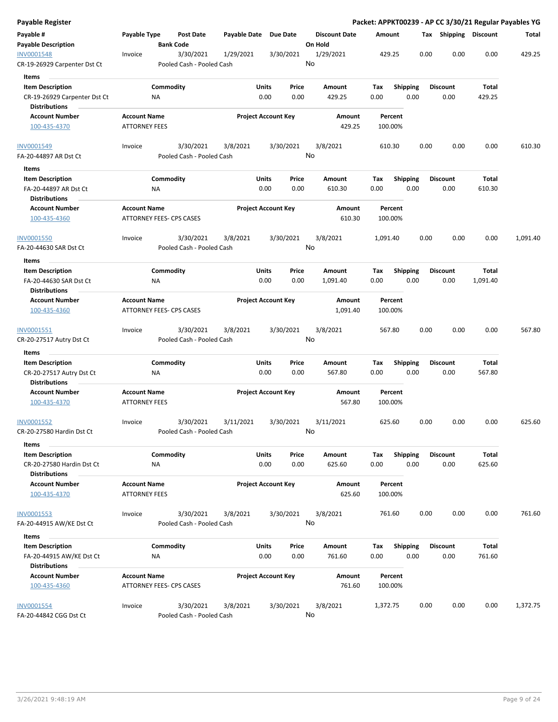| Payable Register                                  |                      |                           |           |                       |                            |       |                      |          |                    |      |      |                 |                       | Packet: APPKT00239 - AP CC 3/30/21 Regular Payables YG |
|---------------------------------------------------|----------------------|---------------------------|-----------|-----------------------|----------------------------|-------|----------------------|----------|--------------------|------|------|-----------------|-----------------------|--------------------------------------------------------|
| Payable #                                         | Payable Type         |                           | Post Date | Payable Date Due Date |                            |       | <b>Discount Date</b> | Amount   |                    |      |      |                 | Tax Shipping Discount | Total                                                  |
| <b>Payable Description</b>                        |                      | <b>Bank Code</b>          |           |                       |                            |       | On Hold              |          |                    |      |      |                 |                       |                                                        |
| <b>INV0001548</b><br>CR-19-26929 Carpenter Dst Ct | Invoice              | Pooled Cash - Pooled Cash | 3/30/2021 | 1/29/2021             | 3/30/2021                  |       | 1/29/2021<br>No      |          | 429.25             |      | 0.00 | 0.00            | 0.00                  | 429.25                                                 |
| Items                                             |                      |                           |           |                       |                            |       |                      |          |                    |      |      |                 |                       |                                                        |
| <b>Item Description</b>                           |                      | Commodity                 |           |                       | Units                      | Price | Amount               | Tax      | <b>Shipping</b>    |      |      | <b>Discount</b> | Total                 |                                                        |
| CR-19-26929 Carpenter Dst Ct                      |                      | ΝA                        |           |                       | 0.00                       | 0.00  | 429.25               | 0.00     |                    | 0.00 |      | 0.00            | 429.25                |                                                        |
| <b>Distributions</b>                              |                      |                           |           |                       |                            |       |                      |          |                    |      |      |                 |                       |                                                        |
| <b>Account Number</b>                             | <b>Account Name</b>  |                           |           |                       | <b>Project Account Key</b> |       | Amount               |          | Percent            |      |      |                 |                       |                                                        |
| 100-435-4370                                      | <b>ATTORNEY FEES</b> |                           |           |                       |                            |       | 429.25               |          | 100.00%            |      |      |                 |                       |                                                        |
| INV0001549                                        | Invoice              |                           | 3/30/2021 | 3/8/2021              | 3/30/2021                  |       | 3/8/2021             |          | 610.30             |      | 0.00 | 0.00            | 0.00                  | 610.30                                                 |
| FA-20-44897 AR Dst Ct                             |                      | Pooled Cash - Pooled Cash |           |                       |                            |       | No                   |          |                    |      |      |                 |                       |                                                        |
| Items                                             |                      |                           |           |                       |                            |       |                      |          |                    |      |      |                 |                       |                                                        |
| <b>Item Description</b>                           |                      | Commodity                 |           |                       | Units                      | Price | Amount               | Tax      | <b>Shipping</b>    |      |      | <b>Discount</b> | Total                 |                                                        |
| FA-20-44897 AR Dst Ct<br><b>Distributions</b>     |                      | ΝA                        |           |                       | 0.00                       | 0.00  | 610.30               | 0.00     |                    | 0.00 |      | 0.00            | 610.30                |                                                        |
|                                                   |                      |                           |           |                       |                            |       |                      |          |                    |      |      |                 |                       |                                                        |
| <b>Account Number</b><br>100-435-4360             | <b>Account Name</b>  | ATTORNEY FEES- CPS CASES  |           |                       | <b>Project Account Key</b> |       | Amount<br>610.30     |          | Percent<br>100.00% |      |      |                 |                       |                                                        |
| <b>INV0001550</b>                                 | Invoice              |                           | 3/30/2021 | 3/8/2021              | 3/30/2021                  |       | 3/8/2021             | 1,091.40 |                    |      | 0.00 | 0.00            | 0.00                  | 1,091.40                                               |
| FA-20-44630 SAR Dst Ct                            |                      | Pooled Cash - Pooled Cash |           |                       |                            |       | No                   |          |                    |      |      |                 |                       |                                                        |
| Items                                             |                      |                           |           |                       |                            |       |                      |          |                    |      |      |                 |                       |                                                        |
| <b>Item Description</b>                           |                      | Commodity                 |           |                       | Units                      | Price | Amount               | Tax      | Shipping           |      |      | <b>Discount</b> | Total                 |                                                        |
| FA-20-44630 SAR Dst Ct                            |                      | ΝA                        |           |                       | 0.00                       | 0.00  | 1,091.40             | 0.00     |                    | 0.00 |      | 0.00            | 1,091.40              |                                                        |
| <b>Distributions</b>                              |                      |                           |           |                       |                            |       |                      |          |                    |      |      |                 |                       |                                                        |
| <b>Account Number</b>                             | <b>Account Name</b>  |                           |           |                       | <b>Project Account Key</b> |       | Amount               |          | Percent            |      |      |                 |                       |                                                        |
| 100-435-4360                                      |                      | ATTORNEY FEES- CPS CASES  |           |                       |                            |       | 1,091.40             |          | 100.00%            |      |      |                 |                       |                                                        |
| INV0001551                                        | Invoice              |                           | 3/30/2021 | 3/8/2021              | 3/30/2021                  |       | 3/8/2021             |          | 567.80             |      | 0.00 | 0.00            | 0.00                  | 567.80                                                 |
| CR-20-27517 Autry Dst Ct                          |                      | Pooled Cash - Pooled Cash |           |                       |                            |       | No                   |          |                    |      |      |                 |                       |                                                        |
| Items                                             |                      |                           |           |                       |                            |       |                      |          |                    |      |      |                 |                       |                                                        |
| <b>Item Description</b>                           |                      | Commodity                 |           |                       | Units                      | Price | Amount               | Tax      | Shipping           |      |      | <b>Discount</b> | Total                 |                                                        |
| CR-20-27517 Autry Dst Ct                          |                      | ΝA                        |           |                       | 0.00                       | 0.00  | 567.80               | 0.00     |                    | 0.00 |      | 0.00            | 567.80                |                                                        |
| <b>Distributions</b>                              |                      |                           |           |                       |                            |       |                      |          |                    |      |      |                 |                       |                                                        |
| <b>Account Number</b>                             | <b>Account Name</b>  |                           |           |                       | <b>Project Account Key</b> |       | Amount               |          | Percent            |      |      |                 |                       |                                                        |
| 100-435-4370                                      | <b>ATTORNEY FEES</b> |                           |           |                       |                            |       | 567.80               |          | 100.00%            |      |      |                 |                       |                                                        |
| INV0001552                                        | Invoice              |                           | 3/30/2021 | 3/11/2021             | 3/30/2021                  |       | 3/11/2021            |          | 625.60             |      | 0.00 | 0.00            | 0.00                  | 625.60                                                 |
| CR-20-27580 Hardin Dst Ct                         |                      | Pooled Cash - Pooled Cash |           |                       |                            |       | No                   |          |                    |      |      |                 |                       |                                                        |
| Items                                             |                      |                           |           |                       |                            |       |                      |          |                    |      |      |                 |                       |                                                        |
| <b>Item Description</b>                           |                      | Commodity                 |           |                       | Units<br>0.00              | Price | Amount               | Tax      | Shipping           |      |      | <b>Discount</b> | Total<br>625.60       |                                                        |
| CR-20-27580 Hardin Dst Ct<br><b>Distributions</b> |                      | <b>NA</b>                 |           |                       |                            | 0.00  | 625.60               | 0.00     |                    | 0.00 |      | 0.00            |                       |                                                        |
| <b>Account Number</b>                             | <b>Account Name</b>  |                           |           |                       | <b>Project Account Key</b> |       | Amount               |          | Percent            |      |      |                 |                       |                                                        |
| 100-435-4370                                      | <b>ATTORNEY FEES</b> |                           |           |                       |                            |       | 625.60               |          | 100.00%            |      |      |                 |                       |                                                        |
| INV0001553                                        | Invoice              |                           | 3/30/2021 | 3/8/2021              | 3/30/2021                  |       | 3/8/2021             |          | 761.60             |      | 0.00 | 0.00            | 0.00                  | 761.60                                                 |
| FA-20-44915 AW/KE Dst Ct                          |                      | Pooled Cash - Pooled Cash |           |                       |                            |       | No                   |          |                    |      |      |                 |                       |                                                        |
| Items                                             |                      |                           |           |                       |                            |       |                      |          |                    |      |      |                 |                       |                                                        |
| <b>Item Description</b>                           |                      | Commodity                 |           |                       | Units                      | Price | Amount               | Tax      | <b>Shipping</b>    |      |      | <b>Discount</b> | Total                 |                                                        |
| FA-20-44915 AW/KE Dst Ct                          |                      | ΝA                        |           |                       | 0.00                       | 0.00  | 761.60               | 0.00     |                    | 0.00 |      | 0.00            | 761.60                |                                                        |
| <b>Distributions</b>                              |                      |                           |           |                       |                            |       |                      |          |                    |      |      |                 |                       |                                                        |
| <b>Account Number</b>                             | <b>Account Name</b>  |                           |           |                       | <b>Project Account Key</b> |       | Amount               |          | Percent            |      |      |                 |                       |                                                        |
| 100-435-4360                                      |                      | ATTORNEY FEES- CPS CASES  |           |                       |                            |       | 761.60               |          | 100.00%            |      |      |                 |                       |                                                        |
| <b>INV0001554</b>                                 | Invoice              |                           | 3/30/2021 | 3/8/2021              | 3/30/2021                  |       | 3/8/2021             | 1,372.75 |                    |      | 0.00 | 0.00            | 0.00                  | 1,372.75                                               |
| FA-20-44842 CGG Dst Ct                            |                      | Pooled Cash - Pooled Cash |           |                       |                            |       | No                   |          |                    |      |      |                 |                       |                                                        |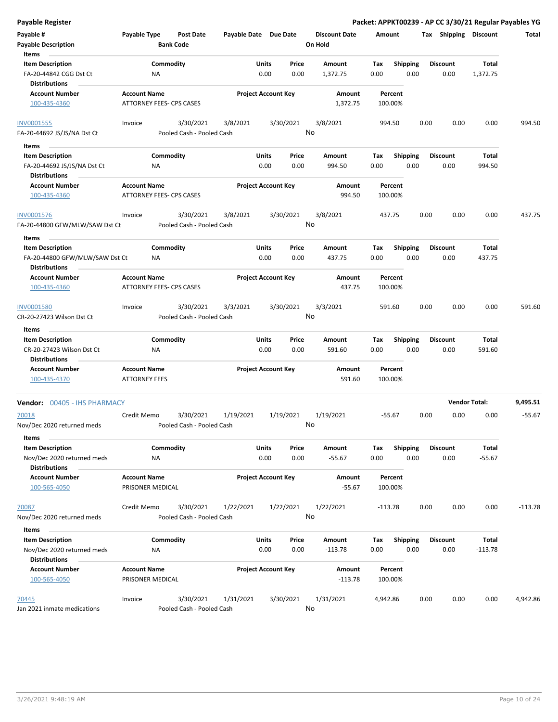| <b>Payable Register</b>                                |                                             |                                        |                            |                      |               |                      |             |                         |      |                         | Packet: APPKT00239 - AP CC 3/30/21 Regular Payables YG |           |
|--------------------------------------------------------|---------------------------------------------|----------------------------------------|----------------------------|----------------------|---------------|----------------------|-------------|-------------------------|------|-------------------------|--------------------------------------------------------|-----------|
| Payable #                                              | Payable Type                                | <b>Post Date</b>                       | Payable Date Due Date      |                      |               | <b>Discount Date</b> | Amount      |                         |      | Tax Shipping Discount   |                                                        | Total     |
| <b>Payable Description</b>                             |                                             | <b>Bank Code</b>                       |                            |                      |               | On Hold              |             |                         |      |                         |                                                        |           |
| Items                                                  |                                             |                                        |                            |                      |               |                      |             |                         |      |                         |                                                        |           |
| <b>Item Description</b>                                |                                             | Commodity                              |                            | Units                | Price         | Amount               | Tax         | Shipping                |      | <b>Discount</b>         | <b>Total</b>                                           |           |
| FA-20-44842 CGG Dst Ct<br><b>Distributions</b>         | ΝA                                          |                                        |                            | 0.00                 | 0.00          | 1,372.75             | 0.00        | 0.00                    |      | 0.00                    | 1,372.75                                               |           |
| <b>Account Number</b>                                  | <b>Account Name</b>                         |                                        | <b>Project Account Key</b> |                      |               | Amount               |             | Percent                 |      |                         |                                                        |           |
| 100-435-4360                                           |                                             | ATTORNEY FEES- CPS CASES               |                            |                      |               | 1,372.75             |             | 100.00%                 |      |                         |                                                        |           |
| <b>INV0001555</b>                                      | Invoice                                     | 3/30/2021                              | 3/8/2021                   |                      | 3/30/2021     | 3/8/2021             |             | 994.50                  | 0.00 | 0.00                    | 0.00                                                   | 994.50    |
| FA-20-44692 JS/JS/NA Dst Ct                            |                                             | Pooled Cash - Pooled Cash              |                            |                      |               | No                   |             |                         |      |                         |                                                        |           |
| Items                                                  |                                             |                                        |                            |                      |               |                      |             |                         |      |                         |                                                        |           |
| <b>Item Description</b><br>FA-20-44692 JS/JS/NA Dst Ct | ΝA                                          | Commodity                              |                            | <b>Units</b><br>0.00 | Price<br>0.00 | Amount<br>994.50     | Tax<br>0.00 | <b>Shipping</b><br>0.00 |      | <b>Discount</b><br>0.00 | Total<br>994.50                                        |           |
| <b>Distributions</b>                                   |                                             |                                        |                            |                      |               |                      |             |                         |      |                         |                                                        |           |
| <b>Account Number</b><br>100-435-4360                  | <b>Account Name</b>                         | ATTORNEY FEES- CPS CASES               | <b>Project Account Key</b> |                      |               | Amount<br>994.50     |             | Percent<br>100.00%      |      |                         |                                                        |           |
| <b>INV0001576</b>                                      | Invoice                                     | 3/30/2021                              | 3/8/2021                   |                      | 3/30/2021     | 3/8/2021             |             | 437.75                  | 0.00 | 0.00                    | 0.00                                                   | 437.75    |
| FA-20-44800 GFW/MLW/SAW Dst Ct                         |                                             | Pooled Cash - Pooled Cash              |                            |                      |               | No                   |             |                         |      |                         |                                                        |           |
| Items<br><b>Item Description</b>                       |                                             | Commodity                              |                            | <b>Units</b>         | Price         | Amount               | Tax         | <b>Shipping</b>         |      | <b>Discount</b>         | <b>Total</b>                                           |           |
| FA-20-44800 GFW/MLW/SAW Dst Ct<br><b>Distributions</b> | ΝA                                          |                                        |                            | 0.00                 | 0.00          | 437.75               | 0.00        | 0.00                    |      | 0.00                    | 437.75                                                 |           |
| <b>Account Number</b>                                  | <b>Account Name</b>                         |                                        | <b>Project Account Key</b> |                      |               | Amount               |             | Percent                 |      |                         |                                                        |           |
| 100-435-4360                                           |                                             | ATTORNEY FEES- CPS CASES               |                            |                      |               | 437.75               |             | 100.00%                 |      |                         |                                                        |           |
| INV0001580                                             | Invoice                                     | 3/30/2021                              | 3/3/2021                   |                      | 3/30/2021     | 3/3/2021<br>No       |             | 591.60                  | 0.00 | 0.00                    | 0.00                                                   | 591.60    |
| CR-20-27423 Wilson Dst Ct                              |                                             | Pooled Cash - Pooled Cash              |                            |                      |               |                      |             |                         |      |                         |                                                        |           |
| Items                                                  |                                             |                                        |                            |                      |               |                      |             |                         |      |                         |                                                        |           |
| <b>Item Description</b>                                |                                             | Commodity                              |                            | Units                | Price         | Amount               | Tax         | <b>Shipping</b>         |      | <b>Discount</b>         | Total                                                  |           |
| CR-20-27423 Wilson Dst Ct                              | NA                                          |                                        |                            | 0.00                 | 0.00          | 591.60               | 0.00        | 0.00                    |      | 0.00                    | 591.60                                                 |           |
| <b>Distributions</b>                                   |                                             |                                        |                            |                      |               |                      |             |                         |      |                         |                                                        |           |
| <b>Account Number</b><br>100-435-4370                  | <b>Account Name</b><br><b>ATTORNEY FEES</b> |                                        | <b>Project Account Key</b> |                      |               | Amount<br>591.60     |             | Percent<br>100.00%      |      |                         |                                                        |           |
| Vendor: 00405 - IHS PHARMACY                           |                                             |                                        |                            |                      |               |                      |             |                         |      |                         | <b>Vendor Total:</b>                                   | 9,495.51  |
| 70018<br>Nov/Dec 2020 returned meds                    | Credit Memo                                 | 3/30/2021<br>Pooled Cash - Pooled Cash | 1/19/2021                  |                      | 1/19/2021     | 1/19/2021<br>No      |             | $-55.67$                | 0.00 | 0.00                    | 0.00                                                   | $-55.67$  |
| Items<br><b>Item Description</b>                       |                                             | Commodity                              |                            | Units                | Price         | Amount               | Tax         | <b>Shipping</b>         |      | <b>Discount</b>         | Total                                                  |           |
| Nov/Dec 2020 returned meds<br><b>Distributions</b>     | ΝA                                          |                                        |                            | 0.00                 | 0.00          | $-55.67$             | 0.00        | 0.00                    |      | 0.00                    | $-55.67$                                               |           |
| <b>Account Number</b><br>100-565-4050                  | <b>Account Name</b><br>PRISONER MEDICAL     |                                        | <b>Project Account Key</b> |                      |               | Amount<br>$-55.67$   |             | Percent<br>100.00%      |      |                         |                                                        |           |
| 70087                                                  | Credit Memo                                 | 3/30/2021                              | 1/22/2021                  |                      | 1/22/2021     | 1/22/2021            |             | -113.78                 | 0.00 | 0.00                    | 0.00                                                   | $-113.78$ |
| Nov/Dec 2020 returned meds                             |                                             | Pooled Cash - Pooled Cash              |                            |                      |               | No                   |             |                         |      |                         |                                                        |           |
| Items                                                  |                                             |                                        |                            |                      |               |                      |             |                         |      |                         |                                                        |           |
| <b>Item Description</b>                                |                                             | Commodity                              |                            | Units                | Price         | Amount               | Tax         | <b>Shipping</b>         |      | <b>Discount</b>         | Total                                                  |           |
| Nov/Dec 2020 returned meds<br><b>Distributions</b>     | ΝA                                          |                                        |                            | 0.00                 | 0.00          | $-113.78$            | 0.00        | 0.00                    |      | 0.00                    | $-113.78$                                              |           |
| <b>Account Number</b>                                  | <b>Account Name</b>                         |                                        | <b>Project Account Key</b> |                      |               | Amount               |             | Percent                 |      |                         |                                                        |           |
| 100-565-4050                                           | PRISONER MEDICAL                            |                                        |                            |                      |               | $-113.78$            |             | 100.00%                 |      |                         |                                                        |           |
| 70445                                                  | Invoice                                     | 3/30/2021                              | 1/31/2021                  |                      | 3/30/2021     | 1/31/2021            | 4,942.86    |                         | 0.00 | 0.00                    | 0.00                                                   | 4,942.86  |
| Jan 2021 inmate medications                            |                                             | Pooled Cash - Pooled Cash              |                            |                      |               | No                   |             |                         |      |                         |                                                        |           |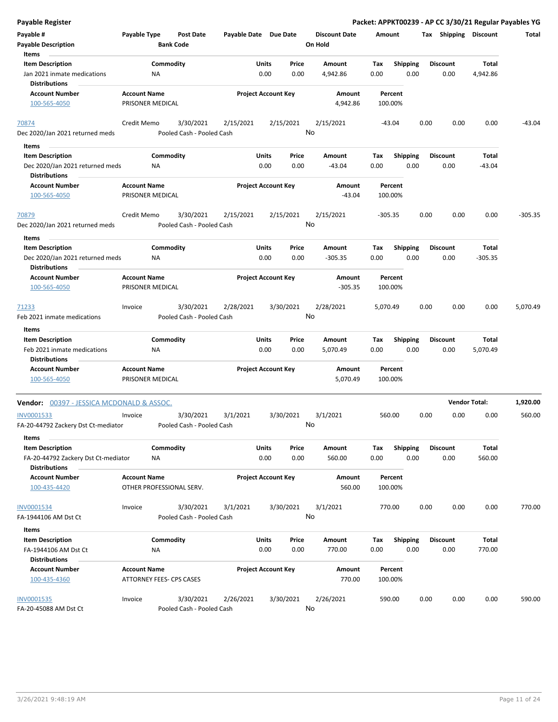| <b>Payable Register</b>                                         |                                                 |                                        |                       |                            |               |                                 |             |                         |      |                         | Packet: APPKT00239 - AP CC 3/30/21 Regular Payables YG |           |
|-----------------------------------------------------------------|-------------------------------------------------|----------------------------------------|-----------------------|----------------------------|---------------|---------------------------------|-------------|-------------------------|------|-------------------------|--------------------------------------------------------|-----------|
| Payable #<br><b>Payable Description</b>                         | Payable Type                                    | <b>Post Date</b><br><b>Bank Code</b>   | Payable Date Due Date |                            |               | <b>Discount Date</b><br>On Hold | Amount      |                         |      | Tax Shipping Discount   |                                                        | Total     |
| Items<br><b>Item Description</b><br>Jan 2021 inmate medications | Commodity<br><b>NA</b>                          |                                        |                       | Units<br>0.00              | Price<br>0.00 | Amount<br>4,942.86              | Tax<br>0.00 | Shipping<br>0.00        |      | <b>Discount</b><br>0.00 | Total<br>4,942.86                                      |           |
| <b>Distributions</b>                                            |                                                 |                                        |                       |                            |               |                                 |             |                         |      |                         |                                                        |           |
| <b>Account Number</b><br>100-565-4050                           | <b>Account Name</b><br>PRISONER MEDICAL         |                                        |                       | <b>Project Account Key</b> |               | Amount<br>4,942.86              | 100.00%     | Percent                 |      |                         |                                                        |           |
| 70874<br>Dec 2020/Jan 2021 returned meds                        | Credit Memo                                     | 3/30/2021<br>Pooled Cash - Pooled Cash | 2/15/2021             |                            | 2/15/2021     | 2/15/2021<br>No                 | $-43.04$    |                         | 0.00 | 0.00                    | 0.00                                                   | $-43.04$  |
| Items                                                           |                                                 |                                        |                       |                            |               |                                 |             |                         |      |                         |                                                        |           |
| <b>Item Description</b>                                         | Commodity                                       |                                        |                       | <b>Units</b>               | Price         | Amount                          | Tax         | <b>Shipping</b>         |      | <b>Discount</b>         | Total                                                  |           |
| Dec 2020/Jan 2021 returned meds<br><b>Distributions</b>         | ΝA                                              |                                        |                       | 0.00                       | 0.00          | $-43.04$                        | 0.00        | 0.00                    |      | 0.00                    | -43.04                                                 |           |
| <b>Account Number</b>                                           | <b>Account Name</b>                             |                                        |                       | <b>Project Account Key</b> |               | Amount                          |             | Percent                 |      |                         |                                                        |           |
| 100-565-4050                                                    | PRISONER MEDICAL                                |                                        |                       |                            |               | $-43.04$                        | 100.00%     |                         |      |                         |                                                        |           |
| 70879<br>Dec 2020/Jan 2021 returned meds                        | Credit Memo                                     | 3/30/2021<br>Pooled Cash - Pooled Cash | 2/15/2021             |                            | 2/15/2021     | 2/15/2021<br>No                 | $-305.35$   |                         | 0.00 | 0.00                    | 0.00                                                   | $-305.35$ |
| Items                                                           |                                                 |                                        |                       |                            |               |                                 |             |                         |      |                         |                                                        |           |
| <b>Item Description</b>                                         | Commodity                                       |                                        |                       | Units                      | Price         | Amount                          | Tax         | Shipping                |      | <b>Discount</b>         | Total                                                  |           |
| Dec 2020/Jan 2021 returned meds<br><b>Distributions</b>         | NA                                              |                                        |                       | 0.00                       | 0.00          | $-305.35$                       | 0.00        | 0.00                    |      | 0.00                    | $-305.35$                                              |           |
| <b>Account Number</b>                                           | <b>Account Name</b>                             |                                        |                       | <b>Project Account Key</b> |               | Amount                          |             | Percent                 |      |                         |                                                        |           |
| 100-565-4050                                                    | PRISONER MEDICAL                                |                                        |                       |                            |               | $-305.35$                       | 100.00%     |                         |      |                         |                                                        |           |
| 71233                                                           | Invoice                                         | 3/30/2021                              | 2/28/2021             |                            | 3/30/2021     | 2/28/2021<br>No                 | 5,070.49    |                         | 0.00 | 0.00                    | 0.00                                                   | 5,070.49  |
| Feb 2021 inmate medications                                     |                                                 | Pooled Cash - Pooled Cash              |                       |                            |               |                                 |             |                         |      |                         |                                                        |           |
| Items                                                           |                                                 |                                        |                       |                            |               |                                 |             |                         |      |                         |                                                        |           |
| <b>Item Description</b>                                         | Commodity                                       |                                        |                       | Units<br>0.00              | Price<br>0.00 | Amount<br>5,070.49              | Tax<br>0.00 | Shipping<br>0.00        |      | <b>Discount</b><br>0.00 | Total<br>5,070.49                                      |           |
| Feb 2021 inmate medications<br><b>Distributions</b>             | <b>NA</b>                                       |                                        |                       |                            |               |                                 |             |                         |      |                         |                                                        |           |
| <b>Account Number</b>                                           | <b>Account Name</b>                             |                                        |                       | <b>Project Account Key</b> |               | Amount                          |             | Percent                 |      |                         |                                                        |           |
| 100-565-4050                                                    | PRISONER MEDICAL                                |                                        |                       |                            |               | 5,070.49                        | 100.00%     |                         |      |                         |                                                        |           |
| <b>Vendor: 00397 - JESSICA MCDONALD &amp; ASSOC.</b>            |                                                 |                                        |                       |                            |               |                                 |             |                         |      |                         | <b>Vendor Total:</b>                                   | 1,920.00  |
| INV0001533<br>FA-20-44792 Zackery Dst Ct-mediator               | Invoice                                         | 3/30/2021<br>Pooled Cash - Pooled Cash | 3/1/2021              |                            | 3/30/2021     | 3/1/2021<br>No                  | 560.00      |                         | 0.00 | 0.00                    | 0.00                                                   | 560.00    |
| Items<br><b>Item Description</b>                                | Commodity                                       |                                        |                       | <b>Units</b>               | Price         | Amount                          | Tax         | <b>Shipping</b>         |      | <b>Discount</b>         | Total                                                  |           |
| FA-20-44792 Zackery Dst Ct-mediator<br><b>Distributions</b>     | NA                                              |                                        |                       | 0.00                       | 0.00          | 560.00                          | 0.00        | 0.00                    |      | 0.00                    | 560.00                                                 |           |
| <b>Account Number</b><br>100-435-4420                           | <b>Account Name</b><br>OTHER PROFESSIONAL SERV. |                                        |                       | <b>Project Account Key</b> |               | Amount<br>560.00                | 100.00%     | Percent                 |      |                         |                                                        |           |
| <b>INV0001534</b><br>FA-1944106 AM Dst Ct                       | Invoice                                         | 3/30/2021<br>Pooled Cash - Pooled Cash | 3/1/2021              |                            | 3/30/2021     | 3/1/2021<br>No                  | 770.00      |                         | 0.00 | 0.00                    | 0.00                                                   | 770.00    |
| Items                                                           |                                                 |                                        |                       |                            |               |                                 |             |                         |      |                         |                                                        |           |
| <b>Item Description</b><br>FA-1944106 AM Dst Ct                 | Commodity<br>NA                                 |                                        |                       | <b>Units</b><br>0.00       | Price<br>0.00 | Amount<br>770.00                | Tax<br>0.00 | <b>Shipping</b><br>0.00 |      | <b>Discount</b><br>0.00 | Total<br>770.00                                        |           |
| <b>Distributions</b><br><b>Account Number</b><br>100-435-4360   | <b>Account Name</b><br>ATTORNEY FEES- CPS CASES |                                        |                       | <b>Project Account Key</b> |               | Amount<br>770.00                | 100.00%     | Percent                 |      |                         |                                                        |           |
| <b>INV0001535</b><br>FA-20-45088 AM Dst Ct                      | Invoice                                         | 3/30/2021<br>Pooled Cash - Pooled Cash | 2/26/2021             |                            | 3/30/2021     | 2/26/2021<br>No                 | 590.00      |                         | 0.00 | 0.00                    | 0.00                                                   | 590.00    |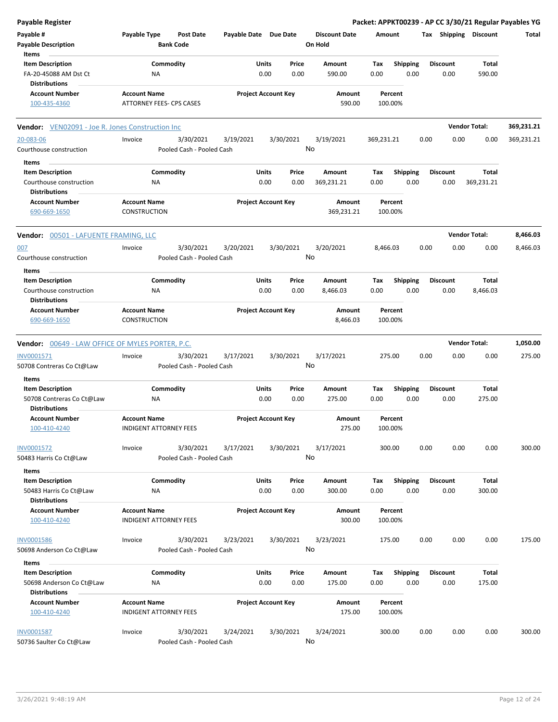| Payable #<br>Payable Type<br>Post Date<br>Payable Date Due Date<br><b>Discount Date</b><br>Tax Shipping Discount<br>Amount<br><b>Payable Description</b><br><b>Bank Code</b><br>On Hold<br>Items<br><b>Item Description</b><br>Commodity<br>Shipping<br><b>Discount</b><br>Units<br>Price<br>Amount<br>Tax<br>Total<br>0.00<br>0.00<br>FA-20-45088 AM Dst Ct<br>NA<br>0.00<br>590.00<br>0.00<br>0.00<br>590.00<br><b>Distributions</b><br><b>Project Account Key</b><br><b>Account Number</b><br><b>Account Name</b><br>Amount<br>Percent<br>ATTORNEY FEES- CPS CASES<br>590.00<br>100.00%<br>100-435-4360<br><b>Vendor Total:</b><br>Vendor: VEN02091 - Joe R. Jones Construction Inc<br>20-083-06<br>3/30/2021<br>3/19/2021<br>3/30/2021<br>3/19/2021<br>369,231.21<br>0.00<br>0.00<br>0.00<br>Invoice<br>No<br>Courthouse construction<br>Pooled Cash - Pooled Cash<br>Items<br>Commodity<br>Units<br><b>Shipping</b><br><b>Item Description</b><br>Price<br>Amount<br><b>Discount</b><br>Total<br>Тах<br>0.00<br>0.00<br>369,231.21<br>0.00<br>0.00<br>0.00<br>369,231.21<br>Courthouse construction<br>ΝA<br>Distributions<br><b>Project Account Key</b><br><b>Account Number</b><br><b>Account Name</b><br>Amount<br>Percent<br>690-669-1650<br><b>CONSTRUCTION</b><br>369,231.21<br>100.00%<br><b>Vendor Total:</b><br>Vendor: 00501 - LAFUENTE FRAMING, LLC<br>3/30/2021<br>3/20/2021<br>3/30/2021<br>3/20/2021<br>0.00<br>0.00<br>0.00<br>007<br>Invoice<br>8,466.03<br>No<br>Pooled Cash - Pooled Cash<br>Courthouse construction<br>Items<br>Commodity<br>Units<br><b>Shipping</b><br>Total<br><b>Item Description</b><br>Price<br><b>Discount</b><br>Amount<br>Тах<br>0.00<br>0.00<br>0.00<br>0.00<br>8,466.03<br>Courthouse construction<br>ΝA<br>8,466.03<br>0.00<br>Distributions<br><b>Project Account Key</b><br><b>Account Number</b><br><b>Account Name</b><br>Amount<br>Percent<br>690-669-1650<br>CONSTRUCTION<br>8,466.03<br>100.00%<br><b>Vendor Total:</b><br><b>Vendor:</b> 00649 - LAW OFFICE OF MYLES PORTER, P.C. | Total<br>369,231.21<br>369,231.21 |
|-----------------------------------------------------------------------------------------------------------------------------------------------------------------------------------------------------------------------------------------------------------------------------------------------------------------------------------------------------------------------------------------------------------------------------------------------------------------------------------------------------------------------------------------------------------------------------------------------------------------------------------------------------------------------------------------------------------------------------------------------------------------------------------------------------------------------------------------------------------------------------------------------------------------------------------------------------------------------------------------------------------------------------------------------------------------------------------------------------------------------------------------------------------------------------------------------------------------------------------------------------------------------------------------------------------------------------------------------------------------------------------------------------------------------------------------------------------------------------------------------------------------------------------------------------------------------------------------------------------------------------------------------------------------------------------------------------------------------------------------------------------------------------------------------------------------------------------------------------------------------------------------------------------------------------------------------------------------------------------------------------------------------------------------------|-----------------------------------|
|                                                                                                                                                                                                                                                                                                                                                                                                                                                                                                                                                                                                                                                                                                                                                                                                                                                                                                                                                                                                                                                                                                                                                                                                                                                                                                                                                                                                                                                                                                                                                                                                                                                                                                                                                                                                                                                                                                                                                                                                                                               |                                   |
|                                                                                                                                                                                                                                                                                                                                                                                                                                                                                                                                                                                                                                                                                                                                                                                                                                                                                                                                                                                                                                                                                                                                                                                                                                                                                                                                                                                                                                                                                                                                                                                                                                                                                                                                                                                                                                                                                                                                                                                                                                               |                                   |
|                                                                                                                                                                                                                                                                                                                                                                                                                                                                                                                                                                                                                                                                                                                                                                                                                                                                                                                                                                                                                                                                                                                                                                                                                                                                                                                                                                                                                                                                                                                                                                                                                                                                                                                                                                                                                                                                                                                                                                                                                                               |                                   |
|                                                                                                                                                                                                                                                                                                                                                                                                                                                                                                                                                                                                                                                                                                                                                                                                                                                                                                                                                                                                                                                                                                                                                                                                                                                                                                                                                                                                                                                                                                                                                                                                                                                                                                                                                                                                                                                                                                                                                                                                                                               |                                   |
|                                                                                                                                                                                                                                                                                                                                                                                                                                                                                                                                                                                                                                                                                                                                                                                                                                                                                                                                                                                                                                                                                                                                                                                                                                                                                                                                                                                                                                                                                                                                                                                                                                                                                                                                                                                                                                                                                                                                                                                                                                               |                                   |
|                                                                                                                                                                                                                                                                                                                                                                                                                                                                                                                                                                                                                                                                                                                                                                                                                                                                                                                                                                                                                                                                                                                                                                                                                                                                                                                                                                                                                                                                                                                                                                                                                                                                                                                                                                                                                                                                                                                                                                                                                                               |                                   |
|                                                                                                                                                                                                                                                                                                                                                                                                                                                                                                                                                                                                                                                                                                                                                                                                                                                                                                                                                                                                                                                                                                                                                                                                                                                                                                                                                                                                                                                                                                                                                                                                                                                                                                                                                                                                                                                                                                                                                                                                                                               |                                   |
|                                                                                                                                                                                                                                                                                                                                                                                                                                                                                                                                                                                                                                                                                                                                                                                                                                                                                                                                                                                                                                                                                                                                                                                                                                                                                                                                                                                                                                                                                                                                                                                                                                                                                                                                                                                                                                                                                                                                                                                                                                               |                                   |
|                                                                                                                                                                                                                                                                                                                                                                                                                                                                                                                                                                                                                                                                                                                                                                                                                                                                                                                                                                                                                                                                                                                                                                                                                                                                                                                                                                                                                                                                                                                                                                                                                                                                                                                                                                                                                                                                                                                                                                                                                                               |                                   |
|                                                                                                                                                                                                                                                                                                                                                                                                                                                                                                                                                                                                                                                                                                                                                                                                                                                                                                                                                                                                                                                                                                                                                                                                                                                                                                                                                                                                                                                                                                                                                                                                                                                                                                                                                                                                                                                                                                                                                                                                                                               |                                   |
|                                                                                                                                                                                                                                                                                                                                                                                                                                                                                                                                                                                                                                                                                                                                                                                                                                                                                                                                                                                                                                                                                                                                                                                                                                                                                                                                                                                                                                                                                                                                                                                                                                                                                                                                                                                                                                                                                                                                                                                                                                               |                                   |
|                                                                                                                                                                                                                                                                                                                                                                                                                                                                                                                                                                                                                                                                                                                                                                                                                                                                                                                                                                                                                                                                                                                                                                                                                                                                                                                                                                                                                                                                                                                                                                                                                                                                                                                                                                                                                                                                                                                                                                                                                                               |                                   |
|                                                                                                                                                                                                                                                                                                                                                                                                                                                                                                                                                                                                                                                                                                                                                                                                                                                                                                                                                                                                                                                                                                                                                                                                                                                                                                                                                                                                                                                                                                                                                                                                                                                                                                                                                                                                                                                                                                                                                                                                                                               |                                   |
|                                                                                                                                                                                                                                                                                                                                                                                                                                                                                                                                                                                                                                                                                                                                                                                                                                                                                                                                                                                                                                                                                                                                                                                                                                                                                                                                                                                                                                                                                                                                                                                                                                                                                                                                                                                                                                                                                                                                                                                                                                               | 8,466.03                          |
|                                                                                                                                                                                                                                                                                                                                                                                                                                                                                                                                                                                                                                                                                                                                                                                                                                                                                                                                                                                                                                                                                                                                                                                                                                                                                                                                                                                                                                                                                                                                                                                                                                                                                                                                                                                                                                                                                                                                                                                                                                               | 8,466.03                          |
|                                                                                                                                                                                                                                                                                                                                                                                                                                                                                                                                                                                                                                                                                                                                                                                                                                                                                                                                                                                                                                                                                                                                                                                                                                                                                                                                                                                                                                                                                                                                                                                                                                                                                                                                                                                                                                                                                                                                                                                                                                               |                                   |
|                                                                                                                                                                                                                                                                                                                                                                                                                                                                                                                                                                                                                                                                                                                                                                                                                                                                                                                                                                                                                                                                                                                                                                                                                                                                                                                                                                                                                                                                                                                                                                                                                                                                                                                                                                                                                                                                                                                                                                                                                                               |                                   |
|                                                                                                                                                                                                                                                                                                                                                                                                                                                                                                                                                                                                                                                                                                                                                                                                                                                                                                                                                                                                                                                                                                                                                                                                                                                                                                                                                                                                                                                                                                                                                                                                                                                                                                                                                                                                                                                                                                                                                                                                                                               |                                   |
|                                                                                                                                                                                                                                                                                                                                                                                                                                                                                                                                                                                                                                                                                                                                                                                                                                                                                                                                                                                                                                                                                                                                                                                                                                                                                                                                                                                                                                                                                                                                                                                                                                                                                                                                                                                                                                                                                                                                                                                                                                               |                                   |
|                                                                                                                                                                                                                                                                                                                                                                                                                                                                                                                                                                                                                                                                                                                                                                                                                                                                                                                                                                                                                                                                                                                                                                                                                                                                                                                                                                                                                                                                                                                                                                                                                                                                                                                                                                                                                                                                                                                                                                                                                                               |                                   |
|                                                                                                                                                                                                                                                                                                                                                                                                                                                                                                                                                                                                                                                                                                                                                                                                                                                                                                                                                                                                                                                                                                                                                                                                                                                                                                                                                                                                                                                                                                                                                                                                                                                                                                                                                                                                                                                                                                                                                                                                                                               | 1,050.00                          |
| INV0001571<br>3/30/2021<br>3/17/2021<br>3/30/2021<br>3/17/2021<br>Invoice<br>275.00<br>0.00<br>0.00<br>0.00                                                                                                                                                                                                                                                                                                                                                                                                                                                                                                                                                                                                                                                                                                                                                                                                                                                                                                                                                                                                                                                                                                                                                                                                                                                                                                                                                                                                                                                                                                                                                                                                                                                                                                                                                                                                                                                                                                                                   | 275.00                            |
| No<br>50708 Contreras Co Ct@Law<br>Pooled Cash - Pooled Cash                                                                                                                                                                                                                                                                                                                                                                                                                                                                                                                                                                                                                                                                                                                                                                                                                                                                                                                                                                                                                                                                                                                                                                                                                                                                                                                                                                                                                                                                                                                                                                                                                                                                                                                                                                                                                                                                                                                                                                                  |                                   |
| Items<br>Commodity<br><b>Item Description</b><br>Units<br>Price<br>Amount<br><b>Shipping</b><br><b>Discount</b><br>Total<br>Tax                                                                                                                                                                                                                                                                                                                                                                                                                                                                                                                                                                                                                                                                                                                                                                                                                                                                                                                                                                                                                                                                                                                                                                                                                                                                                                                                                                                                                                                                                                                                                                                                                                                                                                                                                                                                                                                                                                               |                                   |
| 0.00<br>0.00<br>275.00<br>0.00<br>0.00<br>275.00<br>50708 Contreras Co Ct@Law<br>0.00<br>ΝA<br>Distributions                                                                                                                                                                                                                                                                                                                                                                                                                                                                                                                                                                                                                                                                                                                                                                                                                                                                                                                                                                                                                                                                                                                                                                                                                                                                                                                                                                                                                                                                                                                                                                                                                                                                                                                                                                                                                                                                                                                                  |                                   |
| <b>Project Account Key</b><br>Account Number<br><b>Account Name</b><br>Amount<br>Percent<br>100-410-4240<br>INDIGENT ATTORNEY FEES<br>275.00<br>100.00%                                                                                                                                                                                                                                                                                                                                                                                                                                                                                                                                                                                                                                                                                                                                                                                                                                                                                                                                                                                                                                                                                                                                                                                                                                                                                                                                                                                                                                                                                                                                                                                                                                                                                                                                                                                                                                                                                       |                                   |
| 300.00<br>0.00<br>0.00<br>INV0001572<br>3/30/2021<br>3/17/2021<br>3/30/2021<br>3/17/2021<br>0.00<br>Invoice                                                                                                                                                                                                                                                                                                                                                                                                                                                                                                                                                                                                                                                                                                                                                                                                                                                                                                                                                                                                                                                                                                                                                                                                                                                                                                                                                                                                                                                                                                                                                                                                                                                                                                                                                                                                                                                                                                                                   | 300.00                            |
| No<br>Pooled Cash - Pooled Cash<br>50483 Harris Co Ct@Law                                                                                                                                                                                                                                                                                                                                                                                                                                                                                                                                                                                                                                                                                                                                                                                                                                                                                                                                                                                                                                                                                                                                                                                                                                                                                                                                                                                                                                                                                                                                                                                                                                                                                                                                                                                                                                                                                                                                                                                     |                                   |
| Items<br><b>Item Description</b><br>Commodity<br>Units<br><b>Shipping</b><br><b>Discount</b><br>Total<br>Price<br>Amount<br>Tax<br>50483 Harris Co Ct@Law<br>0.00<br>0.00<br>300.00<br>0.00<br>0.00<br>0.00<br>300.00<br>ΝA                                                                                                                                                                                                                                                                                                                                                                                                                                                                                                                                                                                                                                                                                                                                                                                                                                                                                                                                                                                                                                                                                                                                                                                                                                                                                                                                                                                                                                                                                                                                                                                                                                                                                                                                                                                                                   |                                   |
| <b>Distributions</b>                                                                                                                                                                                                                                                                                                                                                                                                                                                                                                                                                                                                                                                                                                                                                                                                                                                                                                                                                                                                                                                                                                                                                                                                                                                                                                                                                                                                                                                                                                                                                                                                                                                                                                                                                                                                                                                                                                                                                                                                                          |                                   |
| <b>Account Name</b><br><b>Project Account Key</b><br><b>Account Number</b><br>Amount<br>Percent<br>100-410-4240<br><b>INDIGENT ATTORNEY FEES</b><br>300.00<br>100.00%                                                                                                                                                                                                                                                                                                                                                                                                                                                                                                                                                                                                                                                                                                                                                                                                                                                                                                                                                                                                                                                                                                                                                                                                                                                                                                                                                                                                                                                                                                                                                                                                                                                                                                                                                                                                                                                                         |                                   |
| <b>INV0001586</b><br>3/30/2021<br>3/23/2021<br>3/30/2021<br>3/23/2021<br>175.00<br>0.00<br>0.00<br>0.00<br>Invoice                                                                                                                                                                                                                                                                                                                                                                                                                                                                                                                                                                                                                                                                                                                                                                                                                                                                                                                                                                                                                                                                                                                                                                                                                                                                                                                                                                                                                                                                                                                                                                                                                                                                                                                                                                                                                                                                                                                            | 175.00                            |
| No<br>50698 Anderson Co Ct@Law<br>Pooled Cash - Pooled Cash                                                                                                                                                                                                                                                                                                                                                                                                                                                                                                                                                                                                                                                                                                                                                                                                                                                                                                                                                                                                                                                                                                                                                                                                                                                                                                                                                                                                                                                                                                                                                                                                                                                                                                                                                                                                                                                                                                                                                                                   |                                   |
| Items                                                                                                                                                                                                                                                                                                                                                                                                                                                                                                                                                                                                                                                                                                                                                                                                                                                                                                                                                                                                                                                                                                                                                                                                                                                                                                                                                                                                                                                                                                                                                                                                                                                                                                                                                                                                                                                                                                                                                                                                                                         |                                   |
| <b>Item Description</b><br>Commodity<br>Units<br><b>Shipping</b><br><b>Discount</b><br>Total<br>Price<br>Amount<br>Tax<br>0.00<br>0.00<br>0.00<br>50698 Anderson Co Ct@Law<br>NA<br>175.00<br>0.00<br>0.00<br>175.00                                                                                                                                                                                                                                                                                                                                                                                                                                                                                                                                                                                                                                                                                                                                                                                                                                                                                                                                                                                                                                                                                                                                                                                                                                                                                                                                                                                                                                                                                                                                                                                                                                                                                                                                                                                                                          |                                   |
| <b>Distributions</b>                                                                                                                                                                                                                                                                                                                                                                                                                                                                                                                                                                                                                                                                                                                                                                                                                                                                                                                                                                                                                                                                                                                                                                                                                                                                                                                                                                                                                                                                                                                                                                                                                                                                                                                                                                                                                                                                                                                                                                                                                          |                                   |
| <b>Account Name</b><br><b>Project Account Key</b><br><b>Account Number</b><br>Amount<br>Percent<br>INDIGENT ATTORNEY FEES<br>175.00<br>100.00%<br>100-410-4240                                                                                                                                                                                                                                                                                                                                                                                                                                                                                                                                                                                                                                                                                                                                                                                                                                                                                                                                                                                                                                                                                                                                                                                                                                                                                                                                                                                                                                                                                                                                                                                                                                                                                                                                                                                                                                                                                |                                   |
| <b>INV0001587</b><br>3/30/2021<br>3/24/2021<br>3/30/2021<br>3/24/2021<br>300.00<br>0.00<br>0.00<br>0.00<br>Invoice<br>No<br>50736 Saulter Co Ct@Law<br>Pooled Cash - Pooled Cash                                                                                                                                                                                                                                                                                                                                                                                                                                                                                                                                                                                                                                                                                                                                                                                                                                                                                                                                                                                                                                                                                                                                                                                                                                                                                                                                                                                                                                                                                                                                                                                                                                                                                                                                                                                                                                                              |                                   |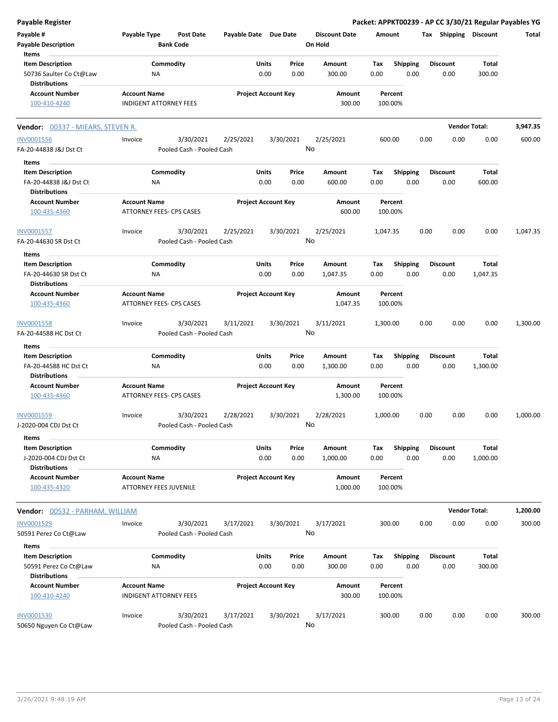| <b>Payable Register</b>                                                    |                                                        |                       |                            |                                 | Packet: APPKT00239 - AP CC 3/30/21 Regular Payables YG |                         |                      |          |
|----------------------------------------------------------------------------|--------------------------------------------------------|-----------------------|----------------------------|---------------------------------|--------------------------------------------------------|-------------------------|----------------------|----------|
| Payable #<br><b>Payable Description</b>                                    | Payable Type<br><b>Post Date</b><br><b>Bank Code</b>   | Payable Date Due Date |                            | <b>Discount Date</b><br>On Hold | Amount                                                 | Tax Shipping Discount   |                      | Total    |
| Items                                                                      |                                                        |                       |                            |                                 |                                                        | <b>Discount</b>         |                      |          |
| <b>Item Description</b><br>50736 Saulter Co Ct@Law<br><b>Distributions</b> | Commodity<br>ΝA                                        | Units                 | Price<br>0.00<br>0.00      | Amount<br>300.00                | Tax<br><b>Shipping</b><br>0.00<br>0.00                 | 0.00                    | Total<br>300.00      |          |
| <b>Account Number</b><br>100-410-4240                                      | <b>Account Name</b><br><b>INDIGENT ATTORNEY FEES</b>   |                       | <b>Project Account Key</b> | Amount<br>300.00                | Percent<br>100.00%                                     |                         |                      |          |
| Vendor: 00337 - MIEARS, STEVEN R.                                          |                                                        |                       |                            |                                 |                                                        |                         | <b>Vendor Total:</b> | 3,947.35 |
| <b>INV0001556</b>                                                          | 3/30/2021<br>Invoice                                   | 2/25/2021             | 3/30/2021                  | 2/25/2021                       | 600.00                                                 | 0.00<br>0.00            | 0.00                 | 600.00   |
| FA-20-44838 J&J Dst Ct                                                     | Pooled Cash - Pooled Cash                              |                       |                            | No                              |                                                        |                         |                      |          |
| Items                                                                      |                                                        |                       |                            |                                 |                                                        |                         |                      |          |
| <b>Item Description</b><br>FA-20-44838 J&J Dst Ct<br><b>Distributions</b>  | Commodity<br>ΝA                                        | Units                 | Price<br>0.00<br>0.00      | Amount<br>600.00                | Tax<br><b>Shipping</b><br>0.00<br>0.00                 | <b>Discount</b><br>0.00 | Total<br>600.00      |          |
| <b>Account Number</b><br>100-435-4360                                      | <b>Account Name</b><br><b>ATTORNEY FEES- CPS CASES</b> |                       | <b>Project Account Key</b> | Amount<br>600.00                | Percent<br>100.00%                                     |                         |                      |          |
| <b>INV0001557</b><br>FA-20-44630 SR Dst Ct                                 | 3/30/2021<br>Invoice<br>Pooled Cash - Pooled Cash      | 2/25/2021             | 3/30/2021                  | 2/25/2021<br>No                 | 1,047.35                                               | 0.00<br>0.00            | 0.00                 | 1,047.35 |
| Items                                                                      |                                                        |                       |                            |                                 |                                                        |                         |                      |          |
| <b>Item Description</b><br>FA-20-44630 SR Dst Ct                           | Commodity<br>NA                                        | Units                 | Price<br>0.00<br>0.00      | Amount<br>1,047.35              | <b>Shipping</b><br>Tax<br>0.00<br>0.00                 | Discount<br>0.00        | Total<br>1,047.35    |          |
| <b>Distributions</b><br><b>Account Number</b><br>100-435-4360              | <b>Account Name</b><br>ATTORNEY FEES- CPS CASES        |                       | <b>Project Account Key</b> | Amount<br>1,047.35              | Percent<br>100.00%                                     |                         |                      |          |
| INV0001558<br>FA-20-44588 HC Dst Ct                                        | 3/30/2021<br>Invoice<br>Pooled Cash - Pooled Cash      | 3/11/2021             | 3/30/2021                  | 3/11/2021<br>No                 | 1,300.00                                               | 0.00<br>0.00            | 0.00                 | 1,300.00 |
| Items                                                                      |                                                        |                       |                            |                                 |                                                        |                         |                      |          |
| <b>Item Description</b><br>FA-20-44588 HC Dst Ct<br><b>Distributions</b>   | Commodity<br>ΝA                                        | Units                 | Price<br>0.00<br>0.00      | Amount<br>1,300.00              | <b>Shipping</b><br>Tax<br>0.00<br>0.00                 | Discount<br>0.00        | Total<br>1,300.00    |          |
| <b>Account Number</b>                                                      | <b>Account Name</b>                                    |                       | <b>Project Account Key</b> | Amount                          | Percent                                                |                         |                      |          |
| 100-435-4360                                                               | ATTORNEY FEES- CPS CASES                               |                       |                            | 1,300.00                        | 100.00%                                                |                         |                      |          |
| INV0001559<br>J-2020-004 CDJ Dst Ct                                        | 3/30/2021<br>Invoice<br>Pooled Cash - Pooled Cash      | 2/28/2021             | 3/30/2021                  | 2/28/2021<br>No                 | 1,000.00                                               | 0.00<br>0.00            | 0.00                 | 1,000.00 |
| Items                                                                      |                                                        |                       |                            |                                 |                                                        |                         |                      |          |
| <b>Item Description</b><br>J-2020-004 CDJ Dst Ct<br><b>Distributions</b>   | Commodity<br>ΝA                                        | Units                 | Price<br>0.00<br>0.00      | Amount<br>1,000.00              | <b>Shipping</b><br>Tax<br>0.00<br>0.00                 | Discount<br>0.00        | Total<br>1,000.00    |          |
| <b>Account Number</b><br>100-435-4320                                      | <b>Account Name</b><br>ATTORNEY FEES JUVENILE          |                       | <b>Project Account Key</b> | Amount<br>1,000.00              | Percent<br>100.00%                                     |                         |                      |          |
| Vendor: 00532 - PARHAM, WILLIAM                                            |                                                        |                       |                            |                                 |                                                        |                         | <b>Vendor Total:</b> | 1,200.00 |
| INV0001529                                                                 | 3/30/2021<br>Invoice                                   | 3/17/2021             | 3/30/2021                  | 3/17/2021                       | 300.00                                                 | 0.00<br>0.00            | 0.00                 | 300.00   |
| 50591 Perez Co Ct@Law                                                      | Pooled Cash - Pooled Cash                              |                       |                            | No                              |                                                        |                         |                      |          |
| Items                                                                      |                                                        |                       |                            |                                 |                                                        |                         |                      |          |
| <b>Item Description</b><br>50591 Perez Co Ct@Law<br><b>Distributions</b>   | Commodity<br>ΝA                                        | Units                 | Price<br>0.00<br>0.00      | Amount<br>300.00                | Shipping<br>Tax<br>0.00<br>0.00                        | <b>Discount</b><br>0.00 | Total<br>300.00      |          |
| <b>Account Number</b><br>100-410-4240                                      | <b>Account Name</b><br><b>INDIGENT ATTORNEY FEES</b>   |                       | <b>Project Account Key</b> | Amount<br>300.00                | Percent<br>100.00%                                     |                         |                      |          |
| <b>INV0001530</b><br>50650 Nguyen Co Ct@Law                                | 3/30/2021<br>Invoice<br>Pooled Cash - Pooled Cash      | 3/17/2021             | 3/30/2021                  | 3/17/2021<br>No                 | 300.00                                                 | 0.00<br>0.00            | 0.00                 | 300.00   |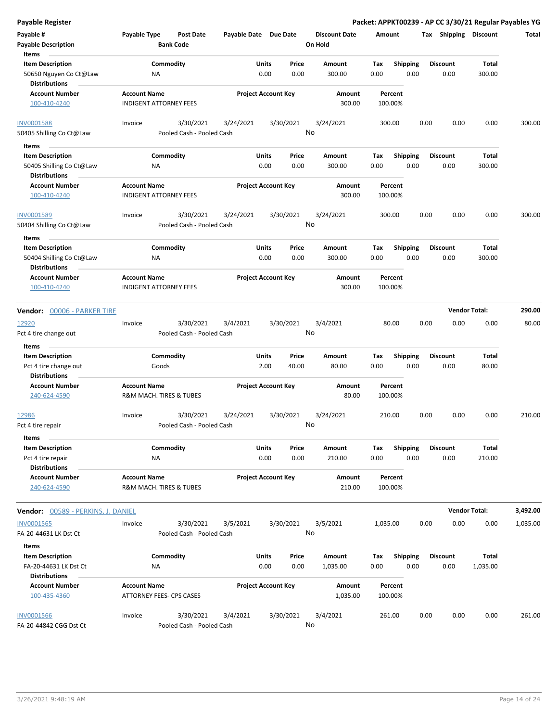**Payable Register Packet: APPKT00239 - AP CC 3/30/21 Regular Payables YG**

| Payable #                                        | Payable Type        | Post Date                     | Payable Date Due Date |                            |           | <b>Discount Date</b> | Amount             |                 |      | Tax Shipping         | <b>Discount</b> | Total    |
|--------------------------------------------------|---------------------|-------------------------------|-----------------------|----------------------------|-----------|----------------------|--------------------|-----------------|------|----------------------|-----------------|----------|
| <b>Payable Description</b>                       |                     | <b>Bank Code</b>              |                       |                            |           | On Hold              |                    |                 |      |                      |                 |          |
| Items                                            |                     |                               |                       |                            |           |                      |                    |                 |      |                      |                 |          |
| <b>Item Description</b>                          |                     | Commodity                     |                       | Units                      | Price     | Amount               | Tax                | <b>Shipping</b> |      | <b>Discount</b>      | Total           |          |
| 50650 Nguyen Co Ct@Law<br><b>Distributions</b>   | ΝA                  |                               |                       | 0.00                       | 0.00      | 300.00               | 0.00               | 0.00            |      | 0.00                 | 300.00          |          |
| <b>Account Number</b>                            | <b>Account Name</b> |                               |                       | <b>Project Account Key</b> |           | Amount               | Percent            |                 |      |                      |                 |          |
| 100-410-4240                                     |                     | <b>INDIGENT ATTORNEY FEES</b> |                       |                            |           | 300.00               | 100.00%            |                 |      |                      |                 |          |
| <b>INV0001588</b>                                | Invoice             | 3/30/2021                     | 3/24/2021             |                            | 3/30/2021 | 3/24/2021            | 300.00             |                 | 0.00 | 0.00                 | 0.00            | 300.00   |
| 50405 Shilling Co Ct@Law                         |                     | Pooled Cash - Pooled Cash     |                       |                            |           | No                   |                    |                 |      |                      |                 |          |
| Items                                            |                     |                               |                       |                            |           |                      |                    |                 |      |                      |                 |          |
| <b>Item Description</b>                          |                     | Commodity                     |                       | Units                      | Price     | Amount               | Tax                | <b>Shipping</b> |      | <b>Discount</b>      | Total           |          |
| 50405 Shilling Co Ct@Law<br><b>Distributions</b> | ΝA                  |                               |                       | 0.00                       | 0.00      | 300.00               | 0.00               | 0.00            |      | 0.00                 | 300.00          |          |
| <b>Account Number</b>                            | <b>Account Name</b> |                               |                       | <b>Project Account Key</b> |           | Amount               | Percent            |                 |      |                      |                 |          |
| 100-410-4240                                     |                     | <b>INDIGENT ATTORNEY FEES</b> |                       |                            |           | 300.00               | 100.00%            |                 |      |                      |                 |          |
| INV0001589                                       | Invoice             | 3/30/2021                     | 3/24/2021             |                            | 3/30/2021 | 3/24/2021            | 300.00             |                 | 0.00 | 0.00                 | 0.00            | 300.00   |
| 50404 Shilling Co Ct@Law                         |                     | Pooled Cash - Pooled Cash     |                       |                            |           | No                   |                    |                 |      |                      |                 |          |
| Items                                            |                     |                               |                       |                            |           |                      |                    |                 |      |                      |                 |          |
| <b>Item Description</b>                          |                     | Commodity                     |                       | Units                      | Price     | Amount               | Tax                | Shipping        |      | <b>Discount</b>      | Total           |          |
| 50404 Shilling Co Ct@Law<br><b>Distributions</b> | <b>NA</b>           |                               |                       | 0.00                       | 0.00      | 300.00               | 0.00               | 0.00            |      | 0.00                 | 300.00          |          |
| <b>Account Number</b>                            | <b>Account Name</b> |                               |                       | <b>Project Account Key</b> |           | Amount               | Percent            |                 |      |                      |                 |          |
| 100-410-4240                                     |                     | <b>INDIGENT ATTORNEY FEES</b> |                       |                            |           | 300.00               | 100.00%            |                 |      |                      |                 |          |
| Vendor: 00006 - PARKER TIRE                      |                     |                               |                       |                            |           |                      |                    |                 |      | <b>Vendor Total:</b> |                 | 290.00   |
| 12920                                            | Invoice             | 3/30/2021                     | 3/4/2021              |                            | 3/30/2021 | 3/4/2021             | 80.00              |                 | 0.00 | 0.00                 | 0.00            | 80.00    |
| Pct 4 tire change out                            |                     | Pooled Cash - Pooled Cash     |                       |                            |           | No                   |                    |                 |      |                      |                 |          |
| <b>Items</b>                                     |                     |                               |                       |                            |           |                      |                    |                 |      |                      |                 |          |
| <b>Item Description</b>                          |                     | Commodity                     |                       | Units                      | Price     | Amount               | Tax                | <b>Shipping</b> |      | <b>Discount</b>      | Total           |          |
| Pct 4 tire change out                            |                     | Goods                         |                       | 2.00                       | 40.00     | 80.00                | 0.00               | 0.00            |      | 0.00                 | 80.00           |          |
| <b>Distributions</b>                             |                     |                               |                       |                            |           |                      |                    |                 |      |                      |                 |          |
| <b>Account Number</b>                            | <b>Account Name</b> |                               |                       | <b>Project Account Key</b> |           | Amount               | Percent            |                 |      |                      |                 |          |
| 240-624-4590                                     |                     | R&M MACH. TIRES & TUBES       |                       |                            |           | 80.00                | 100.00%            |                 |      |                      |                 |          |
| <u>12986</u>                                     | Invoice             | 3/30/2021                     | 3/24/2021             |                            | 3/30/2021 | 3/24/2021            | 210.00             |                 | 0.00 | 0.00                 | 0.00            | 210.00   |
| Pct 4 tire repair                                |                     | Pooled Cash - Pooled Cash     |                       |                            |           | No                   |                    |                 |      |                      |                 |          |
| Items                                            |                     |                               |                       |                            |           |                      |                    |                 |      |                      |                 |          |
| <b>Item Description</b>                          |                     | Commodity                     |                       | Units                      | Price     | Amount               | Tax                | <b>Shipping</b> |      | <b>Discount</b>      | Total           |          |
| Pct 4 tire repair                                | NA                  |                               |                       | 0.00                       | 0.00      | 210.00               | 0.00               | 0.00            |      | 0.00                 | 210.00          |          |
| <b>Distributions</b>                             |                     |                               |                       |                            |           |                      |                    |                 |      |                      |                 |          |
| <b>Account Number</b><br>240-624-4590            | <b>Account Name</b> | R&M MACH. TIRES & TUBES       |                       | <b>Project Account Key</b> |           | Amount<br>210.00     | Percent<br>100.00% |                 |      |                      |                 |          |
| Vendor: 00589 - PERKINS, J. DANIEL               |                     |                               |                       |                            |           |                      |                    |                 |      | <b>Vendor Total:</b> |                 | 3,492.00 |
| <b>INV0001565</b>                                | Invoice             | 3/30/2021                     | 3/5/2021              |                            | 3/30/2021 | 3/5/2021             | 1,035.00           |                 | 0.00 | 0.00                 | 0.00            | 1,035.00 |
| FA-20-44631 LK Dst Ct                            |                     | Pooled Cash - Pooled Cash     |                       |                            |           | No                   |                    |                 |      |                      |                 |          |
|                                                  |                     |                               |                       |                            |           |                      |                    |                 |      |                      |                 |          |
| Items<br><b>Item Description</b>                 |                     |                               |                       |                            |           | Amount               |                    |                 |      |                      |                 |          |
|                                                  |                     | Commodity                     |                       | Units                      | Price     |                      | Tax                | <b>Shipping</b> |      | <b>Discount</b>      | Total           |          |
| FA-20-44631 LK Dst Ct<br><b>Distributions</b>    | ΝA                  |                               |                       | 0.00                       | 0.00      | 1,035.00             | 0.00               | 0.00            |      | 0.00                 | 1,035.00        |          |
| <b>Account Number</b>                            |                     |                               |                       |                            |           |                      |                    |                 |      |                      |                 |          |
| 100-435-4360                                     | <b>Account Name</b> | ATTORNEY FEES- CPS CASES      |                       | <b>Project Account Key</b> |           | Amount<br>1,035.00   | Percent<br>100.00% |                 |      |                      |                 |          |
| <b>INV0001566</b>                                | Invoice             | 3/30/2021                     | 3/4/2021              |                            | 3/30/2021 | 3/4/2021             | 261.00             |                 | 0.00 | 0.00                 | 0.00            | 261.00   |
| FA-20-44842 CGG Dst Ct                           |                     | Pooled Cash - Pooled Cash     |                       |                            |           | No                   |                    |                 |      |                      |                 |          |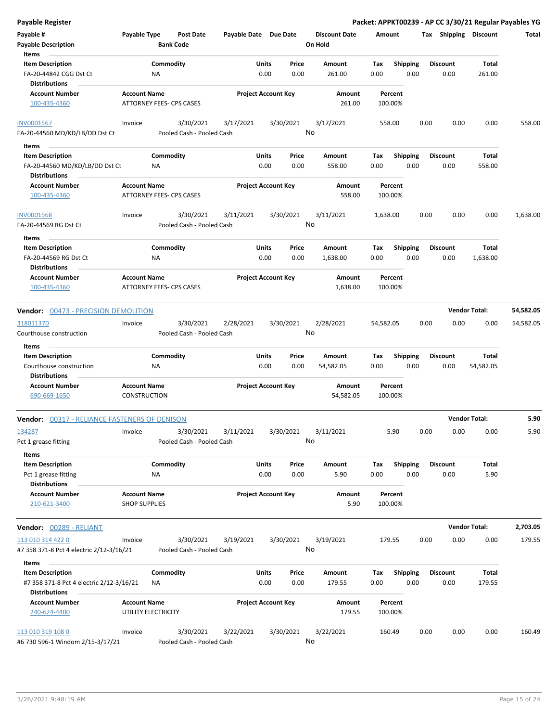| <b>Payable Register</b>                                          |                                 |                  |                           |                       |       |                            |                      |           |                 |      |                       |                      | Packet: APPKT00239 - AP CC 3/30/21 Regular Payables YG |
|------------------------------------------------------------------|---------------------------------|------------------|---------------------------|-----------------------|-------|----------------------------|----------------------|-----------|-----------------|------|-----------------------|----------------------|--------------------------------------------------------|
| Payable #                                                        | Payable Type                    |                  | Post Date                 | Payable Date Due Date |       |                            | <b>Discount Date</b> |           | Amount          |      | Tax Shipping Discount |                      | Total                                                  |
| <b>Payable Description</b>                                       |                                 | <b>Bank Code</b> |                           |                       |       |                            | On Hold              |           |                 |      |                       |                      |                                                        |
| Items                                                            |                                 |                  |                           |                       |       |                            |                      |           |                 |      |                       |                      |                                                        |
| <b>Item Description</b>                                          |                                 | Commodity        |                           |                       | Units | Price                      | Amount               | Tax       | <b>Shipping</b> |      | <b>Discount</b>       | Total                |                                                        |
| FA-20-44842 CGG Dst Ct                                           |                                 | ΝA               |                           |                       | 0.00  | 0.00                       | 261.00               | 0.00      | 0.00            |      | 0.00                  | 261.00               |                                                        |
| Distributions                                                    |                                 |                  |                           |                       |       |                            |                      |           |                 |      |                       |                      |                                                        |
| <b>Account Number</b>                                            | <b>Account Name</b>             |                  |                           |                       |       | <b>Project Account Key</b> | Amount               |           | Percent         |      |                       |                      |                                                        |
| 100-435-4360                                                     | ATTORNEY FEES- CPS CASES        |                  |                           |                       |       |                            | 261.00               |           | 100.00%         |      |                       |                      |                                                        |
| <b>INV0001567</b>                                                | Invoice                         |                  | 3/30/2021                 | 3/17/2021             |       | 3/30/2021                  | 3/17/2021            |           | 558.00          | 0.00 | 0.00                  | 0.00                 | 558.00                                                 |
| FA-20-44560 MD/KD/LB/DD Dst Ct                                   |                                 |                  | Pooled Cash - Pooled Cash |                       |       |                            | No                   |           |                 |      |                       |                      |                                                        |
| Items<br>$\sim$                                                  |                                 |                  |                           |                       |       |                            |                      |           |                 |      |                       |                      |                                                        |
| <b>Item Description</b>                                          |                                 | Commodity        |                           |                       | Units | Price                      | Amount               | Tax       | <b>Shipping</b> |      | <b>Discount</b>       | Total                |                                                        |
| FA-20-44560 MD/KD/LB/DD Dst Ct<br>Distributions                  |                                 | NA               |                           |                       | 0.00  | 0.00                       | 558.00               | 0.00      | 0.00            |      | 0.00                  | 558.00               |                                                        |
| <b>Account Number</b>                                            | <b>Account Name</b>             |                  |                           |                       |       | <b>Project Account Key</b> | Amount               |           | Percent         |      |                       |                      |                                                        |
| 100-435-4360                                                     | <b>ATTORNEY FEES- CPS CASES</b> |                  |                           |                       |       |                            | 558.00               |           | 100.00%         |      |                       |                      |                                                        |
| <b>INV0001568</b>                                                | Invoice                         |                  | 3/30/2021                 | 3/11/2021             |       | 3/30/2021                  | 3/11/2021            | 1,638.00  |                 | 0.00 | 0.00                  | 0.00                 | 1,638.00                                               |
| FA-20-44569 RG Dst Ct                                            |                                 |                  | Pooled Cash - Pooled Cash |                       |       |                            | No                   |           |                 |      |                       |                      |                                                        |
| Items                                                            |                                 |                  |                           |                       |       |                            |                      |           |                 |      |                       |                      |                                                        |
| <b>Item Description</b>                                          |                                 | Commodity        |                           |                       | Units | Price                      | Amount               | Tax       | <b>Shipping</b> |      | <b>Discount</b>       | Total                |                                                        |
| FA-20-44569 RG Dst Ct                                            |                                 | ΝA               |                           |                       | 0.00  | 0.00                       | 1,638.00             | 0.00      | 0.00            |      | 0.00                  | 1,638.00             |                                                        |
| <b>Distributions</b>                                             |                                 |                  |                           |                       |       |                            |                      |           |                 |      |                       |                      |                                                        |
| <b>Account Number</b>                                            | <b>Account Name</b>             |                  |                           |                       |       | <b>Project Account Key</b> | Amount               |           | Percent         |      |                       |                      |                                                        |
| 100-435-4360                                                     | ATTORNEY FEES- CPS CASES        |                  |                           |                       |       |                            | 1,638.00             |           | 100.00%         |      |                       |                      |                                                        |
| Vendor: 00473 - PRECISION DEMOLITION                             |                                 |                  |                           |                       |       |                            |                      |           |                 |      |                       | <b>Vendor Total:</b> | 54,582.05                                              |
| 318011370                                                        | Invoice                         |                  | 3/30/2021                 | 2/28/2021             |       | 3/30/2021                  | 2/28/2021            | 54,582.05 |                 | 0.00 | 0.00                  | 0.00                 | 54,582.05                                              |
| Courthouse construction                                          |                                 |                  | Pooled Cash - Pooled Cash |                       |       |                            | No                   |           |                 |      |                       |                      |                                                        |
| Items                                                            |                                 |                  |                           |                       |       |                            |                      |           |                 |      |                       |                      |                                                        |
| <b>Item Description</b>                                          |                                 | Commodity        |                           |                       | Units | Price                      | Amount               | Tax       | <b>Shipping</b> |      | <b>Discount</b>       | Total                |                                                        |
| Courthouse construction                                          |                                 | ΝA               |                           |                       | 0.00  | 0.00                       | 54,582.05            | 0.00      | 0.00            |      | 0.00                  | 54,582.05            |                                                        |
| <b>Distributions</b>                                             |                                 |                  |                           |                       |       |                            |                      |           |                 |      |                       |                      |                                                        |
| <b>Account Number</b>                                            | <b>Account Name</b>             |                  |                           |                       |       | <b>Project Account Key</b> | Amount               |           | Percent         |      |                       |                      |                                                        |
| 690-669-1650                                                     | CONSTRUCTION                    |                  |                           |                       |       |                            | 54,582.05            |           | 100.00%         |      |                       |                      |                                                        |
| <b>Vendor:</b> 00317 - RELIANCE FASTENERS OF DENISON             |                                 |                  |                           |                       |       |                            |                      |           |                 |      |                       | <b>Vendor Total:</b> | 5.90                                                   |
| 134287                                                           | Invoice                         |                  | 3/30/2021                 | 3/11/2021             |       | 3/30/2021                  | 3/11/2021            |           | 5.90            | 0.00 | 0.00                  | 0.00                 | 5.90                                                   |
| Pct 1 grease fitting                                             |                                 |                  | Pooled Cash - Pooled Cash |                       |       |                            | No                   |           |                 |      |                       |                      |                                                        |
|                                                                  |                                 |                  |                           |                       |       |                            |                      |           |                 |      |                       |                      |                                                        |
| Items                                                            |                                 |                  |                           |                       |       |                            |                      |           |                 |      |                       |                      |                                                        |
| <b>Item Description</b>                                          |                                 | Commodity        |                           |                       | Units | Price                      | Amount               | Tax       | <b>Shipping</b> |      | <b>Discount</b>       | Total                |                                                        |
| Pct 1 grease fitting<br><b>Distributions</b>                     |                                 | ΝA               |                           |                       | 0.00  | 0.00                       | 5.90                 | 0.00      | 0.00            |      | 0.00                  | 5.90                 |                                                        |
| <b>Account Number</b>                                            | <b>Account Name</b>             |                  |                           |                       |       | <b>Project Account Key</b> | Amount               |           | Percent         |      |                       |                      |                                                        |
| 210-621-3400                                                     | <b>SHOP SUPPLIES</b>            |                  |                           |                       |       |                            | 5.90                 |           | 100.00%         |      |                       |                      |                                                        |
| Vendor: 00289 - RELIANT                                          |                                 |                  |                           |                       |       |                            |                      |           |                 |      |                       | <b>Vendor Total:</b> | 2,703.05                                               |
| 113 010 314 422 0                                                | Invoice                         |                  |                           |                       |       | 3/30/2021                  | 3/19/2021            |           | 179.55          | 0.00 | 0.00                  | 0.00                 | 179.55                                                 |
|                                                                  |                                 |                  | 3/30/2021                 | 3/19/2021             |       |                            | No                   |           |                 |      |                       |                      |                                                        |
| #7 358 371-8 Pct 4 electric 2/12-3/16/21                         |                                 |                  | Pooled Cash - Pooled Cash |                       |       |                            |                      |           |                 |      |                       |                      |                                                        |
| Items                                                            |                                 |                  |                           |                       |       |                            |                      |           |                 |      |                       |                      |                                                        |
| <b>Item Description</b>                                          |                                 | Commodity        |                           |                       | Units | Price                      | Amount               | Tax       | <b>Shipping</b> |      | <b>Discount</b>       | Total                |                                                        |
| #7 358 371-8 Pct 4 electric 2/12-3/16/21<br><b>Distributions</b> |                                 | ΝA               |                           |                       | 0.00  | 0.00                       | 179.55               | 0.00      | 0.00            |      | 0.00                  | 179.55               |                                                        |
| <b>Account Number</b>                                            | <b>Account Name</b>             |                  |                           |                       |       | <b>Project Account Key</b> | Amount               |           | Percent         |      |                       |                      |                                                        |
| 240-624-4400                                                     | UTILITY ELECTRICITY             |                  |                           |                       |       |                            | 179.55               |           | 100.00%         |      |                       |                      |                                                        |
| 113 010 319 108 0                                                | Invoice                         |                  | 3/30/2021                 | 3/22/2021             |       | 3/30/2021                  | 3/22/2021            |           | 160.49          | 0.00 | 0.00                  | 0.00                 | 160.49                                                 |
| #6 730 596-1 Windom 2/15-3/17/21                                 |                                 |                  | Pooled Cash - Pooled Cash |                       |       |                            | No                   |           |                 |      |                       |                      |                                                        |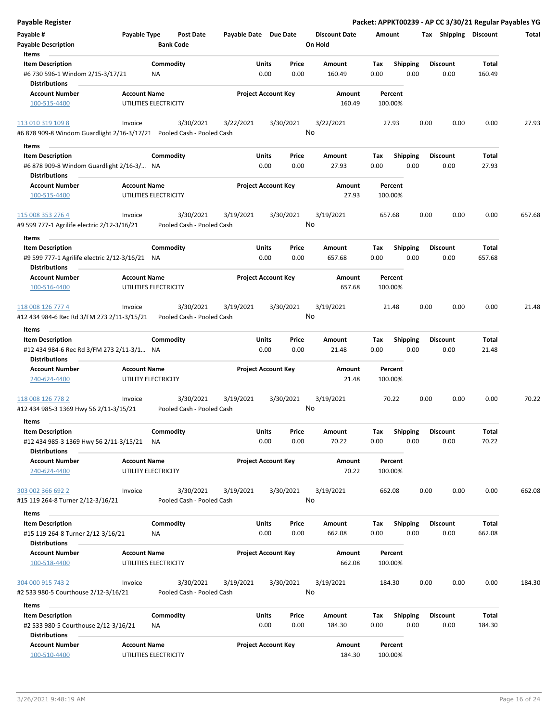| <b>Payable Register</b>                                               |                     |                                        |                       |                            |                 |                      |         |                 |      |                       |        | Packet: APPKT00239 - AP CC 3/30/21 Regular Payables YG |
|-----------------------------------------------------------------------|---------------------|----------------------------------------|-----------------------|----------------------------|-----------------|----------------------|---------|-----------------|------|-----------------------|--------|--------------------------------------------------------|
| Payable #                                                             | Payable Type        | <b>Post Date</b>                       | Payable Date Due Date |                            |                 | <b>Discount Date</b> | Amount  |                 |      | Tax Shipping Discount |        | Total                                                  |
| <b>Payable Description</b>                                            |                     | <b>Bank Code</b>                       |                       |                            |                 | On Hold              |         |                 |      |                       |        |                                                        |
| Items                                                                 |                     |                                        |                       |                            |                 |                      |         |                 |      |                       |        |                                                        |
| <b>Item Description</b>                                               |                     | Commodity                              |                       | Units                      | Price           | Amount               | Tax     | <b>Shipping</b> |      | <b>Discount</b>       | Total  |                                                        |
| #6 730 596-1 Windom 2/15-3/17/21                                      |                     | <b>NA</b>                              |                       | 0.00                       | 0.00            | 160.49               | 0.00    | 0.00            |      | 0.00                  | 160.49 |                                                        |
| <b>Distributions</b>                                                  |                     |                                        |                       |                            |                 |                      |         |                 |      |                       |        |                                                        |
| <b>Account Number</b>                                                 | <b>Account Name</b> |                                        |                       | <b>Project Account Key</b> |                 | Amount               |         | Percent         |      |                       |        |                                                        |
| 100-515-4400                                                          |                     | UTILITIES ELECTRICITY                  |                       |                            |                 | 160.49               | 100.00% |                 |      |                       |        |                                                        |
| 113 010 319 109 8                                                     | Invoice             | 3/30/2021                              | 3/22/2021             |                            | 3/30/2021       | 3/22/2021            |         | 27.93           | 0.00 | 0.00                  | 0.00   | 27.93                                                  |
| #6 878 909-8 Windom Guardlight 2/16-3/17/21 Pooled Cash - Pooled Cash |                     |                                        |                       |                            | No              |                      |         |                 |      |                       |        |                                                        |
|                                                                       |                     |                                        |                       |                            |                 |                      |         |                 |      |                       |        |                                                        |
| Items                                                                 |                     |                                        |                       |                            |                 |                      |         |                 |      |                       |        |                                                        |
| <b>Item Description</b>                                               |                     | Commodity                              |                       | Units                      | Price           | Amount               | Tax     | <b>Shipping</b> |      | <b>Discount</b>       | Total  |                                                        |
| #6 878 909-8 Windom Guardlight 2/16-3/ NA                             |                     |                                        |                       | 0.00                       | 0.00            | 27.93                | 0.00    | 0.00            |      | 0.00                  | 27.93  |                                                        |
| <b>Distributions</b>                                                  |                     |                                        |                       |                            |                 |                      |         |                 |      |                       |        |                                                        |
| <b>Account Number</b>                                                 | <b>Account Name</b> |                                        |                       | <b>Project Account Key</b> |                 | Amount               |         | Percent         |      |                       |        |                                                        |
| 100-515-4400                                                          |                     | UTILITIES ELECTRICITY                  |                       |                            |                 | 27.93                | 100.00% |                 |      |                       |        |                                                        |
|                                                                       |                     |                                        |                       |                            |                 |                      |         |                 |      |                       |        |                                                        |
| 115 008 353 276 4<br>#9 599 777-1 Agrilife electric 2/12-3/16/21      | Invoice             | 3/30/2021<br>Pooled Cash - Pooled Cash | 3/19/2021             |                            | 3/30/2021<br>No | 3/19/2021            | 657.68  |                 | 0.00 | 0.00                  | 0.00   | 657.68                                                 |
| Items                                                                 |                     |                                        |                       |                            |                 |                      |         |                 |      |                       |        |                                                        |
| <b>Item Description</b>                                               |                     | Commodity                              |                       | Units                      | Price           | Amount               | Tax     | <b>Shipping</b> |      | <b>Discount</b>       | Total  |                                                        |
| #9 599 777-1 Agrilife electric 2/12-3/16/21 NA                        |                     |                                        |                       | 0.00                       | 0.00            | 657.68               | 0.00    | 0.00            |      | 0.00                  | 657.68 |                                                        |
| <b>Distributions</b>                                                  |                     |                                        |                       |                            |                 |                      |         |                 |      |                       |        |                                                        |
| <b>Account Number</b>                                                 | <b>Account Name</b> |                                        |                       | <b>Project Account Key</b> |                 | Amount               |         | Percent         |      |                       |        |                                                        |
| 100-516-4400                                                          |                     | UTILITIES ELECTRICITY                  |                       |                            |                 | 657.68               | 100.00% |                 |      |                       |        |                                                        |
|                                                                       |                     |                                        |                       |                            |                 |                      |         |                 |      |                       |        |                                                        |
| 118 008 126 777 4                                                     | Invoice             | 3/30/2021                              | 3/19/2021             |                            | 3/30/2021       | 3/19/2021            |         | 21.48           | 0.00 | 0.00                  | 0.00   | 21.48                                                  |
| #12 434 984-6 Rec Rd 3/FM 273 2/11-3/15/21                            |                     | Pooled Cash - Pooled Cash              |                       |                            | No              |                      |         |                 |      |                       |        |                                                        |
| Items                                                                 |                     |                                        |                       |                            |                 |                      |         |                 |      |                       |        |                                                        |
| <b>Item Description</b>                                               |                     | Commodity                              |                       | Units                      | Price           | Amount               | Tax     | <b>Shipping</b> |      | <b>Discount</b>       | Total  |                                                        |
| #12 434 984-6 Rec Rd 3/FM 273 2/11-3/1 NA                             |                     |                                        |                       | 0.00                       | 0.00            | 21.48                | 0.00    | 0.00            |      | 0.00                  | 21.48  |                                                        |
| <b>Distributions</b>                                                  |                     |                                        |                       |                            |                 |                      |         |                 |      |                       |        |                                                        |
| <b>Account Number</b>                                                 | <b>Account Name</b> |                                        |                       | <b>Project Account Key</b> |                 | Amount               |         | Percent         |      |                       |        |                                                        |
| 240-624-4400                                                          |                     | UTILITY ELECTRICITY                    |                       |                            |                 | 21.48                | 100.00% |                 |      |                       |        |                                                        |
|                                                                       |                     |                                        |                       |                            |                 |                      |         |                 |      |                       |        |                                                        |
| 118 008 126 778 2                                                     | Invoice             | 3/30/2021                              | 3/19/2021             |                            | 3/30/2021       | 3/19/2021            |         | 70.22           | 0.00 | 0.00                  | 0.00   | 70.22                                                  |
| #12 434 985-3 1369 Hwy 56 2/11-3/15/21                                |                     | Pooled Cash - Pooled Cash              |                       |                            |                 | No                   |         |                 |      |                       |        |                                                        |
| Items                                                                 |                     |                                        |                       |                            |                 |                      |         |                 |      |                       |        |                                                        |
| <b>Item Description</b>                                               |                     | Commodity                              |                       | Units                      | Price           | Amount               | Tax     | Shipping        |      | <b>Discount</b>       | Total  |                                                        |
| #12 434 985-3 1369 Hwy 56 2/11-3/15/21                                |                     | NA                                     |                       | 0.00                       | 0.00            | 70.22                | 0.00    | 0.00            |      | 0.00                  | 70.22  |                                                        |
| <b>Distributions</b>                                                  |                     |                                        |                       |                            |                 |                      |         |                 |      |                       |        |                                                        |
| <b>Account Number</b>                                                 | <b>Account Name</b> |                                        |                       | <b>Project Account Key</b> |                 | Amount               |         | Percent         |      |                       |        |                                                        |
| 240-624-4400                                                          |                     | UTILITY ELECTRICITY                    |                       |                            |                 | 70.22                | 100.00% |                 |      |                       |        |                                                        |
|                                                                       |                     |                                        |                       |                            |                 |                      |         |                 |      |                       |        |                                                        |
| 303 002 366 692 2                                                     | Invoice             | 3/30/2021                              | 3/19/2021             |                            | 3/30/2021       | 3/19/2021            | 662.08  |                 | 0.00 | 0.00                  | 0.00   | 662.08                                                 |
| #15 119 264-8 Turner 2/12-3/16/21                                     |                     | Pooled Cash - Pooled Cash              |                       |                            | No              |                      |         |                 |      |                       |        |                                                        |
| Items                                                                 |                     |                                        |                       |                            |                 |                      |         |                 |      |                       |        |                                                        |
| <b>Item Description</b>                                               |                     | Commodity                              |                       | Units                      | Price           | Amount               | Tax     | Shipping        |      | <b>Discount</b>       | Total  |                                                        |
| #15 119 264-8 Turner 2/12-3/16/21                                     |                     | ΝA                                     |                       | 0.00                       | 0.00            | 662.08               | 0.00    | 0.00            |      | 0.00                  | 662.08 |                                                        |
| <b>Distributions</b>                                                  |                     |                                        |                       |                            |                 |                      |         |                 |      |                       |        |                                                        |
| <b>Account Number</b>                                                 | <b>Account Name</b> |                                        |                       | <b>Project Account Key</b> |                 | Amount               |         | Percent         |      |                       |        |                                                        |
| 100-518-4400                                                          |                     | UTILITIES ELECTRICITY                  |                       |                            |                 | 662.08               | 100.00% |                 |      |                       |        |                                                        |
|                                                                       |                     |                                        |                       |                            |                 |                      |         |                 |      |                       |        |                                                        |
| 304 000 915 743 2                                                     | Invoice             | 3/30/2021                              | 3/19/2021             |                            | 3/30/2021       | 3/19/2021            | 184.30  |                 | 0.00 | 0.00                  | 0.00   | 184.30                                                 |
| #2 533 980-5 Courthouse 2/12-3/16/21                                  |                     | Pooled Cash - Pooled Cash              |                       |                            | No              |                      |         |                 |      |                       |        |                                                        |
|                                                                       |                     |                                        |                       |                            |                 |                      |         |                 |      |                       |        |                                                        |
| Items                                                                 |                     |                                        |                       |                            |                 |                      |         |                 |      |                       |        |                                                        |
| <b>Item Description</b>                                               |                     | Commodity                              |                       | Units                      | Price           | Amount               | Tax     | <b>Shipping</b> |      | <b>Discount</b>       | Total  |                                                        |
| #2 533 980-5 Courthouse 2/12-3/16/21                                  |                     | ΝA                                     |                       | 0.00                       | 0.00            | 184.30               | 0.00    | 0.00            |      | 0.00                  | 184.30 |                                                        |
| <b>Distributions</b>                                                  |                     |                                        |                       |                            |                 |                      |         |                 |      |                       |        |                                                        |
| <b>Account Number</b>                                                 | <b>Account Name</b> |                                        |                       | <b>Project Account Key</b> |                 | Amount               |         | Percent         |      |                       |        |                                                        |
| 100-510-4400                                                          |                     | UTILITIES ELECTRICITY                  |                       |                            |                 | 184.30               |         | 100.00%         |      |                       |        |                                                        |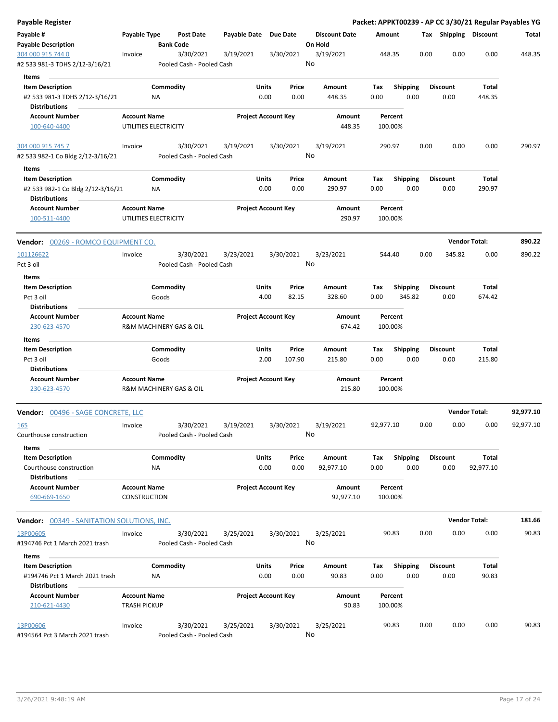| Payable Register                                          |                                                |                  |                                        |                       |                            |               |                 |                      |             |                    |      |                 |        |                       | Packet: APPKT00239 - AP CC 3/30/21 Regular Payables YG |
|-----------------------------------------------------------|------------------------------------------------|------------------|----------------------------------------|-----------------------|----------------------------|---------------|-----------------|----------------------|-------------|--------------------|------|-----------------|--------|-----------------------|--------------------------------------------------------|
| Payable #<br><b>Payable Description</b>                   | Payable Type                                   | <b>Bank Code</b> | <b>Post Date</b>                       | Payable Date Due Date |                            |               | On Hold         | <b>Discount Date</b> | Amount      |                    |      |                 |        | Tax Shipping Discount | Total                                                  |
| 304 000 915 744 0<br>#2 533 981-3 TDHS 2/12-3/16/21       | Invoice                                        |                  | 3/30/2021<br>Pooled Cash - Pooled Cash | 3/19/2021             |                            | 3/30/2021     | 3/19/2021<br>No |                      | 448.35      |                    |      | 0.00            | 0.00   | 0.00                  | 448.35                                                 |
| Items                                                     |                                                |                  |                                        |                       |                            |               |                 |                      |             |                    |      |                 |        |                       |                                                        |
| <b>Item Description</b>                                   |                                                | Commodity        |                                        |                       | Units                      | Price         | Amount          |                      | Tax         | <b>Shipping</b>    |      | <b>Discount</b> |        | Total                 |                                                        |
| #2 533 981-3 TDHS 2/12-3/16/21                            |                                                | ΝA               |                                        |                       | 0.00                       | 0.00          |                 | 448.35               | 0.00        |                    | 0.00 |                 | 0.00   | 448.35                |                                                        |
| <b>Distributions</b>                                      |                                                |                  |                                        |                       |                            |               |                 |                      |             |                    |      |                 |        |                       |                                                        |
| <b>Account Number</b>                                     | <b>Account Name</b>                            |                  |                                        |                       | <b>Project Account Key</b> |               |                 | Amount               |             | Percent            |      |                 |        |                       |                                                        |
| 100-640-4400                                              | UTILITIES ELECTRICITY                          |                  |                                        |                       |                            |               |                 | 448.35               |             | 100.00%            |      |                 |        |                       |                                                        |
| 304 000 915 745 7                                         | Invoice                                        |                  | 3/30/2021                              | 3/19/2021             |                            | 3/30/2021     | 3/19/2021       |                      | 290.97      |                    |      | 0.00            | 0.00   | 0.00                  | 290.97                                                 |
| #2 533 982-1 Co Bldg 2/12-3/16/21                         |                                                |                  | Pooled Cash - Pooled Cash              |                       |                            |               | No              |                      |             |                    |      |                 |        |                       |                                                        |
| Items                                                     |                                                |                  |                                        |                       |                            |               |                 |                      |             |                    |      |                 |        |                       |                                                        |
| <b>Item Description</b>                                   |                                                | Commodity        |                                        |                       | Units                      | Price         | Amount          |                      | Tax         | <b>Shipping</b>    |      | <b>Discount</b> |        | Total                 |                                                        |
| #2 533 982-1 Co Bldg 2/12-3/16/21<br><b>Distributions</b> |                                                | NA               |                                        |                       | 0.00                       | 0.00          |                 | 290.97               | 0.00        |                    | 0.00 |                 | 0.00   | 290.97                |                                                        |
| <b>Account Number</b>                                     | <b>Account Name</b>                            |                  |                                        |                       | <b>Project Account Key</b> |               |                 | Amount               |             | Percent            |      |                 |        |                       |                                                        |
| 100-511-4400                                              | UTILITIES ELECTRICITY                          |                  |                                        |                       |                            |               |                 | 290.97               |             | 100.00%            |      |                 |        |                       |                                                        |
| Vendor: 00269 - ROMCO EQUIPMENT CO.                       |                                                |                  |                                        |                       |                            |               |                 |                      |             |                    |      |                 |        | <b>Vendor Total:</b>  | 890.22                                                 |
| 101126622                                                 | Invoice                                        |                  | 3/30/2021                              | 3/23/2021             |                            | 3/30/2021     | 3/23/2021       |                      | 544.40      |                    |      | 0.00            | 345.82 | 0.00                  | 890.22                                                 |
| Pct 3 oil                                                 |                                                |                  | Pooled Cash - Pooled Cash              |                       |                            |               | No              |                      |             |                    |      |                 |        |                       |                                                        |
| Items                                                     |                                                |                  |                                        |                       |                            |               |                 |                      |             |                    |      |                 |        |                       |                                                        |
| <b>Item Description</b>                                   |                                                | Commodity        |                                        |                       | Units                      | Price         | Amount          |                      | Tax         | <b>Shipping</b>    |      | <b>Discount</b> |        | Total                 |                                                        |
| Pct 3 oil                                                 |                                                | Goods            |                                        |                       | 4.00                       | 82.15         |                 | 328.60               | 0.00        | 345.82             |      |                 | 0.00   | 674.42                |                                                        |
| <b>Distributions</b>                                      |                                                |                  |                                        |                       |                            |               |                 |                      |             |                    |      |                 |        |                       |                                                        |
| <b>Account Number</b>                                     | <b>Account Name</b>                            |                  |                                        |                       | <b>Project Account Key</b> |               |                 | Amount               |             | Percent            |      |                 |        |                       |                                                        |
| 230-623-4570                                              | R&M MACHINERY GAS & OIL                        |                  |                                        |                       |                            |               |                 | 674.42               |             | 100.00%            |      |                 |        |                       |                                                        |
| Items                                                     |                                                |                  |                                        |                       |                            |               |                 |                      |             |                    |      |                 |        |                       |                                                        |
| <b>Item Description</b>                                   |                                                | Commodity        |                                        |                       | Units                      | Price         | Amount          |                      | Tax         | Shipping           |      | <b>Discount</b> |        | Total                 |                                                        |
| Pct 3 oil                                                 |                                                | Goods            |                                        |                       | 2.00                       | 107.90        |                 | 215.80               | 0.00        |                    | 0.00 |                 | 0.00   | 215.80                |                                                        |
| <b>Distributions</b>                                      |                                                |                  |                                        |                       |                            |               |                 |                      |             |                    |      |                 |        |                       |                                                        |
| <b>Account Number</b><br>230-623-4570                     | <b>Account Name</b><br>R&M MACHINERY GAS & OIL |                  |                                        |                       | <b>Project Account Key</b> |               |                 | Amount<br>215.80     |             | Percent<br>100.00% |      |                 |        |                       |                                                        |
| Vendor: 00496 - SAGE CONCRETE, LLC                        |                                                |                  |                                        |                       |                            |               |                 |                      |             |                    |      |                 |        | <b>Vendor Total:</b>  | 92,977.10                                              |
| 165                                                       | Invoice                                        |                  | 3/30/2021                              | 3/19/2021             |                            | 3/30/2021     | 3/19/2021       |                      | 92,977.10   |                    |      | 0.00            | 0.00   | 0.00                  | 92.977.10                                              |
| Courthouse construction                                   |                                                |                  | Pooled Cash - Pooled Cash              |                       |                            |               | No              |                      |             |                    |      |                 |        |                       |                                                        |
| Items                                                     |                                                |                  |                                        |                       |                            |               |                 |                      |             |                    |      |                 |        |                       |                                                        |
| <b>Item Description</b>                                   |                                                | Commodity        |                                        |                       | Units                      | Price         | Amount          |                      | Tax         | <b>Shipping</b>    |      | <b>Discount</b> |        | <b>Total</b>          |                                                        |
| Courthouse construction                                   |                                                | NA               |                                        |                       | 0.00                       | 0.00          | 92,977.10       |                      | 0.00        |                    | 0.00 |                 | 0.00   | 92,977.10             |                                                        |
| <b>Distributions</b>                                      |                                                |                  |                                        |                       |                            |               |                 |                      |             |                    |      |                 |        |                       |                                                        |
| <b>Account Number</b><br>690-669-1650                     | <b>Account Name</b><br>CONSTRUCTION            |                  |                                        |                       | <b>Project Account Key</b> |               |                 | Amount<br>92,977.10  |             | Percent<br>100.00% |      |                 |        |                       |                                                        |
| <b>Vendor:</b> 00349 - SANITATION SOLUTIONS, INC.         |                                                |                  |                                        |                       |                            |               |                 |                      |             |                    |      |                 |        | <b>Vendor Total:</b>  | 181.66                                                 |
| 13P00605                                                  | Invoice                                        |                  | 3/30/2021                              | 3/25/2021             |                            | 3/30/2021     | 3/25/2021       |                      |             | 90.83              |      | 0.00            | 0.00   | 0.00                  | 90.83                                                  |
| #194746 Pct 1 March 2021 trash                            |                                                |                  | Pooled Cash - Pooled Cash              |                       |                            |               | No              |                      |             |                    |      |                 |        |                       |                                                        |
|                                                           |                                                |                  |                                        |                       |                            |               |                 |                      |             |                    |      |                 |        |                       |                                                        |
| Items                                                     |                                                |                  |                                        |                       |                            |               |                 |                      |             |                    |      |                 |        | Total                 |                                                        |
| <b>Item Description</b><br>#194746 Pct 1 March 2021 trash |                                                | Commodity<br>ΝA  |                                        |                       | Units<br>0.00              | Price<br>0.00 | Amount          | 90.83                | Tax<br>0.00 | <b>Shipping</b>    | 0.00 | <b>Discount</b> | 0.00   | 90.83                 |                                                        |
| <b>Distributions</b>                                      |                                                |                  |                                        |                       |                            |               |                 |                      |             |                    |      |                 |        |                       |                                                        |
| <b>Account Number</b>                                     | <b>Account Name</b>                            |                  |                                        |                       | <b>Project Account Key</b> |               |                 | Amount               |             | Percent            |      |                 |        |                       |                                                        |
| 210-621-4430                                              | <b>TRASH PICKUP</b>                            |                  |                                        |                       |                            |               |                 | 90.83                |             | 100.00%            |      |                 |        |                       |                                                        |
| 13P00606                                                  | Invoice                                        |                  | 3/30/2021                              | 3/25/2021             |                            | 3/30/2021     | 3/25/2021       |                      |             | 90.83              |      | 0.00            | 0.00   | 0.00                  | 90.83                                                  |
| #194564 Pct 3 March 2021 trash                            |                                                |                  | Pooled Cash - Pooled Cash              |                       |                            |               | No              |                      |             |                    |      |                 |        |                       |                                                        |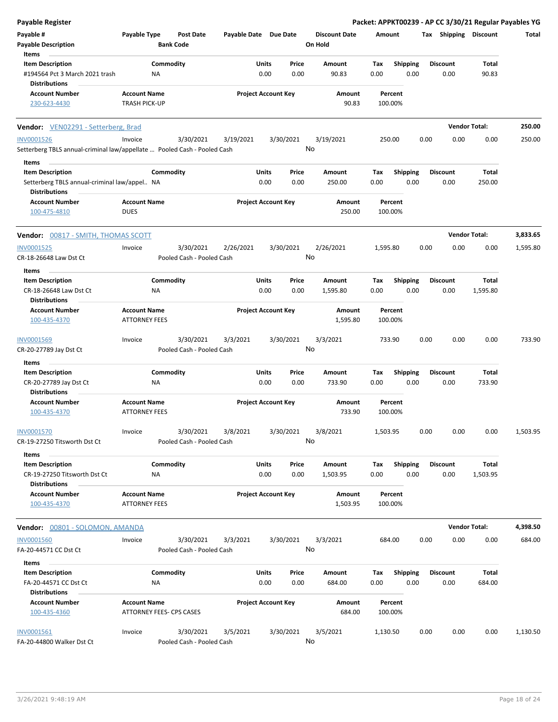| <b>Payable Register</b>                                                    |                                                 |                        |                                        |                       |                            |               |                                 |             |                         |      |                         | Packet: APPKT00239 - AP CC 3/30/21 Regular Payables YG |          |
|----------------------------------------------------------------------------|-------------------------------------------------|------------------------|----------------------------------------|-----------------------|----------------------------|---------------|---------------------------------|-------------|-------------------------|------|-------------------------|--------------------------------------------------------|----------|
| Payable #<br><b>Payable Description</b>                                    | Payable Type                                    | <b>Bank Code</b>       | <b>Post Date</b>                       | Payable Date Due Date |                            |               | <b>Discount Date</b><br>On Hold | Amount      |                         |      | Tax Shipping Discount   |                                                        | Total    |
| Items                                                                      |                                                 |                        |                                        |                       |                            |               |                                 |             |                         |      |                         |                                                        |          |
| <b>Item Description</b><br>#194564 Pct 3 March 2021 trash<br>Distributions |                                                 | Commodity<br><b>NA</b> |                                        |                       | Units<br>0.00              | Price<br>0.00 | Amount<br>90.83                 | Tax<br>0.00 | <b>Shipping</b><br>0.00 |      | <b>Discount</b><br>0.00 | Total<br>90.83                                         |          |
| <b>Account Number</b><br>230-623-4430                                      | <b>Account Name</b><br><b>TRASH PICK-UP</b>     |                        |                                        |                       | <b>Project Account Key</b> |               | Amount<br>90.83                 |             | Percent<br>100.00%      |      |                         |                                                        |          |
| <b>Vendor:</b> VEN02291 - Setterberg, Brad                                 |                                                 |                        |                                        |                       |                            |               |                                 |             |                         |      | <b>Vendor Total:</b>    |                                                        | 250.00   |
| <b>INV0001526</b>                                                          | Invoice                                         |                        | 3/30/2021                              | 3/19/2021             |                            | 3/30/2021     | 3/19/2021                       | 250.00      |                         | 0.00 | 0.00                    | 0.00                                                   | 250.00   |
| Setterberg TBLS annual-criminal law/appellate  Pooled Cash - Pooled Cash   |                                                 |                        |                                        |                       |                            |               | No                              |             |                         |      |                         |                                                        |          |
| Items                                                                      |                                                 |                        |                                        |                       |                            |               |                                 |             |                         |      |                         |                                                        |          |
| <b>Item Description</b><br>Setterberg TBLS annual-criminal law/appel NA    |                                                 | Commodity              |                                        |                       | Units<br>0.00              | Price<br>0.00 | Amount<br>250.00                | Tax<br>0.00 | <b>Shipping</b><br>0.00 |      | <b>Discount</b><br>0.00 | Total<br>250.00                                        |          |
| <b>Distributions</b><br><b>Account Number</b><br>100-475-4810              | <b>Account Name</b><br><b>DUES</b>              |                        |                                        |                       | <b>Project Account Key</b> |               | Amount<br>250.00                |             | Percent<br>100.00%      |      |                         |                                                        |          |
| Vendor: 00817 - SMITH, THOMAS SCOTT                                        |                                                 |                        |                                        |                       |                            |               |                                 |             |                         |      | <b>Vendor Total:</b>    |                                                        | 3,833.65 |
| <b>INV0001525</b><br>CR-18-26648 Law Dst Ct                                | Invoice                                         |                        | 3/30/2021<br>Pooled Cash - Pooled Cash | 2/26/2021             |                            | 3/30/2021     | 2/26/2021<br>No                 | 1.595.80    |                         | 0.00 | 0.00                    | 0.00                                                   | 1,595.80 |
| Items                                                                      |                                                 |                        |                                        |                       |                            |               |                                 |             |                         |      |                         |                                                        |          |
| <b>Item Description</b><br>CR-18-26648 Law Dst Ct                          |                                                 | Commodity<br>ΝA        |                                        |                       | Units<br>0.00              | Price<br>0.00 | Amount<br>1,595.80              | Tax<br>0.00 | <b>Shipping</b><br>0.00 |      | <b>Discount</b><br>0.00 | Total<br>1,595.80                                      |          |
| Distributions<br><b>Account Number</b><br>100-435-4370                     | <b>Account Name</b><br><b>ATTORNEY FEES</b>     |                        |                                        |                       | <b>Project Account Key</b> |               | Amount<br>1,595.80              |             | Percent<br>100.00%      |      |                         |                                                        |          |
| INV0001569                                                                 | Invoice                                         |                        | 3/30/2021                              | 3/3/2021              |                            | 3/30/2021     | 3/3/2021                        | 733.90      |                         | 0.00 | 0.00                    | 0.00                                                   | 733.90   |
| CR-20-27789 Jay Dst Ct<br>Items                                            |                                                 |                        | Pooled Cash - Pooled Cash              |                       |                            |               | No                              |             |                         |      |                         |                                                        |          |
| <b>Item Description</b>                                                    |                                                 | Commodity              |                                        |                       | Units                      | Price         | Amount                          | Tax         | <b>Shipping</b>         |      | <b>Discount</b>         | Total                                                  |          |
| CR-20-27789 Jay Dst Ct<br><b>Distributions</b>                             |                                                 | NA                     |                                        |                       | 0.00                       | 0.00          | 733.90                          | 0.00        | 0.00                    |      | 0.00                    | 733.90                                                 |          |
| <b>Account Number</b><br>100-435-4370                                      | <b>Account Name</b><br><b>ATTORNEY FEES</b>     |                        |                                        |                       | <b>Project Account Key</b> |               | Amount<br>733.90                |             | Percent<br>100.00%      |      |                         |                                                        |          |
| INV0001570<br>CR-19-27250 Titsworth Dst Ct                                 | Invoice                                         |                        | 3/30/2021<br>Pooled Cash - Pooled Cash | 3/8/2021              |                            | 3/30/2021     | 3/8/2021<br>No                  | 1,503.95    |                         | 0.00 | 0.00                    | 0.00                                                   | 1,503.95 |
| Items                                                                      |                                                 |                        |                                        |                       |                            |               |                                 |             |                         |      |                         |                                                        |          |
| <b>Item Description</b><br>CR-19-27250 Titsworth Dst Ct                    |                                                 | Commodity<br>ΝA        |                                        |                       | Units<br>0.00              | Price<br>0.00 | Amount<br>1,503.95              | Tax<br>0.00 | <b>Shipping</b><br>0.00 |      | <b>Discount</b><br>0.00 | Total<br>1,503.95                                      |          |
| <b>Distributions</b><br><b>Account Number</b><br>100-435-4370              | <b>Account Name</b><br><b>ATTORNEY FEES</b>     |                        |                                        |                       | <b>Project Account Key</b> |               | Amount<br>1,503.95              |             | Percent<br>100.00%      |      |                         |                                                        |          |
| <b>Vendor:</b> 00801 - SOLOMON, AMANDA                                     |                                                 |                        |                                        |                       |                            |               |                                 |             |                         |      |                         | <b>Vendor Total:</b>                                   | 4,398.50 |
| <b>INV0001560</b><br>FA-20-44571 CC Dst Ct                                 | Invoice                                         |                        | 3/30/2021<br>Pooled Cash - Pooled Cash | 3/3/2021              |                            | 3/30/2021     | 3/3/2021<br>No                  | 684.00      |                         | 0.00 | 0.00                    | 0.00                                                   | 684.00   |
| Items                                                                      |                                                 |                        |                                        |                       |                            |               |                                 |             |                         |      |                         |                                                        |          |
| <b>Item Description</b><br>FA-20-44571 CC Dst Ct<br><b>Distributions</b>   |                                                 | Commodity<br>NA        |                                        |                       | Units<br>0.00              | Price<br>0.00 | Amount<br>684.00                | Tax<br>0.00 | <b>Shipping</b><br>0.00 |      | <b>Discount</b><br>0.00 | Total<br>684.00                                        |          |
| <b>Account Number</b><br>100-435-4360                                      | <b>Account Name</b><br>ATTORNEY FEES- CPS CASES |                        |                                        |                       | <b>Project Account Key</b> |               | Amount<br>684.00                |             | Percent<br>100.00%      |      |                         |                                                        |          |
| INV0001561<br>FA-20-44800 Walker Dst Ct                                    | Invoice                                         |                        | 3/30/2021<br>Pooled Cash - Pooled Cash | 3/5/2021              |                            | 3/30/2021     | 3/5/2021<br>No                  | 1,130.50    |                         | 0.00 | 0.00                    | 0.00                                                   | 1,130.50 |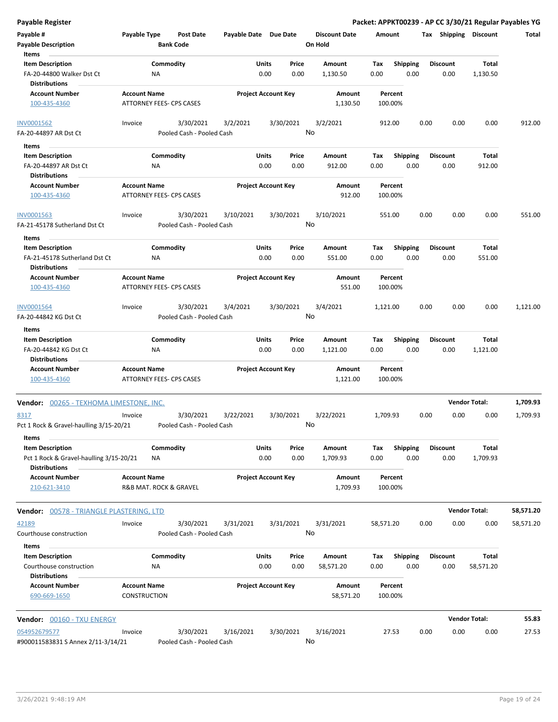| Payable #<br><b>Payable Description</b><br>Items                                                    | Payable Type                        | <b>Post Date</b><br><b>Bank Code</b>   | Payable Date Due Date |                            |                 | <b>Discount Date</b><br>On Hold | Amount             |                         | Tax  | Shipping                | <b>Discount</b>           | Total     |
|-----------------------------------------------------------------------------------------------------|-------------------------------------|----------------------------------------|-----------------------|----------------------------|-----------------|---------------------------------|--------------------|-------------------------|------|-------------------------|---------------------------|-----------|
| <b>Item Description</b><br>FA-20-44800 Walker Dst Ct<br><b>Distributions</b>                        | ΝA                                  | Commodity                              |                       | Units<br>0.00              | Price<br>0.00   | Amount<br>1,130.50              | Tax<br>0.00        | <b>Shipping</b><br>0.00 |      | <b>Discount</b><br>0.00 | Total<br>1,130.50         |           |
| <b>Account Number</b><br>100-435-4360                                                               | <b>Account Name</b>                 | ATTORNEY FEES- CPS CASES               |                       | <b>Project Account Key</b> |                 | Amount<br>1,130.50              | Percent<br>100.00% |                         |      |                         |                           |           |
| <b>INV0001562</b><br>FA-20-44897 AR Dst Ct                                                          | Invoice                             | 3/30/2021<br>Pooled Cash - Pooled Cash | 3/2/2021              |                            | 3/30/2021       | 3/2/2021<br>No                  | 912.00             |                         | 0.00 | 0.00                    | 0.00                      | 912.00    |
| Items                                                                                               |                                     |                                        |                       |                            |                 |                                 |                    |                         |      |                         |                           |           |
| <b>Item Description</b>                                                                             |                                     | Commodity                              |                       | Units                      | Price           | Amount                          | Tax                | <b>Shipping</b>         |      | <b>Discount</b>         | Total                     |           |
| FA-20-44897 AR Dst Ct<br><b>Distributions</b>                                                       | <b>NA</b>                           |                                        |                       | 0.00                       | 0.00            | 912.00                          | 0.00               | 0.00                    |      | 0.00                    | 912.00                    |           |
| <b>Account Number</b><br>100-435-4360                                                               | <b>Account Name</b>                 | ATTORNEY FEES- CPS CASES               |                       | <b>Project Account Key</b> |                 | Amount<br>912.00                | Percent<br>100.00% |                         |      |                         |                           |           |
| INV0001563<br>FA-21-45178 Sutherland Dst Ct                                                         | Invoice                             | 3/30/2021<br>Pooled Cash - Pooled Cash | 3/10/2021             |                            | 3/30/2021       | 3/10/2021<br>No                 | 551.00             |                         | 0.00 | 0.00                    | 0.00                      | 551.00    |
|                                                                                                     |                                     |                                        |                       |                            |                 |                                 |                    |                         |      |                         |                           |           |
| Items<br><b>Item Description</b><br>FA-21-45178 Sutherland Dst Ct                                   | NA                                  | Commodity                              |                       | Units<br>0.00              | Price<br>0.00   | Amount<br>551.00                | Tax<br>0.00        | <b>Shipping</b><br>0.00 |      | <b>Discount</b><br>0.00 | Total<br>551.00           |           |
| <b>Distributions</b><br><b>Account Number</b><br>100-435-4360                                       | <b>Account Name</b>                 | ATTORNEY FEES- CPS CASES               |                       | <b>Project Account Key</b> |                 | Amount<br>551.00                | Percent<br>100.00% |                         |      |                         |                           |           |
| <b>INV0001564</b><br>FA-20-44842 KG Dst Ct                                                          | Invoice                             | 3/30/2021<br>Pooled Cash - Pooled Cash | 3/4/2021              |                            | 3/30/2021<br>No | 3/4/2021                        | 1,121.00           |                         | 0.00 | 0.00                    | 0.00                      | 1,121.00  |
| Items                                                                                               |                                     |                                        |                       |                            |                 |                                 |                    |                         |      |                         |                           |           |
| <b>Item Description</b><br>FA-20-44842 KG Dst Ct<br><b>Distributions</b>                            | <b>NA</b>                           | Commodity                              |                       | Units<br>0.00              | Price<br>0.00   | Amount<br>1,121.00              | Tax<br>0.00        | <b>Shipping</b><br>0.00 |      | <b>Discount</b><br>0.00 | Total<br>1,121.00         |           |
| <b>Account Number</b><br>100-435-4360                                                               | <b>Account Name</b>                 | ATTORNEY FEES- CPS CASES               |                       | <b>Project Account Key</b> |                 | Amount<br>1,121.00              | Percent<br>100.00% |                         |      |                         |                           |           |
| Vendor: 00265 - TEXHOMA LIMESTONE, INC.                                                             |                                     |                                        |                       |                            |                 |                                 |                    |                         |      |                         | <b>Vendor Total:</b>      | 1,709.93  |
| 8317<br>Pct 1 Rock & Gravel-haulling 3/15-20/21                                                     | Invoice                             | 3/30/2021<br>Pooled Cash - Pooled Cash | 3/22/2021             |                            | 3/30/2021<br>No | 3/22/2021                       | 1,709.93           |                         | 0.00 | 0.00                    | 0.00                      | 1,709.93  |
| Items<br><b>Item Description</b><br>Pct 1 Rock & Gravel-haulling 3/15-20/21<br><b>Distributions</b> | NA                                  | Commodity                              |                       | Units<br>0.00              | Price<br>0.00   | Amount<br>1,709.93              | Tax<br>0.00        | <b>Shipping</b><br>0.00 |      | <b>Discount</b><br>0.00 | Total<br>1,709.93         |           |
| <b>Account Number</b><br>210-621-3410                                                               | <b>Account Name</b>                 | R&B MAT. ROCK & GRAVEL                 |                       | <b>Project Account Key</b> |                 | Amount<br>1,709.93              | Percent<br>100.00% |                         |      |                         |                           |           |
| <b>Vendor:</b> 00578 - TRIANGLE PLASTERING, LTD                                                     |                                     |                                        |                       |                            |                 |                                 |                    |                         |      |                         | <b>Vendor Total:</b>      | 58,571.20 |
| 42189<br>Courthouse construction                                                                    | Invoice                             | 3/30/2021<br>Pooled Cash - Pooled Cash | 3/31/2021             |                            | 3/31/2021       | 3/31/2021<br>No                 | 58,571.20          |                         | 0.00 | 0.00                    | 0.00                      | 58,571.20 |
| Items                                                                                               |                                     |                                        |                       |                            |                 |                                 |                    |                         |      |                         |                           |           |
| <b>Item Description</b><br>Courthouse construction<br><b>Distributions</b>                          | ΝA                                  | Commodity                              |                       | Units<br>0.00              | Price<br>0.00   | Amount<br>58,571.20             | Tax<br>0.00        | <b>Shipping</b><br>0.00 |      | <b>Discount</b><br>0.00 | <b>Total</b><br>58,571.20 |           |
| <b>Account Number</b><br>690-669-1650                                                               | <b>Account Name</b><br>CONSTRUCTION |                                        |                       | <b>Project Account Key</b> |                 | Amount<br>58,571.20             | Percent<br>100.00% |                         |      |                         |                           |           |
| Vendor: 00160 - TXU ENERGY                                                                          |                                     |                                        |                       |                            |                 |                                 |                    |                         |      |                         | <b>Vendor Total:</b>      | 55.83     |
| 054952679577<br>#900011583831 S Annex 2/11-3/14/21                                                  | Invoice                             | 3/30/2021<br>Pooled Cash - Pooled Cash | 3/16/2021             |                            | 3/30/2021       | 3/16/2021<br>No                 | 27.53              |                         | 0.00 | 0.00                    | 0.00                      | 27.53     |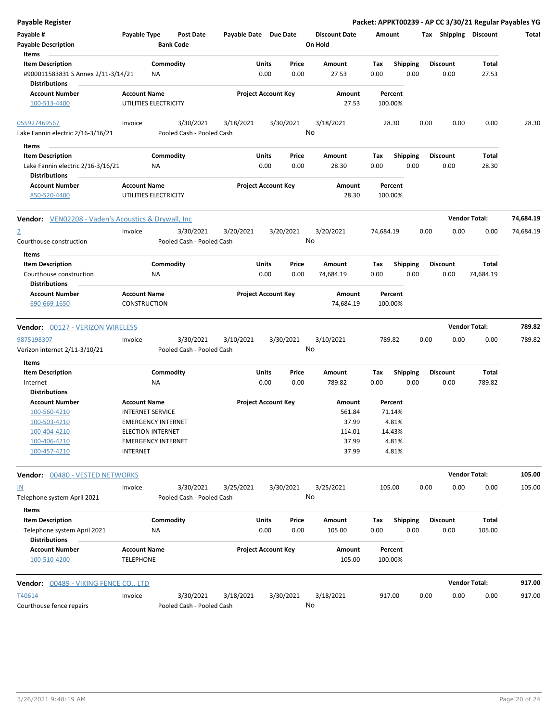| Payable Register                                                                      |                                            |                                      |                                        |                            |               |                                 |                    |                         |      |                         | Packet: APPKT00239 - AP CC 3/30/21 Regular Payables YG |           |
|---------------------------------------------------------------------------------------|--------------------------------------------|--------------------------------------|----------------------------------------|----------------------------|---------------|---------------------------------|--------------------|-------------------------|------|-------------------------|--------------------------------------------------------|-----------|
| Payable #<br><b>Payable Description</b><br>Items                                      | Payable Type                               | <b>Post Date</b><br><b>Bank Code</b> | Payable Date Due Date                  |                            |               | <b>Discount Date</b><br>On Hold | Amount             |                         |      |                         | Tax Shipping Discount                                  | Total     |
| <b>Item Description</b><br>#900011583831 S Annex 2/11-3/14/21<br><b>Distributions</b> |                                            | Commodity<br>NA                      |                                        | Units<br>0.00              | Price<br>0.00 | Amount<br>27.53                 | Tax<br>0.00        | <b>Shipping</b><br>0.00 |      | <b>Discount</b><br>0.00 | Total<br>27.53                                         |           |
| <b>Account Number</b><br>100-513-4400                                                 | <b>Account Name</b>                        | UTILITIES ELECTRICITY                |                                        | <b>Project Account Key</b> |               | Amount<br>27.53                 | Percent<br>100.00% |                         |      |                         |                                                        |           |
| 055927469567<br>Lake Fannin electric 2/16-3/16/21                                     | Invoice                                    | 3/30/2021                            | 3/18/2021<br>Pooled Cash - Pooled Cash |                            | 3/30/2021     | 3/18/2021<br>No                 | 28.30              |                         | 0.00 | 0.00                    | 0.00                                                   | 28.30     |
| Items                                                                                 |                                            |                                      |                                        |                            |               |                                 |                    |                         |      |                         |                                                        |           |
| <b>Item Description</b><br>Lake Fannin electric 2/16-3/16/21<br><b>Distributions</b>  |                                            | Commodity<br>NA.                     |                                        | Units<br>0.00              | Price<br>0.00 | Amount<br>28.30                 | Тах<br>0.00        | <b>Shipping</b><br>0.00 |      | <b>Discount</b><br>0.00 | Total<br>28.30                                         |           |
| <b>Account Number</b><br>850-520-4400                                                 | <b>Account Name</b>                        | UTILITIES ELECTRICITY                |                                        | <b>Project Account Key</b> |               | Amount<br>28.30                 | Percent<br>100.00% |                         |      |                         |                                                        |           |
| <b>Vendor:</b> VEN02208 - Vaden's Acoustics & Drywall, Inc                            |                                            |                                      |                                        |                            |               |                                 |                    |                         |      |                         | <b>Vendor Total:</b>                                   | 74,684.19 |
| $\overline{2}$<br>Courthouse construction                                             | Invoice                                    | 3/30/2021                            | 3/20/2021<br>Pooled Cash - Pooled Cash |                            | 3/20/2021     | 3/20/2021<br>No                 | 74,684.19          |                         | 0.00 | 0.00                    | 0.00                                                   | 74,684.19 |
| Items                                                                                 |                                            |                                      |                                        |                            |               |                                 |                    |                         |      |                         |                                                        |           |
| <b>Item Description</b><br>Courthouse construction<br>Distributions                   |                                            | Commodity<br>NA                      |                                        | Units<br>0.00              | Price<br>0.00 | Amount<br>74,684.19             | Tax<br>0.00        | <b>Shipping</b><br>0.00 |      | <b>Discount</b><br>0.00 | Total<br>74,684.19                                     |           |
| <b>Account Number</b><br>690-669-1650                                                 | <b>Account Name</b><br><b>CONSTRUCTION</b> |                                      |                                        | <b>Project Account Key</b> |               | Amount<br>74,684.19             | Percent<br>100.00% |                         |      |                         |                                                        |           |
| Vendor: 00127 - VERIZON WIRELESS                                                      |                                            |                                      |                                        |                            |               |                                 |                    |                         |      |                         | <b>Vendor Total:</b>                                   | 789.82    |
|                                                                                       |                                            |                                      |                                        |                            |               |                                 |                    |                         |      |                         |                                                        |           |
|                                                                                       |                                            |                                      |                                        |                            |               |                                 |                    |                         |      |                         |                                                        |           |
| 9875198307<br>Verizon internet 2/11-3/10/21                                           | Invoice                                    | 3/30/2021                            | 3/10/2021<br>Pooled Cash - Pooled Cash |                            | 3/30/2021     | 3/10/2021<br>No                 | 789.82             |                         | 0.00 | 0.00                    | 0.00                                                   | 789.82    |
| Items                                                                                 |                                            |                                      |                                        |                            |               |                                 |                    |                         |      |                         |                                                        |           |
| <b>Item Description</b><br>Internet                                                   |                                            | Commodity<br>NA                      |                                        | Units<br>0.00              | Price<br>0.00 | Amount<br>789.82                | Tax<br>0.00        | Shipping<br>0.00        |      | <b>Discount</b><br>0.00 | Total<br>789.82                                        |           |
| <b>Distributions</b>                                                                  |                                            |                                      |                                        |                            |               |                                 |                    |                         |      |                         |                                                        |           |
| <b>Account Number</b>                                                                 | <b>Account Name</b>                        |                                      |                                        | <b>Project Account Key</b> |               | Amount                          | Percent            |                         |      |                         |                                                        |           |
| 100-560-4210                                                                          | <b>INTERNET SERVICE</b>                    |                                      |                                        |                            |               | 561.84                          | 71.14%             |                         |      |                         |                                                        |           |
| <u>100-503-4210</u>                                                                   |                                            | <b>EMERGENCY INTERNET</b>            |                                        |                            |               | 37.99                           | 4.81%              |                         |      |                         |                                                        |           |
| 100-404-4210                                                                          | <b>ELECTION INTERNET</b>                   |                                      |                                        |                            |               | 114.01                          | 14.43%             |                         |      |                         |                                                        |           |
| 100-406-4210<br>100-457-4210                                                          | <b>INTERNET</b>                            | <b>EMERGENCY INTERNET</b>            |                                        |                            |               | 37.99<br>37.99                  | 4.81%<br>4.81%     |                         |      |                         |                                                        |           |
| Vendor: 00480 - VESTED NETWORKS                                                       |                                            |                                      |                                        |                            |               |                                 |                    |                         |      |                         | <b>Vendor Total:</b>                                   | 105.00    |
| $\underline{\mathsf{IN}}$                                                             | Invoice                                    | 3/30/2021                            | 3/25/2021                              |                            | 3/30/2021     | 3/25/2021                       | 105.00             |                         | 0.00 | 0.00                    | 0.00                                                   | 105.00    |
| Telephone system April 2021                                                           |                                            |                                      | Pooled Cash - Pooled Cash              |                            |               | No                              |                    |                         |      |                         |                                                        |           |
| Items                                                                                 |                                            |                                      |                                        |                            |               |                                 |                    |                         |      |                         |                                                        |           |
| <b>Item Description</b><br>Telephone system April 2021<br><b>Distributions</b>        |                                            | Commodity<br>NA                      |                                        | <b>Units</b><br>0.00       | Price<br>0.00 | Amount<br>105.00                | Tax<br>0.00        | <b>Shipping</b><br>0.00 |      | <b>Discount</b><br>0.00 | Total<br>105.00                                        |           |
| <b>Account Number</b><br>100-510-4200                                                 | <b>Account Name</b><br><b>TELEPHONE</b>    |                                      |                                        | <b>Project Account Key</b> |               | Amount<br>105.00                | Percent<br>100.00% |                         |      |                         |                                                        |           |
| Vendor: 00489 - VIKING FENCE CO., LTD                                                 |                                            |                                      |                                        |                            |               |                                 |                    |                         |      |                         | <b>Vendor Total:</b>                                   | 917.00    |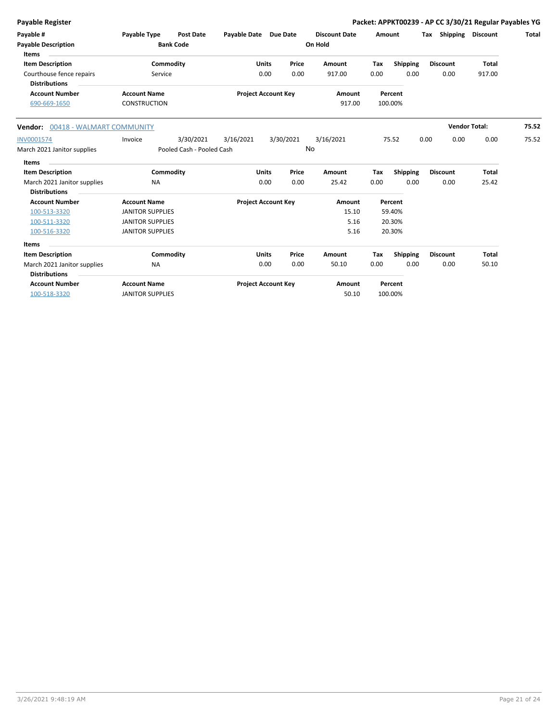| <b>Payable Register</b>                 |                         |                           |                            |              |           |                      |      |                         | Packet: APPKT00239 - AP CC 3/30/21 Regular Payables YG |                      |       |
|-----------------------------------------|-------------------------|---------------------------|----------------------------|--------------|-----------|----------------------|------|-------------------------|--------------------------------------------------------|----------------------|-------|
| Payable #                               | <b>Payable Type</b>     | <b>Post Date</b>          | Payable Date Due Date      |              |           | <b>Discount Date</b> |      | Amount                  | Tax Shipping Discount                                  |                      | Total |
| <b>Payable Description</b>              |                         | <b>Bank Code</b>          |                            |              |           | On Hold              |      |                         |                                                        |                      |       |
| <b>Items</b><br><b>Item Description</b> |                         | Commodity                 |                            | <b>Units</b> | Price     | Amount               | Tax  |                         | <b>Discount</b>                                        | <b>Total</b>         |       |
| Courthouse fence repairs                | Service                 |                           |                            | 0.00         | 0.00      | 917.00               | 0.00 | <b>Shipping</b><br>0.00 | 0.00                                                   | 917.00               |       |
| <b>Distributions</b>                    |                         |                           |                            |              |           |                      |      |                         |                                                        |                      |       |
| <b>Account Number</b>                   | <b>Account Name</b>     |                           | <b>Project Account Key</b> |              |           | Amount               |      | Percent                 |                                                        |                      |       |
| 690-669-1650                            | <b>CONSTRUCTION</b>     |                           |                            |              |           | 917.00               |      | 100.00%                 |                                                        |                      |       |
| Vendor: 00418 - WALMART COMMUNITY       |                         |                           |                            |              |           |                      |      |                         |                                                        | <b>Vendor Total:</b> | 75.52 |
| INV0001574                              | Invoice                 | 3/30/2021                 | 3/16/2021                  |              | 3/30/2021 | 3/16/2021            |      | 75.52                   | 0.00<br>0.00                                           | 0.00                 | 75.52 |
| March 2021 Janitor supplies             |                         | Pooled Cash - Pooled Cash |                            |              |           | No                   |      |                         |                                                        |                      |       |
| Items                                   |                         |                           |                            |              |           |                      |      |                         |                                                        |                      |       |
| <b>Item Description</b>                 |                         | Commodity                 |                            | <b>Units</b> | Price     | Amount               | Tax  | Shipping                | <b>Discount</b>                                        | Total                |       |
| March 2021 Janitor supplies             | <b>NA</b>               |                           |                            | 0.00         | 0.00      | 25.42                | 0.00 | 0.00                    | 0.00                                                   | 25.42                |       |
| <b>Distributions</b>                    |                         |                           |                            |              |           |                      |      |                         |                                                        |                      |       |
| <b>Account Number</b>                   | <b>Account Name</b>     |                           | <b>Project Account Key</b> |              |           | Amount               |      | Percent                 |                                                        |                      |       |
| 100-513-3320                            | <b>JANITOR SUPPLIES</b> |                           |                            |              |           | 15.10                |      | 59.40%                  |                                                        |                      |       |
| 100-511-3320                            | <b>JANITOR SUPPLIES</b> |                           |                            |              |           | 5.16                 |      | 20.30%                  |                                                        |                      |       |
| 100-516-3320                            | <b>JANITOR SUPPLIES</b> |                           |                            |              |           | 5.16                 |      | 20.30%                  |                                                        |                      |       |
| Items                                   |                         |                           |                            |              |           |                      |      |                         |                                                        |                      |       |
| <b>Item Description</b>                 |                         | Commodity                 |                            | <b>Units</b> | Price     | Amount               | Tax  | <b>Shipping</b>         | <b>Discount</b>                                        | <b>Total</b>         |       |
| March 2021 Janitor supplies             | <b>NA</b>               |                           |                            | 0.00         | 0.00      | 50.10                | 0.00 | 0.00                    | 0.00                                                   | 50.10                |       |
| <b>Distributions</b>                    |                         |                           |                            |              |           |                      |      |                         |                                                        |                      |       |
| <b>Account Number</b>                   | <b>Account Name</b>     |                           | <b>Project Account Key</b> |              |           | Amount               |      | Percent                 |                                                        |                      |       |
| 100-518-3320                            | <b>JANITOR SUPPLIES</b> |                           |                            |              |           | 50.10                |      | 100.00%                 |                                                        |                      |       |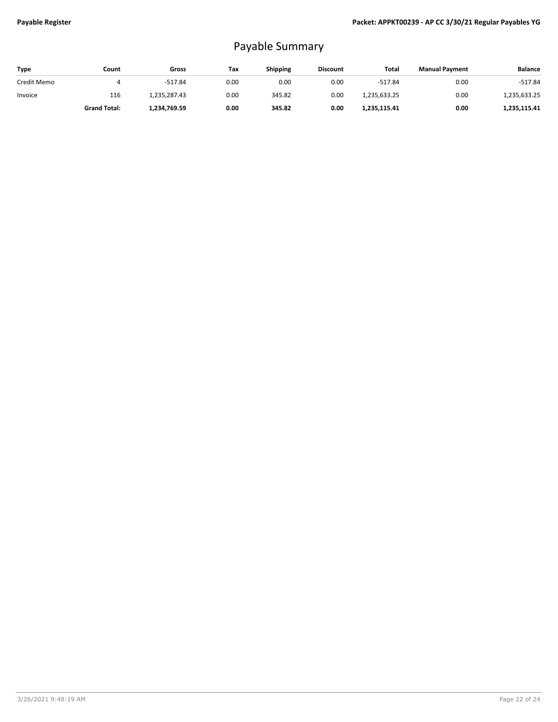## Payable Summary

| Type        | Count               | Gross        | Tax  | Shipping | <b>Discount</b> | Total        | <b>Manual Payment</b> | <b>Balance</b> |
|-------------|---------------------|--------------|------|----------|-----------------|--------------|-----------------------|----------------|
| Credit Memo |                     | $-517.84$    | 0.00 | 0.00     | 0.00            | $-517.84$    | 0.00                  | $-517.84$      |
| Invoice     | 116                 | 1,235,287.43 | 0.00 | 345.82   | 0.00            | 1,235,633.25 | 0.00                  | 1,235,633.25   |
|             | <b>Grand Total:</b> | 1.234.769.59 | 0.00 | 345.82   | 0.00            | 1,235,115.41 | 0.00                  | 1,235,115.41   |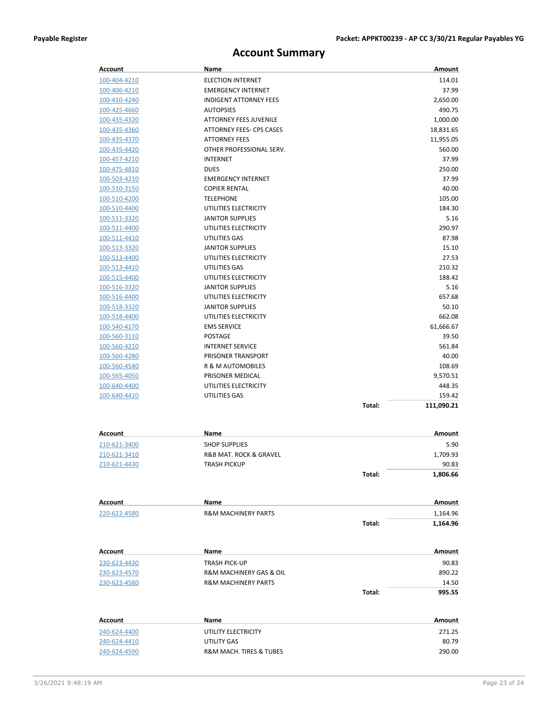## **Account Summary**

| Account                      | Name                                             | Amount               |
|------------------------------|--------------------------------------------------|----------------------|
| 100-404-4210                 | <b>ELECTION INTERNET</b>                         | 114.01               |
| 100-406-4210                 | <b>EMERGENCY INTERNET</b>                        | 37.99                |
| 100-410-4240                 | <b>INDIGENT ATTORNEY FEES</b>                    | 2,650.00             |
| 100-425-4660                 | <b>AUTOPSIES</b>                                 | 490.75               |
| 100-435-4320                 | <b>ATTORNEY FEES JUVENILE</b>                    | 1,000.00             |
| 100-435-4360                 | <b>ATTORNEY FEES- CPS CASES</b>                  | 18,831.65            |
| 100-435-4370                 | <b>ATTORNEY FEES</b>                             | 11,955.05            |
| 100-435-4420                 | OTHER PROFESSIONAL SERV.                         | 560.00               |
| 100-457-4210                 | <b>INTERNET</b>                                  | 37.99                |
| 100-475-4810                 | <b>DUES</b>                                      | 250.00               |
| 100-503-4210                 | <b>EMERGENCY INTERNET</b>                        | 37.99                |
| 100-510-3150                 | <b>COPIER RENTAL</b>                             | 40.00                |
| 100-510-4200                 | <b>TELEPHONE</b>                                 | 105.00               |
| 100-510-4400                 | UTILITIES ELECTRICITY                            | 184.30               |
| 100-511-3320                 | <b>JANITOR SUPPLIES</b>                          | 5.16                 |
| 100-511-4400                 | UTILITIES ELECTRICITY                            | 290.97               |
| 100-511-4410                 | UTILITIES GAS                                    | 87.98                |
| 100-513-3320                 | <b>JANITOR SUPPLIES</b>                          | 15.10                |
| 100-513-4400                 | UTILITIES ELECTRICITY                            | 27.53<br>210.32      |
| 100-513-4410                 | UTILITIES GAS                                    |                      |
| 100-515-4400                 | UTILITIES ELECTRICITY<br><b>JANITOR SUPPLIES</b> | 188.42               |
| 100-516-3320                 | UTILITIES ELECTRICITY                            | 5.16<br>657.68       |
| 100-516-4400<br>100-518-3320 | <b>JANITOR SUPPLIES</b>                          | 50.10                |
| 100-518-4400                 | UTILITIES ELECTRICITY                            | 662.08               |
| 100-540-4170                 | <b>EMS SERVICE</b>                               | 61,666.67            |
| 100-560-3110                 | <b>POSTAGE</b>                                   | 39.50                |
| 100-560-4210                 | <b>INTERNET SERVICE</b>                          | 561.84               |
| 100-560-4280                 | PRISONER TRANSPORT                               | 40.00                |
| 100-560-4540                 | R & M AUTOMOBILES                                | 108.69               |
| 100-565-4050                 | PRISONER MEDICAL                                 | 9,570.51             |
| 100-640-4400                 | UTILITIES ELECTRICITY                            | 448.35               |
| 100-640-4410                 | UTILITIES GAS                                    | 159.42               |
|                              |                                                  | Total:<br>111,090.21 |
|                              |                                                  |                      |
|                              | Name                                             | Amount               |
| Account                      |                                                  |                      |
| 210-621-3400                 | <b>SHOP SUPPLIES</b>                             | 5.90                 |
| 210-621-3410                 | R&B MAT. ROCK & GRAVEL                           | 1,709.93<br>90.83    |
| 210-621-4430                 | <b>TRASH PICKUP</b>                              | 1,806.66             |
|                              |                                                  | Total:               |
| Account                      | Name                                             | Amount               |
| 220-622-4580                 | <b>R&amp;M MACHINERY PARTS</b>                   | 1,164.96             |
|                              |                                                  | Total:<br>1,164.96   |
|                              |                                                  |                      |
| Account                      | Name                                             | Amount               |
| 230-623-4430                 | TRASH PICK-UP                                    | 90.83                |
| 230-623-4570                 | R&M MACHINERY GAS & OIL                          | 890.22               |
| 230-623-4580                 | <b>R&amp;M MACHINERY PARTS</b>                   | 14.50                |
|                              |                                                  | Total:<br>995.55     |
|                              |                                                  |                      |
| Account                      | Name                                             | Amount               |
| 240-624-4400                 | UTILITY ELECTRICITY                              | 271.25               |
| 240-624-4410                 | UTILITY GAS                                      | 80.79                |
| 240-624-4590                 | R&M MACH. TIRES & TUBES                          | 290.00               |